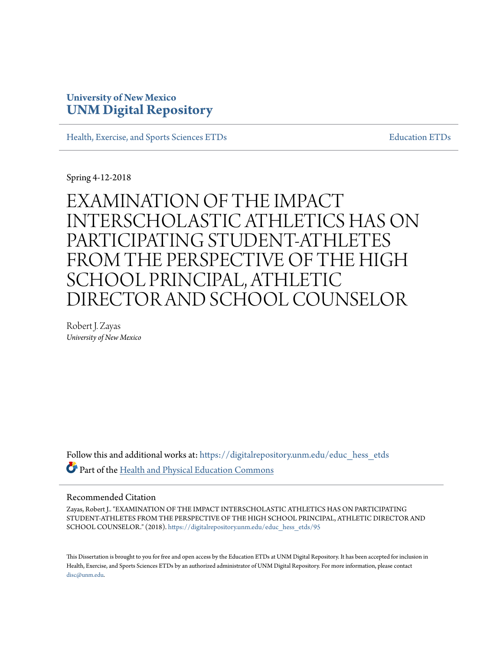# **University of New Mexico [UNM Digital Repository](https://digitalrepository.unm.edu?utm_source=digitalrepository.unm.edu%2Feduc_hess_etds%2F95&utm_medium=PDF&utm_campaign=PDFCoverPages)**

[Health, Exercise, and Sports Sciences ETDs](https://digitalrepository.unm.edu/educ_hess_etds?utm_source=digitalrepository.unm.edu%2Feduc_hess_etds%2F95&utm_medium=PDF&utm_campaign=PDFCoverPages) [Education ETDs](https://digitalrepository.unm.edu/educ_etds?utm_source=digitalrepository.unm.edu%2Feduc_hess_etds%2F95&utm_medium=PDF&utm_campaign=PDFCoverPages)

Spring 4-12-2018

# EXAMINATION OF THE IMPACT INTERSCHOLASTIC ATHLETICS HAS ON PARTICIPATING STUDENT-ATHLETES FROM THE PERSPECTIVE OF THE HIGH SCHOOL PRINCIPAL, ATHLETIC DIRECTOR AND SCHOOL COUNSELOR

Robert J. Zayas *University of New Mexico*

Follow this and additional works at: [https://digitalrepository.unm.edu/educ\\_hess\\_etds](https://digitalrepository.unm.edu/educ_hess_etds?utm_source=digitalrepository.unm.edu%2Feduc_hess_etds%2F95&utm_medium=PDF&utm_campaign=PDFCoverPages) Part of the [Health and Physical Education Commons](http://network.bepress.com/hgg/discipline/1327?utm_source=digitalrepository.unm.edu%2Feduc_hess_etds%2F95&utm_medium=PDF&utm_campaign=PDFCoverPages)

#### Recommended Citation

Zayas, Robert J.. "EXAMINATION OF THE IMPACT INTERSCHOLASTIC ATHLETICS HAS ON PARTICIPATING STUDENT-ATHLETES FROM THE PERSPECTIVE OF THE HIGH SCHOOL PRINCIPAL, ATHLETIC DIRECTOR AND SCHOOL COUNSELOR." (2018). [https://digitalrepository.unm.edu/educ\\_hess\\_etds/95](https://digitalrepository.unm.edu/educ_hess_etds/95?utm_source=digitalrepository.unm.edu%2Feduc_hess_etds%2F95&utm_medium=PDF&utm_campaign=PDFCoverPages)

This Dissertation is brought to you for free and open access by the Education ETDs at UNM Digital Repository. It has been accepted for inclusion in Health, Exercise, and Sports Sciences ETDs by an authorized administrator of UNM Digital Repository. For more information, please contact [disc@unm.edu](mailto:disc@unm.edu).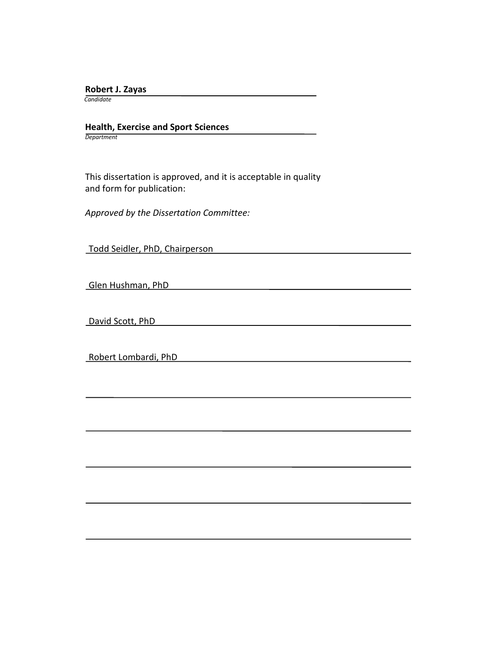**Robert J. Zayas**

 *Candidate*

 **Health, Exercise and Sport Sciences** *Department*

 This dissertation is approved, and it is acceptable in quality and form for publication:

*Approved by the Dissertation Committee:*

Todd Seidler, PhD, Chairperson

Glen Hushman, PhD

David Scott, PhD

Robert Lombardi, PhD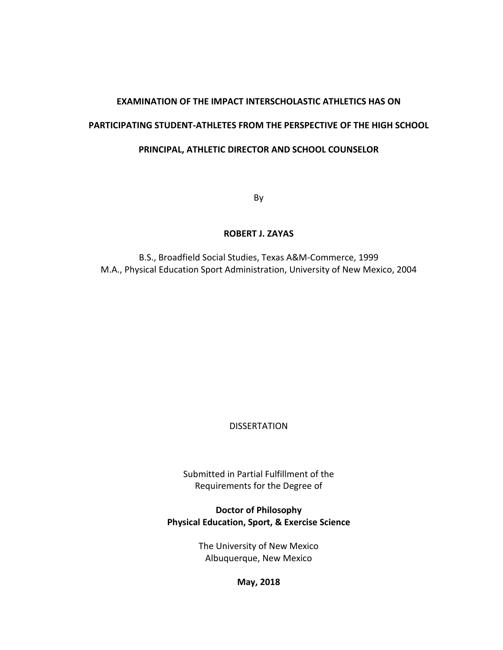# **EXAMINATION OF THE IMPACT INTERSCHOLASTIC ATHLETICS HAS ON**

## **PARTICIPATING STUDENT-ATHLETES FROM THE PERSPECTIVE OF THE HIGH SCHOOL**

# **PRINCIPAL, ATHLETIC DIRECTOR AND SCHOOL COUNSELOR**

By

## **ROBERT J. ZAYAS**

B.S., Broadfield Social Studies, Texas A&M-Commerce, 1999 M.A., Physical Education Sport Administration, University of New Mexico, 2004

**DISSERTATION** 

Submitted in Partial Fulfillment of the Requirements for the Degree of

**Doctor of Philosophy Physical Education, Sport, & Exercise Science**

> The University of New Mexico Albuquerque, New Mexico

> > **May, 2018**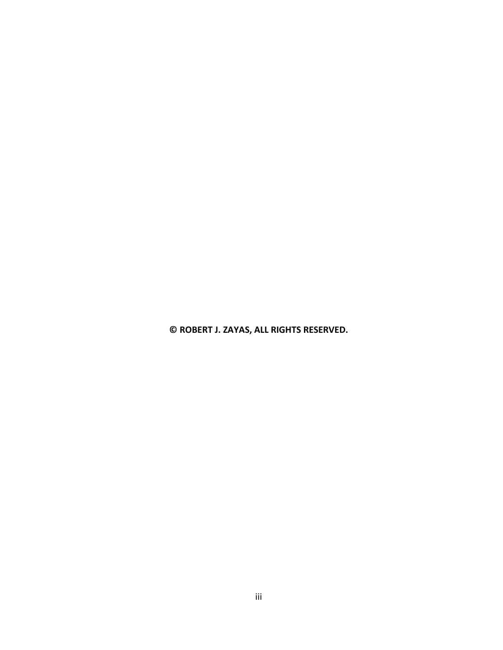**© ROBERT J. ZAYAS, ALL RIGHTS RESERVED.**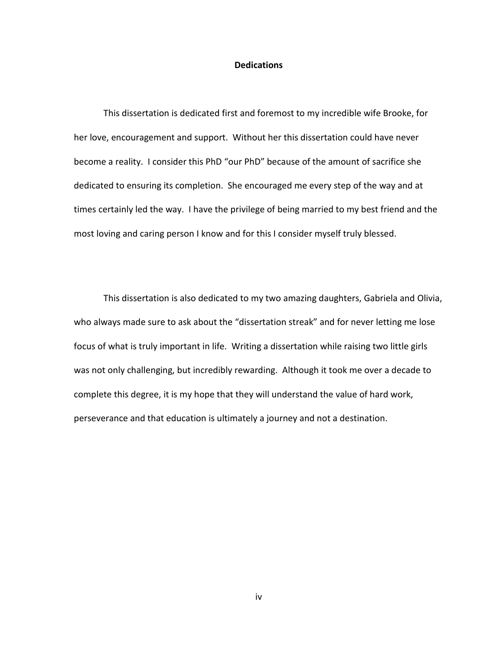#### **Dedications**

This dissertation is dedicated first and foremost to my incredible wife Brooke, for her love, encouragement and support. Without her this dissertation could have never become a reality. I consider this PhD "our PhD" because of the amount of sacrifice she dedicated to ensuring its completion. She encouraged me every step of the way and at times certainly led the way. I have the privilege of being married to my best friend and the most loving and caring person I know and for this I consider myself truly blessed.

This dissertation is also dedicated to my two amazing daughters, Gabriela and Olivia, who always made sure to ask about the "dissertation streak" and for never letting me lose focus of what is truly important in life. Writing a dissertation while raising two little girls was not only challenging, but incredibly rewarding. Although it took me over a decade to complete this degree, it is my hope that they will understand the value of hard work, perseverance and that education is ultimately a journey and not a destination.

iv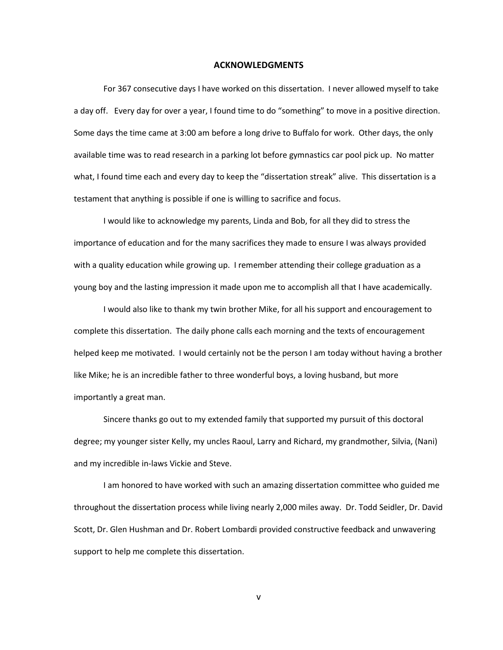#### **ACKNOWLEDGMENTS**

For 367 consecutive days I have worked on this dissertation. I never allowed myself to take a day off. Every day for over a year, I found time to do "something" to move in a positive direction. Some days the time came at 3:00 am before a long drive to Buffalo for work. Other days, the only available time was to read research in a parking lot before gymnastics car pool pick up. No matter what, I found time each and every day to keep the "dissertation streak" alive. This dissertation is a testament that anything is possible if one is willing to sacrifice and focus.

I would like to acknowledge my parents, Linda and Bob, for all they did to stress the importance of education and for the many sacrifices they made to ensure I was always provided with a quality education while growing up. I remember attending their college graduation as a young boy and the lasting impression it made upon me to accomplish all that I have academically.

I would also like to thank my twin brother Mike, for all his support and encouragement to complete this dissertation. The daily phone calls each morning and the texts of encouragement helped keep me motivated. I would certainly not be the person I am today without having a brother like Mike; he is an incredible father to three wonderful boys, a loving husband, but more importantly a great man.

Sincere thanks go out to my extended family that supported my pursuit of this doctoral degree; my younger sister Kelly, my uncles Raoul, Larry and Richard, my grandmother, Silvia, (Nani) and my incredible in-laws Vickie and Steve.

I am honored to have worked with such an amazing dissertation committee who guided me throughout the dissertation process while living nearly 2,000 miles away. Dr. Todd Seidler, Dr. David Scott, Dr. Glen Hushman and Dr. Robert Lombardi provided constructive feedback and unwavering support to help me complete this dissertation.

v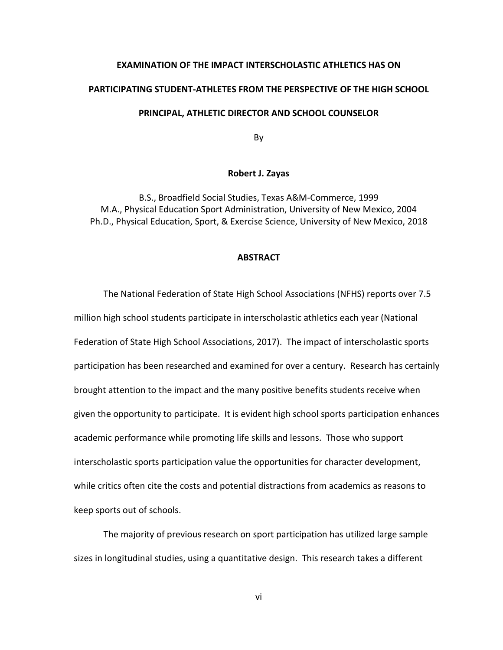#### **EXAMINATION OF THE IMPACT INTERSCHOLASTIC ATHLETICS HAS ON**

#### **PARTICIPATING STUDENT-ATHLETES FROM THE PERSPECTIVE OF THE HIGH SCHOOL**

#### **PRINCIPAL, ATHLETIC DIRECTOR AND SCHOOL COUNSELOR**

By

#### **Robert J. Zayas**

B.S., Broadfield Social Studies, Texas A&M-Commerce, 1999 M.A., Physical Education Sport Administration, University of New Mexico, 2004 Ph.D., Physical Education, Sport, & Exercise Science, University of New Mexico, 2018

#### **ABSTRACT**

The National Federation of State High School Associations (NFHS) reports over 7.5 million high school students participate in interscholastic athletics each year (National Federation of State High School Associations, 2017). The impact of interscholastic sports participation has been researched and examined for over a century. Research has certainly brought attention to the impact and the many positive benefits students receive when given the opportunity to participate. It is evident high school sports participation enhances academic performance while promoting life skills and lessons. Those who support interscholastic sports participation value the opportunities for character development, while critics often cite the costs and potential distractions from academics as reasons to keep sports out of schools.

The majority of previous research on sport participation has utilized large sample sizes in longitudinal studies, using a quantitative design. This research takes a different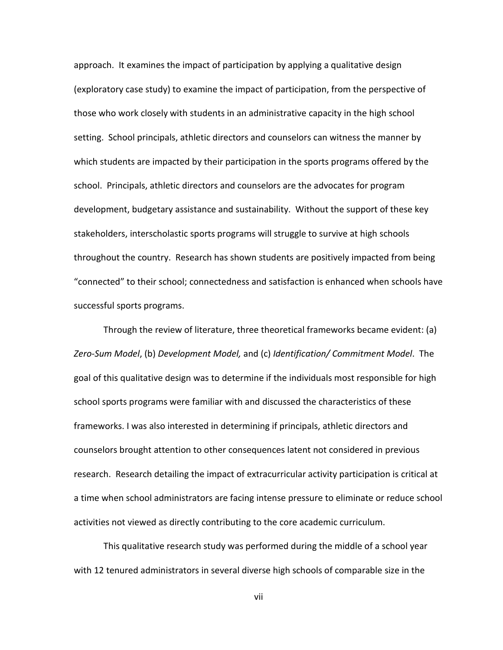approach. It examines the impact of participation by applying a qualitative design (exploratory case study) to examine the impact of participation, from the perspective of those who work closely with students in an administrative capacity in the high school setting. School principals, athletic directors and counselors can witness the manner by which students are impacted by their participation in the sports programs offered by the school. Principals, athletic directors and counselors are the advocates for program development, budgetary assistance and sustainability. Without the support of these key stakeholders, interscholastic sports programs will struggle to survive at high schools throughout the country. Research has shown students are positively impacted from being "connected" to their school; connectedness and satisfaction is enhanced when schools have successful sports programs.

Through the review of literature, three theoretical frameworks became evident: (a) *Zero-Sum Model*, (b) *Development Model,* and (c) *Identification/ Commitment Model*. The goal of this qualitative design was to determine if the individuals most responsible for high school sports programs were familiar with and discussed the characteristics of these frameworks. I was also interested in determining if principals, athletic directors and counselors brought attention to other consequences latent not considered in previous research. Research detailing the impact of extracurricular activity participation is critical at a time when school administrators are facing intense pressure to eliminate or reduce school activities not viewed as directly contributing to the core academic curriculum.

This qualitative research study was performed during the middle of a school year with 12 tenured administrators in several diverse high schools of comparable size in the

vii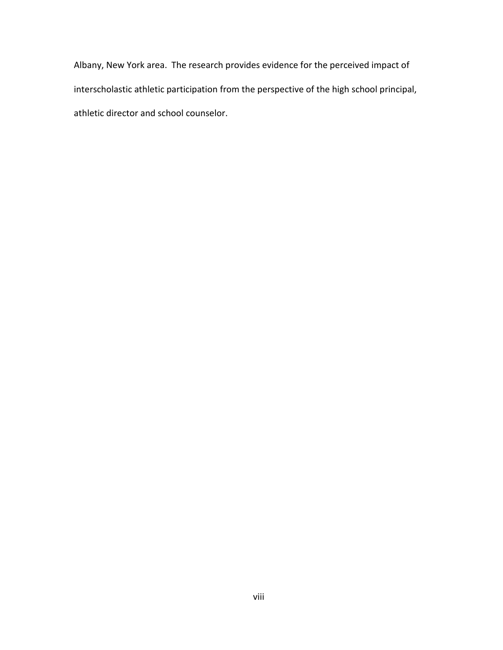Albany, New York area. The research provides evidence for the perceived impact of interscholastic athletic participation from the perspective of the high school principal, athletic director and school counselor.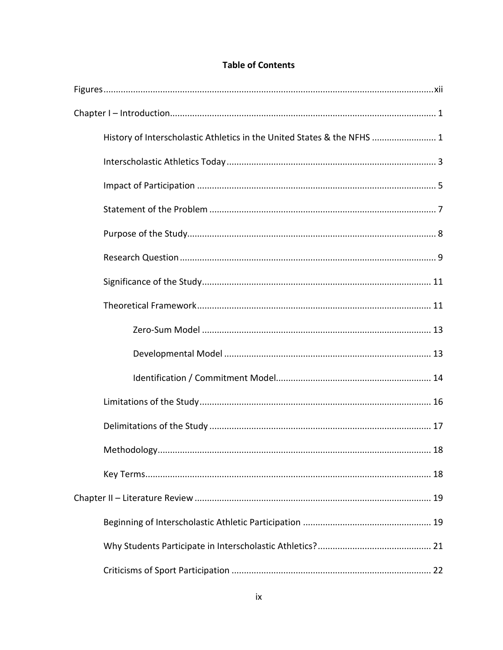# **Table of Contents**

| History of Interscholastic Athletics in the United States & the NFHS  1 |
|-------------------------------------------------------------------------|
|                                                                         |
|                                                                         |
|                                                                         |
|                                                                         |
|                                                                         |
|                                                                         |
|                                                                         |
|                                                                         |
|                                                                         |
|                                                                         |
|                                                                         |
|                                                                         |
| 18                                                                      |
|                                                                         |
|                                                                         |
|                                                                         |
|                                                                         |
|                                                                         |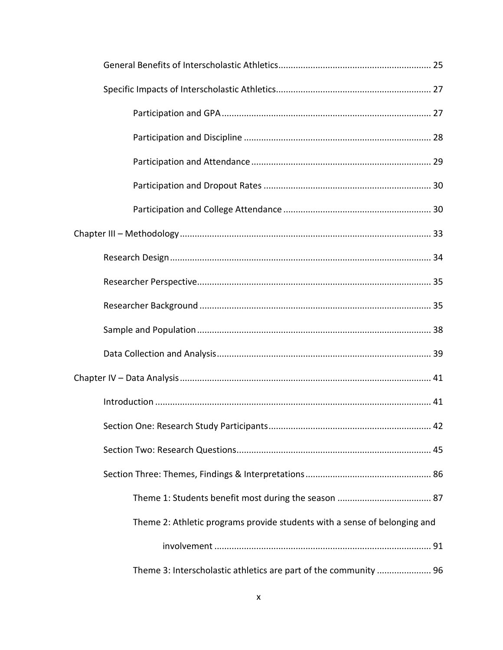| .42                                                                       |
|---------------------------------------------------------------------------|
|                                                                           |
|                                                                           |
|                                                                           |
| Theme 2: Athletic programs provide students with a sense of belonging and |
|                                                                           |
| Theme 3: Interscholastic athletics are part of the community  96          |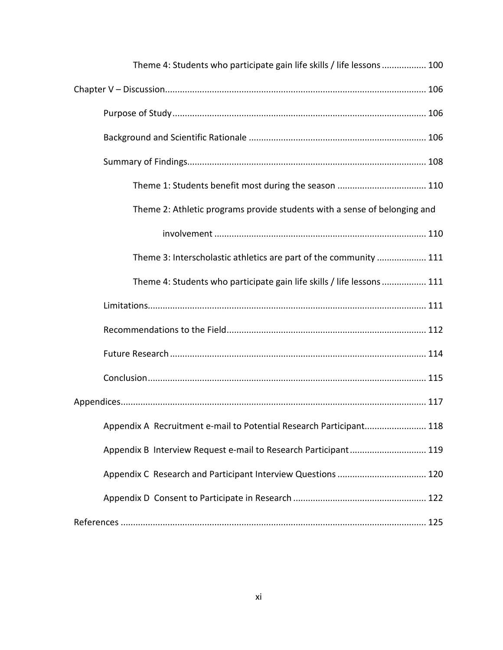| Theme 4: Students who participate gain life skills / life lessons  100    |  |
|---------------------------------------------------------------------------|--|
|                                                                           |  |
|                                                                           |  |
|                                                                           |  |
|                                                                           |  |
| Theme 1: Students benefit most during the season  110                     |  |
| Theme 2: Athletic programs provide students with a sense of belonging and |  |
|                                                                           |  |
| Theme 3: Interscholastic athletics are part of the community  111         |  |
| Theme 4: Students who participate gain life skills / life lessons  111    |  |
|                                                                           |  |
|                                                                           |  |
|                                                                           |  |
|                                                                           |  |
|                                                                           |  |
| Appendix A Recruitment e-mail to Potential Research Participant 118       |  |
| Appendix B Interview Request e-mail to Research Participant 119           |  |
|                                                                           |  |
|                                                                           |  |
|                                                                           |  |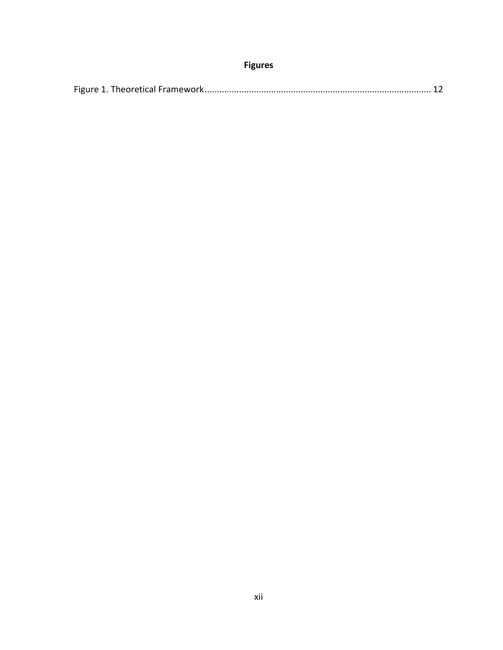# **Figures**

<span id="page-12-0"></span>

|--|--|--|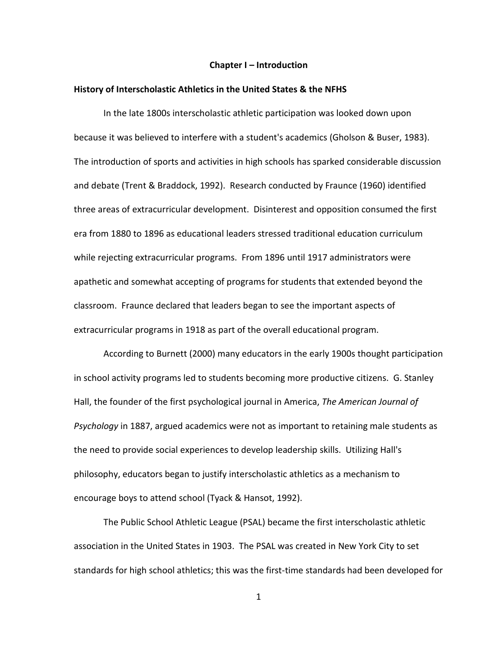#### **Chapter I – Introduction**

#### <span id="page-13-1"></span><span id="page-13-0"></span>**History of Interscholastic Athletics in the United States & the NFHS**

In the late 1800s interscholastic athletic participation was looked down upon because it was believed to interfere with a student's academics (Gholson & Buser, 1983). The introduction of sports and activities in high schools has sparked considerable discussion and debate (Trent & Braddock, 1992). Research conducted by Fraunce (1960) identified three areas of extracurricular development. Disinterest and opposition consumed the first era from 1880 to 1896 as educational leaders stressed traditional education curriculum while rejecting extracurricular programs. From 1896 until 1917 administrators were apathetic and somewhat accepting of programs for students that extended beyond the classroom. Fraunce declared that leaders began to see the important aspects of extracurricular programs in 1918 as part of the overall educational program.

According to Burnett (2000) many educators in the early 1900s thought participation in school activity programs led to students becoming more productive citizens. G. Stanley Hall, the founder of the first psychological journal in America, *The American Journal of Psychology* in 1887, argued academics were not as important to retaining male students as the need to provide social experiences to develop leadership skills. Utilizing Hall's philosophy, educators began to justify interscholastic athletics as a mechanism to encourage boys to attend school (Tyack & Hansot, 1992).

The Public School Athletic League (PSAL) became the first interscholastic athletic association in the United States in 1903. The PSAL was created in New York City to set standards for high school athletics; this was the first-time standards had been developed for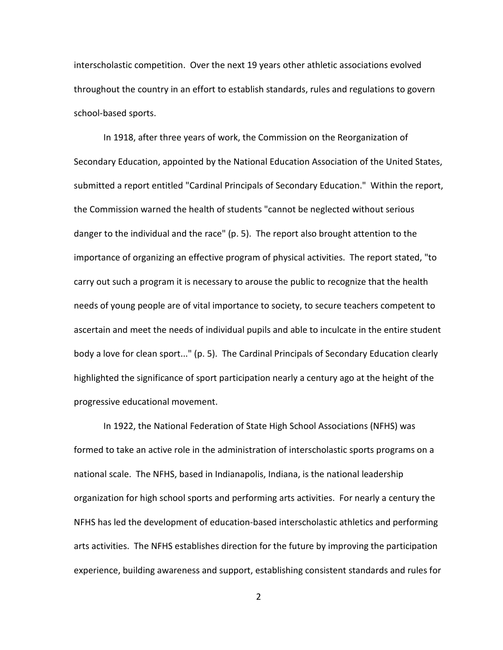interscholastic competition. Over the next 19 years other athletic associations evolved throughout the country in an effort to establish standards, rules and regulations to govern school-based sports.

In 1918, after three years of work, the Commission on the Reorganization of Secondary Education, appointed by the National Education Association of the United States, submitted a report entitled "Cardinal Principals of Secondary Education." Within the report, the Commission warned the health of students "cannot be neglected without serious danger to the individual and the race" (p. 5). The report also brought attention to the importance of organizing an effective program of physical activities. The report stated, "to carry out such a program it is necessary to arouse the public to recognize that the health needs of young people are of vital importance to society, to secure teachers competent to ascertain and meet the needs of individual pupils and able to inculcate in the entire student body a love for clean sport..." (p. 5). The Cardinal Principals of Secondary Education clearly highlighted the significance of sport participation nearly a century ago at the height of the progressive educational movement.

In 1922, the National Federation of State High School Associations (NFHS) was formed to take an active role in the administration of interscholastic sports programs on a national scale. The NFHS, based in Indianapolis, Indiana, is the national leadership organization for high school sports and performing arts activities. For nearly a century the NFHS has led the development of education-based interscholastic athletics and performing arts activities. The NFHS establishes direction for the future by improving the participation experience, building awareness and support, establishing consistent standards and rules for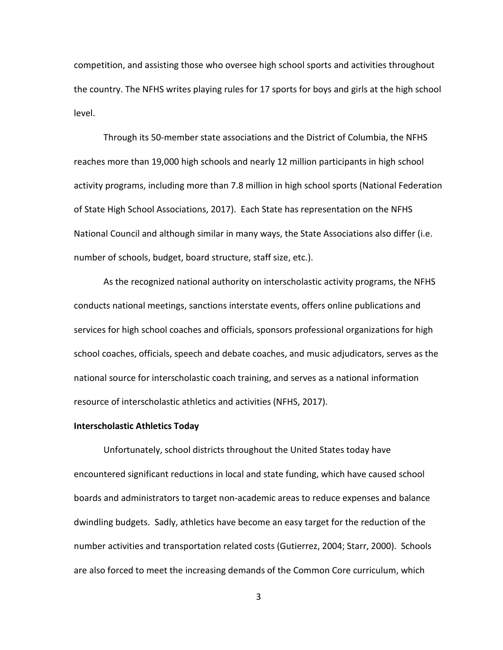competition, and assisting those who oversee high school sports and activities throughout the country. The NFHS writes playing rules for 17 sports for boys and girls at the high school level.

Through its 50-member state associations and the District of Columbia, the NFHS reaches more than 19,000 high schools and nearly 12 million participants in high school activity programs, including more than 7.8 million in high school sports (National Federation of State High School Associations, 2017). Each State has representation on the NFHS National Council and although similar in many ways, the State Associations also differ (i.e. number of schools, budget, board structure, staff size, etc.).

As the recognized national authority on interscholastic activity programs, the NFHS conducts national meetings, sanctions interstate events, offers online publications and services for high school coaches and officials, sponsors professional organizations for high school coaches, officials, speech and debate coaches, and music adjudicators, serves as the national source for interscholastic coach training, and serves as a national information resource of interscholastic athletics and activities (NFHS, 2017).

#### <span id="page-15-0"></span>**Interscholastic Athletics Today**

Unfortunately, school districts throughout the United States today have encountered significant reductions in local and state funding, which have caused school boards and administrators to target non-academic areas to reduce expenses and balance dwindling budgets. Sadly, athletics have become an easy target for the reduction of the number activities and transportation related costs (Gutierrez, 2004; Starr, 2000). Schools are also forced to meet the increasing demands of the Common Core curriculum, which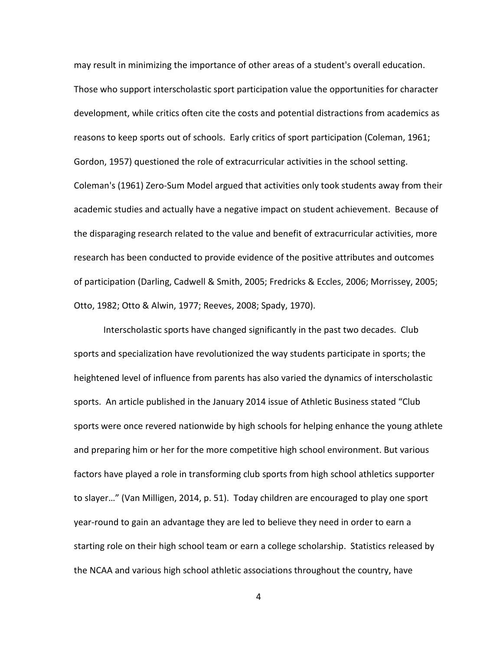may result in minimizing the importance of other areas of a student's overall education. Those who support interscholastic sport participation value the opportunities for character development, while critics often cite the costs and potential distractions from academics as reasons to keep sports out of schools. Early critics of sport participation (Coleman, 1961; Gordon, 1957) questioned the role of extracurricular activities in the school setting. Coleman's (1961) Zero-Sum Model argued that activities only took students away from their academic studies and actually have a negative impact on student achievement. Because of the disparaging research related to the value and benefit of extracurricular activities, more research has been conducted to provide evidence of the positive attributes and outcomes of participation (Darling, Cadwell & Smith, 2005; Fredricks & Eccles, 2006; Morrissey, 2005; Otto, 1982; Otto & Alwin, 1977; Reeves, 2008; Spady, 1970).

Interscholastic sports have changed significantly in the past two decades. Club sports and specialization have revolutionized the way students participate in sports; the heightened level of influence from parents has also varied the dynamics of interscholastic sports. An article published in the January 2014 issue of Athletic Business stated "Club sports were once revered nationwide by high schools for helping enhance the young athlete and preparing him or her for the more competitive high school environment. But various factors have played a role in transforming club sports from high school athletics supporter to slayer…" (Van Milligen, 2014, p. 51). Today children are encouraged to play one sport year-round to gain an advantage they are led to believe they need in order to earn a starting role on their high school team or earn a college scholarship. Statistics released by the NCAA and various high school athletic associations throughout the country, have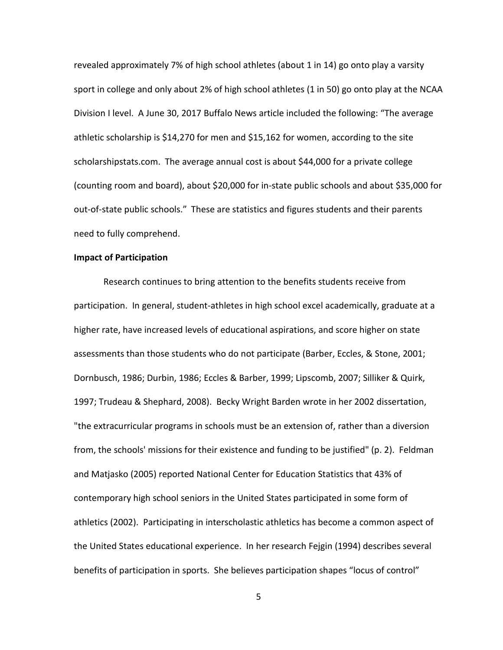revealed approximately 7% of high school athletes (about 1 in 14) go onto play a varsity sport in college and only about 2% of high school athletes (1 in 50) go onto play at the NCAA Division I level. A June 30, 2017 Buffalo News article included the following: "The average athletic scholarship is \$14,270 for men and \$15,162 for women, according to the site scholarshipstats.com. The average annual cost is about \$44,000 for a private college (counting room and board), about \$20,000 for in-state public schools and about \$35,000 for out-of-state public schools." These are statistics and figures students and their parents need to fully comprehend.

#### <span id="page-17-0"></span>**Impact of Participation**

Research continues to bring attention to the benefits students receive from participation. In general, student-athletes in high school excel academically, graduate at a higher rate, have increased levels of educational aspirations, and score higher on state assessments than those students who do not participate (Barber, Eccles, & Stone, 2001; Dornbusch, 1986; Durbin, 1986; Eccles & Barber, 1999; Lipscomb, 2007; Silliker & Quirk, 1997; Trudeau & Shephard, 2008). Becky Wright Barden wrote in her 2002 dissertation, "the extracurricular programs in schools must be an extension of, rather than a diversion from, the schools' missions for their existence and funding to be justified" (p. 2). Feldman and Matjasko (2005) reported National Center for Education Statistics that 43% of contemporary high school seniors in the United States participated in some form of athletics (2002). Participating in interscholastic athletics has become a common aspect of the United States educational experience. In her research Fejgin (1994) describes several benefits of participation in sports. She believes participation shapes "locus of control"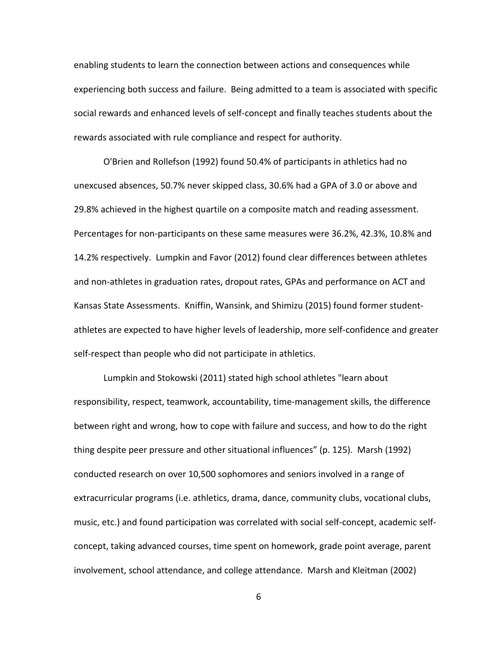enabling students to learn the connection between actions and consequences while experiencing both success and failure. Being admitted to a team is associated with specific social rewards and enhanced levels of self-concept and finally teaches students about the rewards associated with rule compliance and respect for authority.

O'Brien and Rollefson (1992) found 50.4% of participants in athletics had no unexcused absences, 50.7% never skipped class, 30.6% had a GPA of 3.0 or above and 29.8% achieved in the highest quartile on a composite match and reading assessment. Percentages for non-participants on these same measures were 36.2%, 42.3%, 10.8% and 14.2% respectively. Lumpkin and Favor (2012) found clear differences between athletes and non-athletes in graduation rates, dropout rates, GPAs and performance on ACT and Kansas State Assessments. Kniffin, Wansink, and Shimizu (2015) found former studentathletes are expected to have higher levels of leadership, more self-confidence and greater self-respect than people who did not participate in athletics.

Lumpkin and Stokowski (2011) stated high school athletes "learn about responsibility, respect, teamwork, accountability, time-management skills, the difference between right and wrong, how to cope with failure and success, and how to do the right thing despite peer pressure and other situational influences" (p. 125). Marsh (1992) conducted research on over 10,500 sophomores and seniors involved in a range of extracurricular programs (i.e. athletics, drama, dance, community clubs, vocational clubs, music, etc.) and found participation was correlated with social self-concept, academic selfconcept, taking advanced courses, time spent on homework, grade point average, parent involvement, school attendance, and college attendance. Marsh and Kleitman (2002)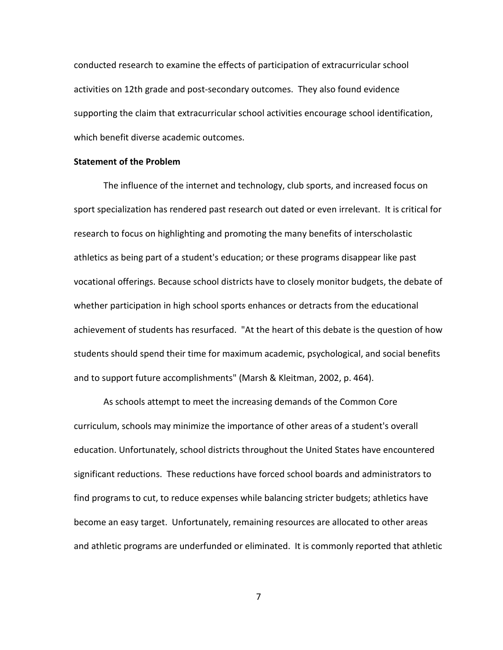conducted research to examine the effects of participation of extracurricular school activities on 12th grade and post-secondary outcomes. They also found evidence supporting the claim that extracurricular school activities encourage school identification, which benefit diverse academic outcomes.

#### <span id="page-19-0"></span>**Statement of the Problem**

The influence of the internet and technology, club sports, and increased focus on sport specialization has rendered past research out dated or even irrelevant. It is critical for research to focus on highlighting and promoting the many benefits of interscholastic athletics as being part of a student's education; or these programs disappear like past vocational offerings. Because school districts have to closely monitor budgets, the debate of whether participation in high school sports enhances or detracts from the educational achievement of students has resurfaced. "At the heart of this debate is the question of how students should spend their time for maximum academic, psychological, and social benefits and to support future accomplishments" (Marsh & Kleitman, 2002, p. 464).

As schools attempt to meet the increasing demands of the Common Core curriculum, schools may minimize the importance of other areas of a student's overall education. Unfortunately, school districts throughout the United States have encountered significant reductions. These reductions have forced school boards and administrators to find programs to cut, to reduce expenses while balancing stricter budgets; athletics have become an easy target. Unfortunately, remaining resources are allocated to other areas and athletic programs are underfunded or eliminated. It is commonly reported that athletic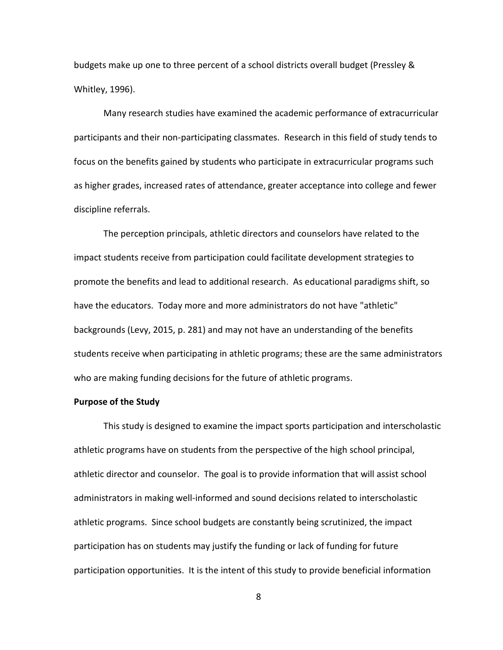budgets make up one to three percent of a school districts overall budget (Pressley & Whitley, 1996).

Many research studies have examined the academic performance of extracurricular participants and their non-participating classmates. Research in this field of study tends to focus on the benefits gained by students who participate in extracurricular programs such as higher grades, increased rates of attendance, greater acceptance into college and fewer discipline referrals.

The perception principals, athletic directors and counselors have related to the impact students receive from participation could facilitate development strategies to promote the benefits and lead to additional research. As educational paradigms shift, so have the educators. Today more and more administrators do not have "athletic" backgrounds (Levy, 2015, p. 281) and may not have an understanding of the benefits students receive when participating in athletic programs; these are the same administrators who are making funding decisions for the future of athletic programs.

#### <span id="page-20-0"></span>**Purpose of the Study**

This study is designed to examine the impact sports participation and interscholastic athletic programs have on students from the perspective of the high school principal, athletic director and counselor. The goal is to provide information that will assist school administrators in making well-informed and sound decisions related to interscholastic athletic programs. Since school budgets are constantly being scrutinized, the impact participation has on students may justify the funding or lack of funding for future participation opportunities. It is the intent of this study to provide beneficial information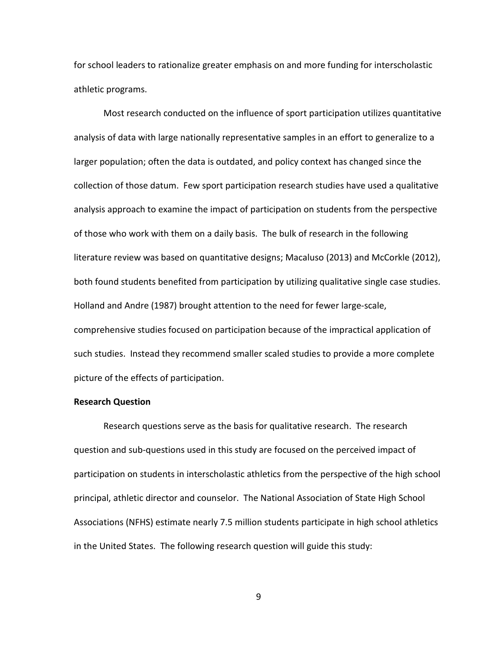for school leaders to rationalize greater emphasis on and more funding for interscholastic athletic programs.

Most research conducted on the influence of sport participation utilizes quantitative analysis of data with large nationally representative samples in an effort to generalize to a larger population; often the data is outdated, and policy context has changed since the collection of those datum. Few sport participation research studies have used a qualitative analysis approach to examine the impact of participation on students from the perspective of those who work with them on a daily basis. The bulk of research in the following literature review was based on quantitative designs; Macaluso (2013) and McCorkle (2012), both found students benefited from participation by utilizing qualitative single case studies. Holland and Andre (1987) brought attention to the need for fewer large-scale, comprehensive studies focused on participation because of the impractical application of such studies. Instead they recommend smaller scaled studies to provide a more complete picture of the effects of participation.

### <span id="page-21-0"></span>**Research Question**

Research questions serve as the basis for qualitative research. The research question and sub-questions used in this study are focused on the perceived impact of participation on students in interscholastic athletics from the perspective of the high school principal, athletic director and counselor. The National Association of State High School Associations (NFHS) estimate nearly 7.5 million students participate in high school athletics in the United States. The following research question will guide this study: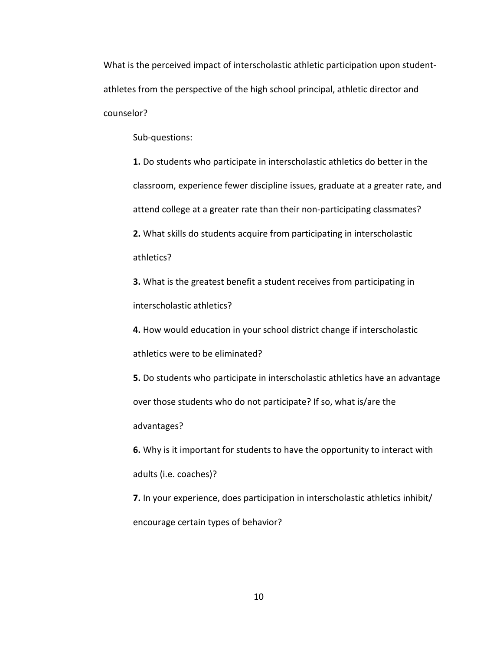What is the perceived impact of interscholastic athletic participation upon studentathletes from the perspective of the high school principal, athletic director and counselor?

Sub-questions:

**1.** Do students who participate in interscholastic athletics do better in the classroom, experience fewer discipline issues, graduate at a greater rate, and attend college at a greater rate than their non-participating classmates? **2.** What skills do students acquire from participating in interscholastic athletics?

**3.** What is the greatest benefit a student receives from participating in interscholastic athletics?

**4.** How would education in your school district change if interscholastic athletics were to be eliminated?

**5.** Do students who participate in interscholastic athletics have an advantage over those students who do not participate? If so, what is/are the advantages?

**6.** Why is it important for students to have the opportunity to interact with adults (i.e. coaches)?

**7.** In your experience, does participation in interscholastic athletics inhibit/ encourage certain types of behavior?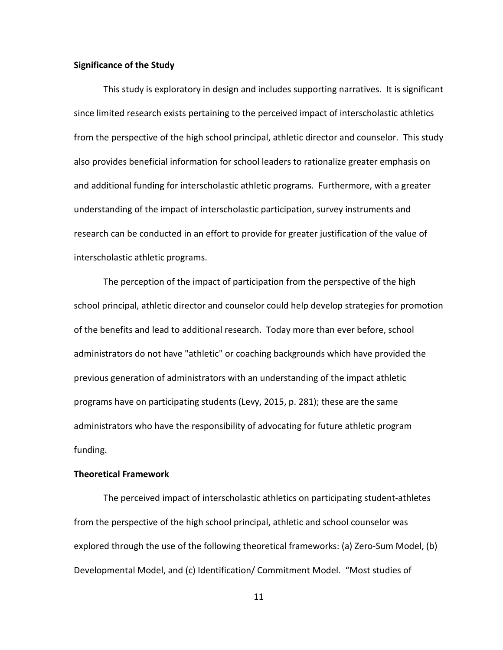#### <span id="page-23-0"></span>**Significance of the Study**

This study is exploratory in design and includes supporting narratives. It is significant since limited research exists pertaining to the perceived impact of interscholastic athletics from the perspective of the high school principal, athletic director and counselor. This study also provides beneficial information for school leaders to rationalize greater emphasis on and additional funding for interscholastic athletic programs. Furthermore, with a greater understanding of the impact of interscholastic participation, survey instruments and research can be conducted in an effort to provide for greater justification of the value of interscholastic athletic programs.

The perception of the impact of participation from the perspective of the high school principal, athletic director and counselor could help develop strategies for promotion of the benefits and lead to additional research. Today more than ever before, school administrators do not have "athletic" or coaching backgrounds which have provided the previous generation of administrators with an understanding of the impact athletic programs have on participating students (Levy, 2015, p. 281); these are the same administrators who have the responsibility of advocating for future athletic program funding.

## <span id="page-23-1"></span>**Theoretical Framework**

The perceived impact of interscholastic athletics on participating student-athletes from the perspective of the high school principal, athletic and school counselor was explored through the use of the following theoretical frameworks: (a) Zero-Sum Model, (b) Developmental Model, and (c) Identification/ Commitment Model. "Most studies of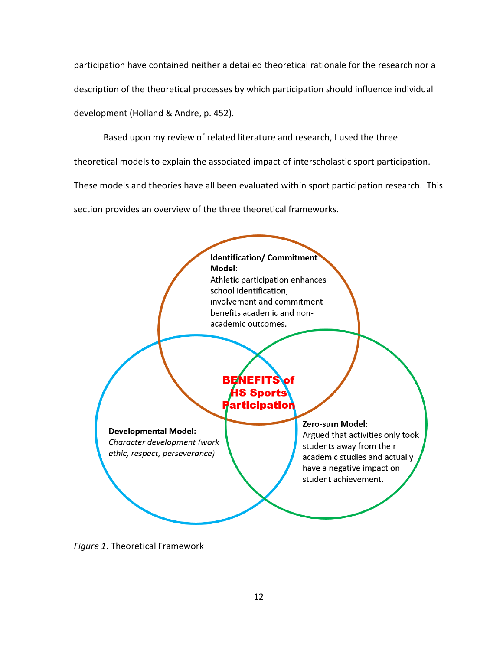participation have contained neither a detailed theoretical rationale for the research nor a description of the theoretical processes by which participation should influence individual development (Holland & Andre, p. 452).

Based upon my review of related literature and research, I used the three

theoretical models to explain the associated impact of interscholastic sport participation.

These models and theories have all been evaluated within sport participation research. This section provides an overview of the three theoretical frameworks.



<span id="page-24-0"></span>*Figure 1*. Theoretical Framework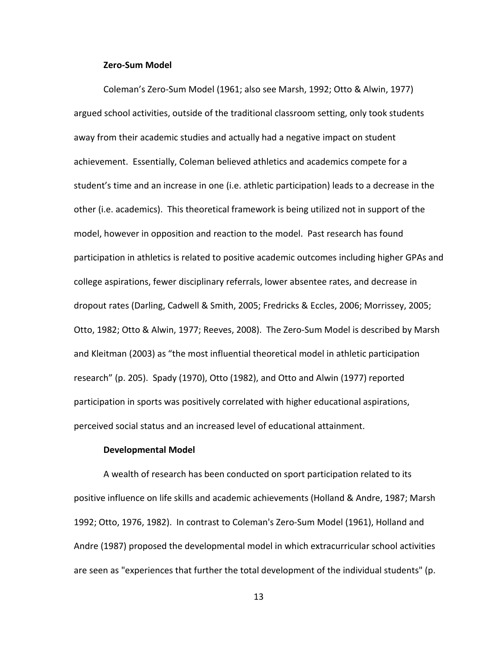#### **Zero-Sum Model**

<span id="page-25-0"></span>Coleman's Zero-Sum Model (1961; also see Marsh, 1992; Otto & Alwin, 1977) argued school activities, outside of the traditional classroom setting, only took students away from their academic studies and actually had a negative impact on student achievement. Essentially, Coleman believed athletics and academics compete for a student's time and an increase in one (i.e. athletic participation) leads to a decrease in the other (i.e. academics). This theoretical framework is being utilized not in support of the model, however in opposition and reaction to the model. Past research has found participation in athletics is related to positive academic outcomes including higher GPAs and college aspirations, fewer disciplinary referrals, lower absentee rates, and decrease in dropout rates (Darling, Cadwell & Smith, 2005; Fredricks & Eccles, 2006; Morrissey, 2005; Otto, 1982; Otto & Alwin, 1977; Reeves, 2008). The Zero-Sum Model is described by Marsh and Kleitman (2003) as "the most influential theoretical model in athletic participation research" (p. 205). Spady (1970), Otto (1982), and Otto and Alwin (1977) reported participation in sports was positively correlated with higher educational aspirations, perceived social status and an increased level of educational attainment.

#### **Developmental Model**

<span id="page-25-1"></span>A wealth of research has been conducted on sport participation related to its positive influence on life skills and academic achievements (Holland & Andre, 1987; Marsh 1992; Otto, 1976, 1982). In contrast to Coleman's Zero-Sum Model (1961), Holland and Andre (1987) proposed the developmental model in which extracurricular school activities are seen as "experiences that further the total development of the individual students" (p.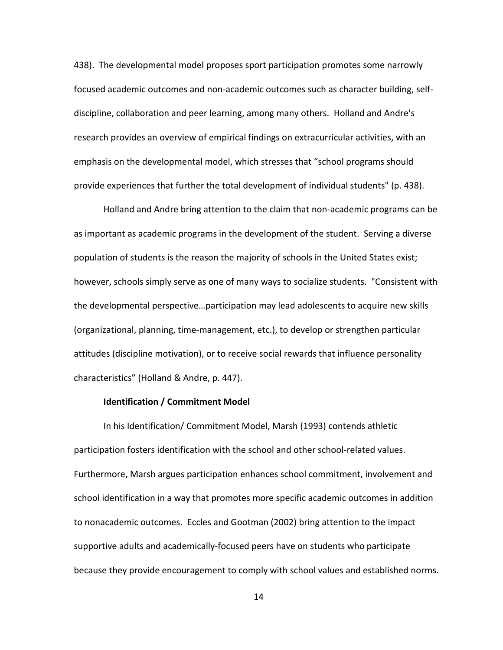438). The developmental model proposes sport participation promotes some narrowly focused academic outcomes and non-academic outcomes such as character building, selfdiscipline, collaboration and peer learning, among many others. Holland and Andre's research provides an overview of empirical findings on extracurricular activities, with an emphasis on the developmental model, which stresses that "school programs should provide experiences that further the total development of individual students" (p. 438).

Holland and Andre bring attention to the claim that non-academic programs can be as important as academic programs in the development of the student. Serving a diverse population of students is the reason the majority of schools in the United States exist; however, schools simply serve as one of many ways to socialize students. "Consistent with the developmental perspective…participation may lead adolescents to acquire new skills (organizational, planning, time-management, etc.), to develop or strengthen particular attitudes (discipline motivation), or to receive social rewards that influence personality characteristics" (Holland & Andre, p. 447).

#### **Identification / Commitment Model**

<span id="page-26-0"></span>In his Identification/ Commitment Model, Marsh (1993) contends athletic participation fosters identification with the school and other school-related values. Furthermore, Marsh argues participation enhances school commitment, involvement and school identification in a way that promotes more specific academic outcomes in addition to nonacademic outcomes. Eccles and Gootman (2002) bring attention to the impact supportive adults and academically-focused peers have on students who participate because they provide encouragement to comply with school values and established norms.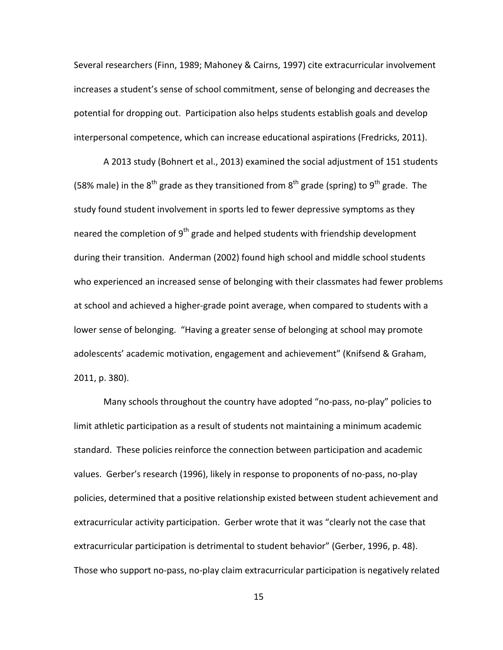Several researchers (Finn, 1989; Mahoney & Cairns, 1997) cite extracurricular involvement increases a student's sense of school commitment, sense of belonging and decreases the potential for dropping out. Participation also helps students establish goals and develop interpersonal competence, which can increase educational aspirations (Fredricks, 2011).

A 2013 study (Bohnert et al., 2013) examined the social adjustment of 151 students (58% male) in the  $8^{th}$  grade as they transitioned from  $8^{th}$  grade (spring) to  $9^{th}$  grade. The study found student involvement in sports led to fewer depressive symptoms as they neared the completion of 9<sup>th</sup> grade and helped students with friendship development during their transition. Anderman (2002) found high school and middle school students who experienced an increased sense of belonging with their classmates had fewer problems at school and achieved a higher-grade point average, when compared to students with a lower sense of belonging. "Having a greater sense of belonging at school may promote adolescents' academic motivation, engagement and achievement" (Knifsend & Graham, 2011, p. 380).

Many schools throughout the country have adopted "no-pass, no-play" policies to limit athletic participation as a result of students not maintaining a minimum academic standard. These policies reinforce the connection between participation and academic values. Gerber's research (1996), likely in response to proponents of no-pass, no-play policies, determined that a positive relationship existed between student achievement and extracurricular activity participation. Gerber wrote that it was "clearly not the case that extracurricular participation is detrimental to student behavior" (Gerber, 1996, p. 48). Those who support no-pass, no-play claim extracurricular participation is negatively related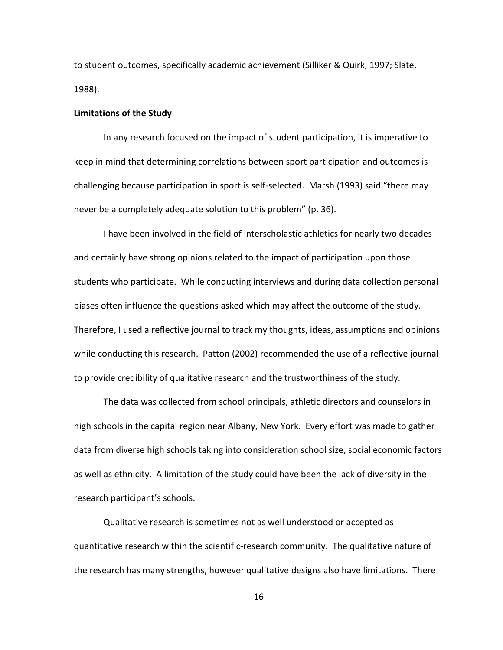to student outcomes, specifically academic achievement (Silliker & Quirk, 1997; Slate, 1988).

#### <span id="page-28-0"></span>**Limitations of the Study**

In any research focused on the impact of student participation, it is imperative to keep in mind that determining correlations between sport participation and outcomes is challenging because participation in sport is self-selected. Marsh (1993) said "there may never be a completely adequate solution to this problem" (p. 36).

I have been involved in the field of interscholastic athletics for nearly two decades and certainly have strong opinions related to the impact of participation upon those students who participate. While conducting interviews and during data collection personal biases often influence the questions asked which may affect the outcome of the study. Therefore, I used a reflective journal to track my thoughts, ideas, assumptions and opinions while conducting this research. Patton (2002) recommended the use of a reflective journal to provide credibility of qualitative research and the trustworthiness of the study.

The data was collected from school principals, athletic directors and counselors in high schools in the capital region near Albany, New York. Every effort was made to gather data from diverse high schools taking into consideration school size, social economic factors as well as ethnicity. A limitation of the study could have been the lack of diversity in the research participant's schools.

Qualitative research is sometimes not as well understood or accepted as quantitative research within the scientific-research community. The qualitative nature of the research has many strengths, however qualitative designs also have limitations. There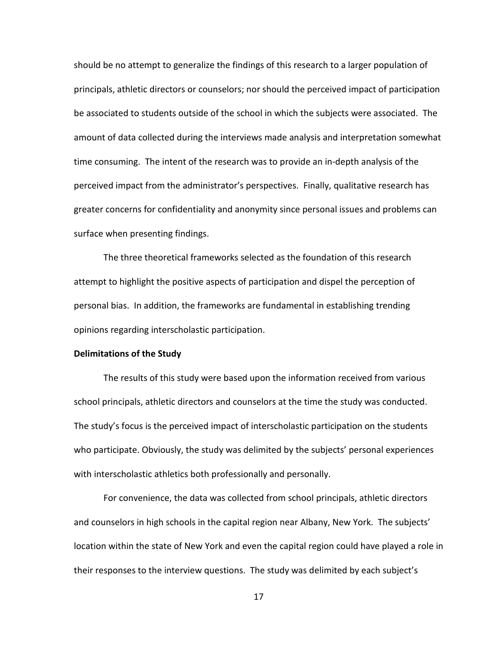should be no attempt to generalize the findings of this research to a larger population of principals, athletic directors or counselors; nor should the perceived impact of participation be associated to students outside of the school in which the subjects were associated. The amount of data collected during the interviews made analysis and interpretation somewhat time consuming. The intent of the research was to provide an in-depth analysis of the perceived impact from the administrator's perspectives. Finally, qualitative research has greater concerns for confidentiality and anonymity since personal issues and problems can surface when presenting findings.

The three theoretical frameworks selected as the foundation of this research attempt to highlight the positive aspects of participation and dispel the perception of personal bias. In addition, the frameworks are fundamental in establishing trending opinions regarding interscholastic participation.

#### <span id="page-29-0"></span>**Delimitations of the Study**

The results of this study were based upon the information received from various school principals, athletic directors and counselors at the time the study was conducted. The study's focus is the perceived impact of interscholastic participation on the students who participate. Obviously, the study was delimited by the subjects' personal experiences with interscholastic athletics both professionally and personally.

For convenience, the data was collected from school principals, athletic directors and counselors in high schools in the capital region near Albany, New York. The subjects' location within the state of New York and even the capital region could have played a role in their responses to the interview questions. The study was delimited by each subject's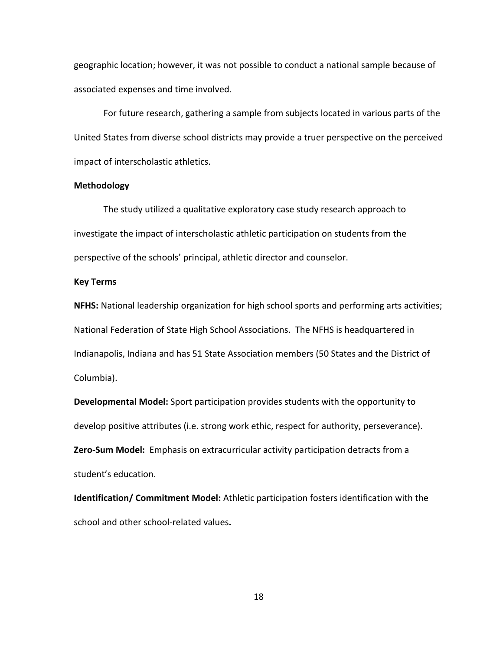geographic location; however, it was not possible to conduct a national sample because of associated expenses and time involved.

For future research, gathering a sample from subjects located in various parts of the United States from diverse school districts may provide a truer perspective on the perceived impact of interscholastic athletics.

#### <span id="page-30-0"></span>**Methodology**

The study utilized a qualitative exploratory case study research approach to investigate the impact of interscholastic athletic participation on students from the perspective of the schools' principal, athletic director and counselor.

#### <span id="page-30-1"></span>**Key Terms**

**NFHS:** National leadership organization for high school sports and performing arts activities; National Federation of State High School Associations. The NFHS is headquartered in Indianapolis, Indiana and has 51 State Association members (50 States and the District of Columbia).

**Developmental Model:** Sport participation provides students with the opportunity to develop positive attributes (i.e. strong work ethic, respect for authority, perseverance). **Zero-Sum Model:** Emphasis on extracurricular activity participation detracts from a student's education.

**Identification/ Commitment Model:** Athletic participation fosters identification with the school and other school-related values**.**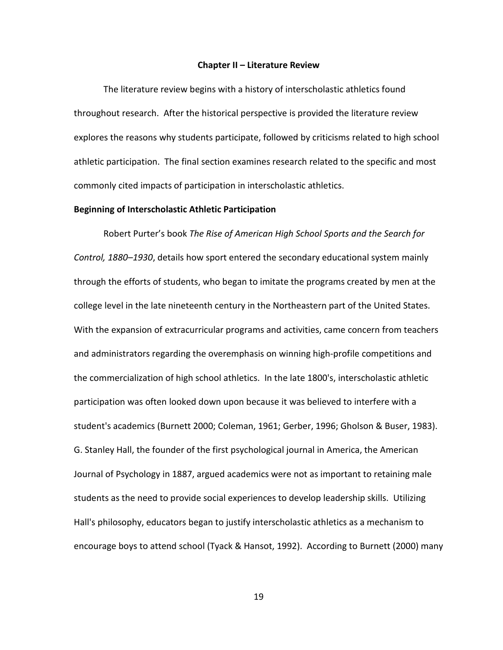#### **Chapter II – Literature Review**

<span id="page-31-0"></span>The literature review begins with a history of interscholastic athletics found throughout research. After the historical perspective is provided the literature review explores the reasons why students participate, followed by criticisms related to high school athletic participation. The final section examines research related to the specific and most commonly cited impacts of participation in interscholastic athletics.

#### <span id="page-31-1"></span>**Beginning of Interscholastic Athletic Participation**

Robert Purter's book *The Rise of American High School Sports and the Search for Control, 1880–1930*, details how sport entered the secondary educational system mainly through the efforts of students, who began to imitate the programs created by men at the college level in the late nineteenth century in the Northeastern part of the United States. With the expansion of extracurricular programs and activities, came concern from teachers and administrators regarding the overemphasis on winning high-profile competitions and the commercialization of high school athletics. In the late 1800's, interscholastic athletic participation was often looked down upon because it was believed to interfere with a student's academics (Burnett 2000; Coleman, 1961; Gerber, 1996; Gholson & Buser, 1983). G. Stanley Hall, the founder of the first psychological journal in America, the American Journal of Psychology in 1887, argued academics were not as important to retaining male students as the need to provide social experiences to develop leadership skills. Utilizing Hall's philosophy, educators began to justify interscholastic athletics as a mechanism to encourage boys to attend school (Tyack & Hansot, 1992). According to Burnett (2000) many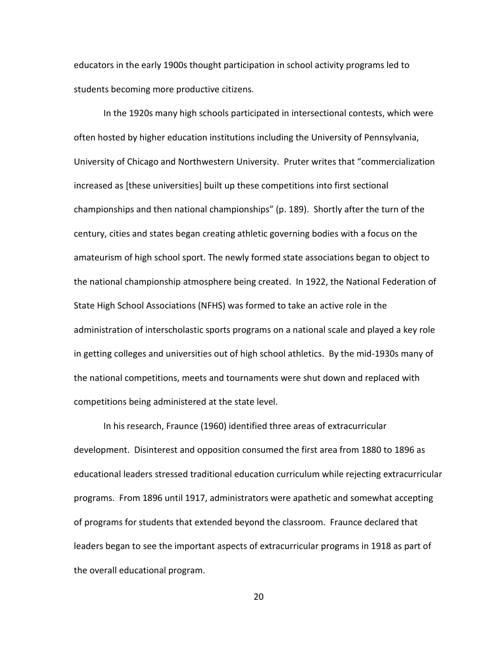educators in the early 1900s thought participation in school activity programs led to students becoming more productive citizens.

In the 1920s many high schools participated in intersectional contests, which were often hosted by higher education institutions including the University of Pennsylvania, University of Chicago and Northwestern University. Pruter writes that "commercialization increased as [these universities] built up these competitions into first sectional championships and then national championships" (p. 189). Shortly after the turn of the century, cities and states began creating athletic governing bodies with a focus on the amateurism of high school sport. The newly formed state associations began to object to the national championship atmosphere being created. In 1922, the National Federation of State High School Associations (NFHS) was formed to take an active role in the administration of interscholastic sports programs on a national scale and played a key role in getting colleges and universities out of high school athletics. By the mid-1930s many of the national competitions, meets and tournaments were shut down and replaced with competitions being administered at the state level.

In his research, Fraunce (1960) identified three areas of extracurricular development. Disinterest and opposition consumed the first area from 1880 to 1896 as educational leaders stressed traditional education curriculum while rejecting extracurricular programs. From 1896 until 1917, administrators were apathetic and somewhat accepting of programs for students that extended beyond the classroom. Fraunce declared that leaders began to see the important aspects of extracurricular programs in 1918 as part of the overall educational program.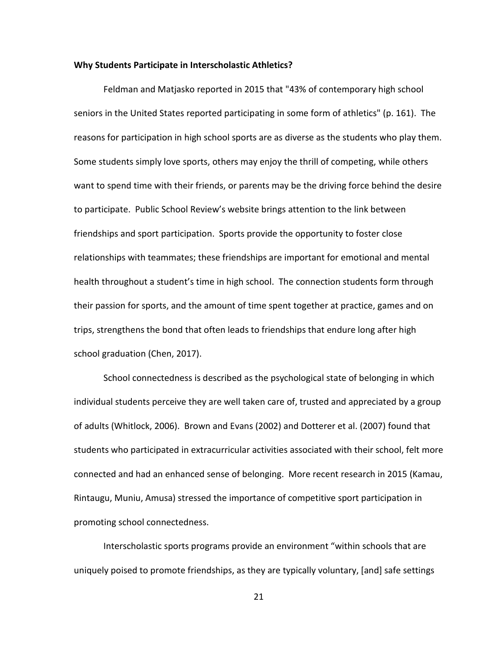#### <span id="page-33-0"></span>**Why Students Participate in Interscholastic Athletics?**

Feldman and Matjasko reported in 2015 that "43% of contemporary high school seniors in the United States reported participating in some form of athletics" (p. 161). The reasons for participation in high school sports are as diverse as the students who play them. Some students simply love sports, others may enjoy the thrill of competing, while others want to spend time with their friends, or parents may be the driving force behind the desire to participate. Public School Review's website brings attention to the link between friendships and sport participation. Sports provide the opportunity to foster close relationships with teammates; these friendships are important for emotional and mental health throughout a student's time in high school. The connection students form through their passion for sports, and the amount of time spent together at practice, games and on trips, strengthens the bond that often leads to friendships that endure long after high school graduation (Chen, 2017).

School connectedness is described as the psychological state of belonging in which individual students perceive they are well taken care of, trusted and appreciated by a group of adults (Whitlock, 2006). Brown and Evans (2002) and Dotterer et al. (2007) found that students who participated in extracurricular activities associated with their school, felt more connected and had an enhanced sense of belonging. More recent research in 2015 (Kamau, Rintaugu, Muniu, Amusa) stressed the importance of competitive sport participation in promoting school connectedness.

Interscholastic sports programs provide an environment "within schools that are uniquely poised to promote friendships, as they are typically voluntary, [and] safe settings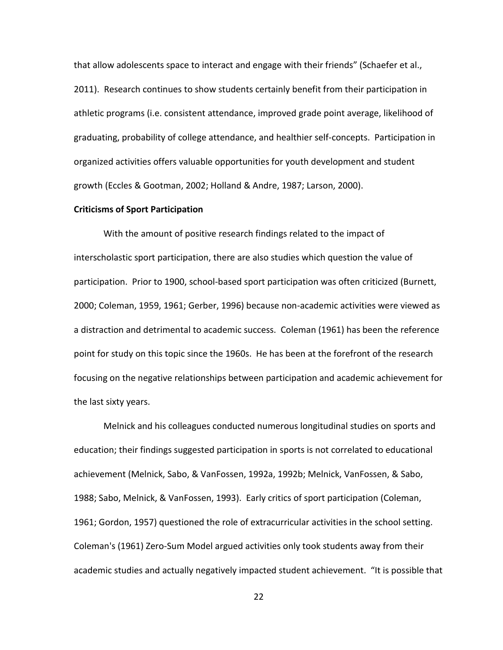that allow adolescents space to interact and engage with their friends" (Schaefer et al., 2011). Research continues to show students certainly benefit from their participation in athletic programs (i.e. consistent attendance, improved grade point average, likelihood of graduating, probability of college attendance, and healthier self-concepts. Participation in organized activities offers valuable opportunities for youth development and student growth (Eccles & Gootman, 2002; Holland & Andre, 1987; Larson, 2000).

#### <span id="page-34-0"></span>**Criticisms of Sport Participation**

With the amount of positive research findings related to the impact of interscholastic sport participation, there are also studies which question the value of participation. Prior to 1900, school-based sport participation was often criticized (Burnett, 2000; Coleman, 1959, 1961; Gerber, 1996) because non-academic activities were viewed as a distraction and detrimental to academic success. Coleman (1961) has been the reference point for study on this topic since the 1960s. He has been at the forefront of the research focusing on the negative relationships between participation and academic achievement for the last sixty years.

Melnick and his colleagues conducted numerous longitudinal studies on sports and education; their findings suggested participation in sports is not correlated to educational achievement (Melnick, Sabo, & VanFossen, 1992a, 1992b; Melnick, VanFossen, & Sabo, 1988; Sabo, Melnick, & VanFossen, 1993). Early critics of sport participation (Coleman, 1961; Gordon, 1957) questioned the role of extracurricular activities in the school setting. Coleman's (1961) Zero-Sum Model argued activities only took students away from their academic studies and actually negatively impacted student achievement. "It is possible that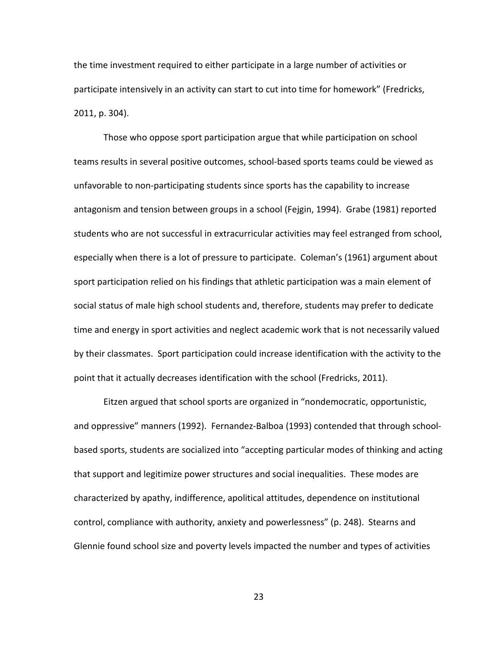the time investment required to either participate in a large number of activities or participate intensively in an activity can start to cut into time for homework" (Fredricks, 2011, p. 304).

Those who oppose sport participation argue that while participation on school teams results in several positive outcomes, school-based sports teams could be viewed as unfavorable to non-participating students since sports has the capability to increase antagonism and tension between groups in a school (Fejgin, 1994). Grabe (1981) reported students who are not successful in extracurricular activities may feel estranged from school, especially when there is a lot of pressure to participate. Coleman's (1961) argument about sport participation relied on his findings that athletic participation was a main element of social status of male high school students and, therefore, students may prefer to dedicate time and energy in sport activities and neglect academic work that is not necessarily valued by their classmates. Sport participation could increase identification with the activity to the point that it actually decreases identification with the school (Fredricks, 2011).

Eitzen argued that school sports are organized in "nondemocratic, opportunistic, and oppressive" manners (1992). Fernandez-Balboa (1993) contended that through schoolbased sports, students are socialized into "accepting particular modes of thinking and acting that support and legitimize power structures and social inequalities. These modes are characterized by apathy, indifference, apolitical attitudes, dependence on institutional control, compliance with authority, anxiety and powerlessness" (p. 248). Stearns and Glennie found school size and poverty levels impacted the number and types of activities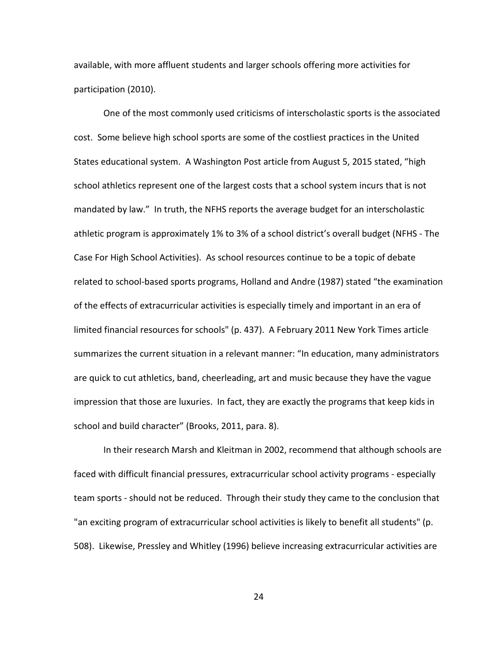available, with more affluent students and larger schools offering more activities for participation (2010).

One of the most commonly used criticisms of interscholastic sports is the associated cost. Some believe high school sports are some of the costliest practices in the United States educational system. A Washington Post article from August 5, 2015 stated, "high school athletics represent one of the largest costs that a school system incurs that is not mandated by law." In truth, the NFHS reports the average budget for an interscholastic athletic program is approximately 1% to 3% of a school district's overall budget (NFHS - The Case For High School Activities). As school resources continue to be a topic of debate related to school-based sports programs, Holland and Andre (1987) stated "the examination of the effects of extracurricular activities is especially timely and important in an era of limited financial resources for schools" (p. 437). A February 2011 New York Times article summarizes the current situation in a relevant manner: "In education, many administrators are quick to cut athletics, band, cheerleading, art and music because they have the vague impression that those are luxuries. In fact, they are exactly the programs that keep kids in school and build character" (Brooks, 2011, para. 8).

In their research Marsh and Kleitman in 2002, recommend that although schools are faced with difficult financial pressures, extracurricular school activity programs - especially team sports - should not be reduced. Through their study they came to the conclusion that "an exciting program of extracurricular school activities is likely to benefit all students" (p. 508). Likewise, Pressley and Whitley (1996) believe increasing extracurricular activities are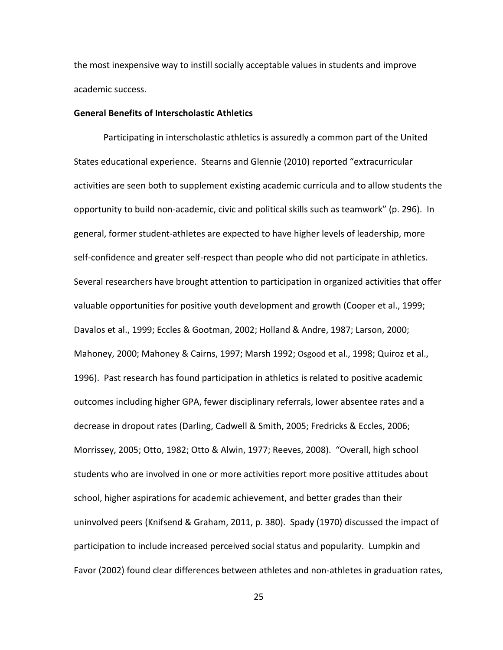the most inexpensive way to instill socially acceptable values in students and improve academic success.

# **General Benefits of Interscholastic Athletics**

Participating in interscholastic athletics is assuredly a common part of the United States educational experience. Stearns and Glennie (2010) reported "extracurricular activities are seen both to supplement existing academic curricula and to allow students the opportunity to build non-academic, civic and political skills such as teamwork" (p. 296). In general, former student-athletes are expected to have higher levels of leadership, more self-confidence and greater self-respect than people who did not participate in athletics. Several researchers have brought attention to participation in organized activities that offer valuable opportunities for positive youth development and growth (Cooper et al., 1999; Davalos et al., 1999; Eccles & Gootman, 2002; Holland & Andre, 1987; Larson, 2000; Mahoney, 2000; Mahoney & Cairns, 1997; Marsh 1992; Osgood et al., 1998; Quiroz et al., 1996). Past research has found participation in athletics is related to positive academic outcomes including higher GPA, fewer disciplinary referrals, lower absentee rates and a decrease in dropout rates (Darling, Cadwell & Smith, 2005; Fredricks & Eccles, 2006; Morrissey, 2005; Otto, 1982; Otto & Alwin, 1977; Reeves, 2008). "Overall, high school students who are involved in one or more activities report more positive attitudes about school, higher aspirations for academic achievement, and better grades than their uninvolved peers (Knifsend & Graham, 2011, p. 380). Spady (1970) discussed the impact of participation to include increased perceived social status and popularity. Lumpkin and Favor (2002) found clear differences between athletes and non-athletes in graduation rates,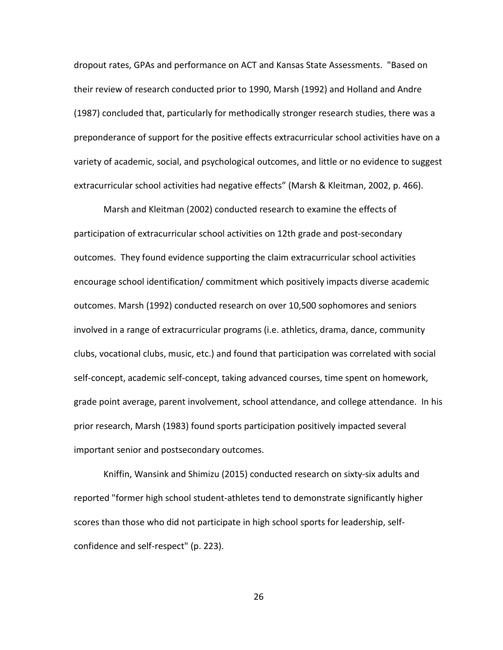dropout rates, GPAs and performance on ACT and Kansas State Assessments. "Based on their review of research conducted prior to 1990, Marsh (1992) and Holland and Andre (1987) concluded that, particularly for methodically stronger research studies, there was a preponderance of support for the positive effects extracurricular school activities have on a variety of academic, social, and psychological outcomes, and little or no evidence to suggest extracurricular school activities had negative effects" (Marsh & Kleitman, 2002, p. 466).

Marsh and Kleitman (2002) conducted research to examine the effects of participation of extracurricular school activities on 12th grade and post-secondary outcomes. They found evidence supporting the claim extracurricular school activities encourage school identification/ commitment which positively impacts diverse academic outcomes. Marsh (1992) conducted research on over 10,500 sophomores and seniors involved in a range of extracurricular programs (i.e. athletics, drama, dance, community clubs, vocational clubs, music, etc.) and found that participation was correlated with social self-concept, academic self-concept, taking advanced courses, time spent on homework, grade point average, parent involvement, school attendance, and college attendance. In his prior research, Marsh (1983) found sports participation positively impacted several important senior and postsecondary outcomes.

Kniffin, Wansink and Shimizu (2015) conducted research on sixty-six adults and reported "former high school student-athletes tend to demonstrate significantly higher scores than those who did not participate in high school sports for leadership, selfconfidence and self-respect" (p. 223).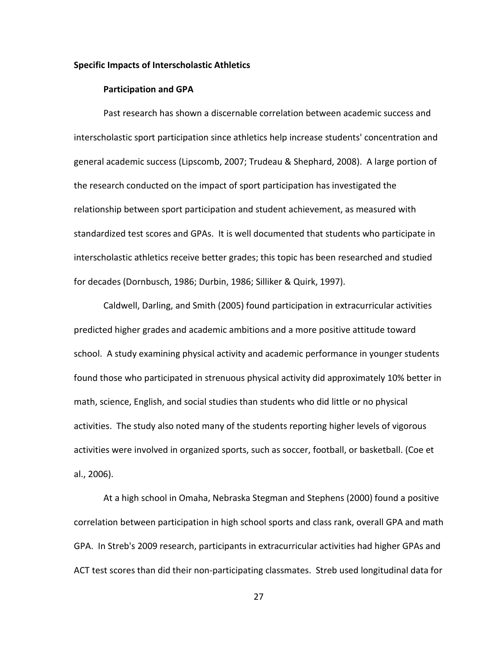## **Specific Impacts of Interscholastic Athletics**

#### **Participation and GPA**

Past research has shown a discernable correlation between academic success and interscholastic sport participation since athletics help increase students' concentration and general academic success (Lipscomb, 2007; Trudeau & Shephard, 2008). A large portion of the research conducted on the impact of sport participation has investigated the relationship between sport participation and student achievement, as measured with standardized test scores and GPAs. It is well documented that students who participate in interscholastic athletics receive better grades; this topic has been researched and studied for decades (Dornbusch, 1986; Durbin, 1986; Silliker & Quirk, 1997).

Caldwell, Darling, and Smith (2005) found participation in extracurricular activities predicted higher grades and academic ambitions and a more positive attitude toward school. A study examining physical activity and academic performance in younger students found those who participated in strenuous physical activity did approximately 10% better in math, science, English, and social studies than students who did little or no physical activities. The study also noted many of the students reporting higher levels of vigorous activities were involved in organized sports, such as soccer, football, or basketball. (Coe et al., 2006).

At a high school in Omaha, Nebraska Stegman and Stephens (2000) found a positive correlation between participation in high school sports and class rank, overall GPA and math GPA. In Streb's 2009 research, participants in extracurricular activities had higher GPAs and ACT test scores than did their non-participating classmates. Streb used longitudinal data for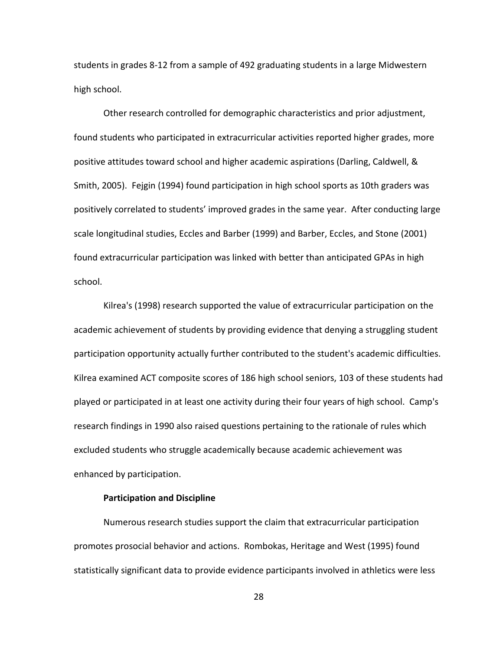students in grades 8-12 from a sample of 492 graduating students in a large Midwestern high school.

Other research controlled for demographic characteristics and prior adjustment, found students who participated in extracurricular activities reported higher grades, more positive attitudes toward school and higher academic aspirations (Darling, Caldwell, & Smith, 2005). Fejgin (1994) found participation in high school sports as 10th graders was positively correlated to students' improved grades in the same year. After conducting large scale longitudinal studies, Eccles and Barber (1999) and Barber, Eccles, and Stone (2001) found extracurricular participation was linked with better than anticipated GPAs in high school.

Kilrea's (1998) research supported the value of extracurricular participation on the academic achievement of students by providing evidence that denying a struggling student participation opportunity actually further contributed to the student's academic difficulties. Kilrea examined ACT composite scores of 186 high school seniors, 103 of these students had played or participated in at least one activity during their four years of high school. Camp's research findings in 1990 also raised questions pertaining to the rationale of rules which excluded students who struggle academically because academic achievement was enhanced by participation.

### **Participation and Discipline**

Numerous research studies support the claim that extracurricular participation promotes prosocial behavior and actions. Rombokas, Heritage and West (1995) found statistically significant data to provide evidence participants involved in athletics were less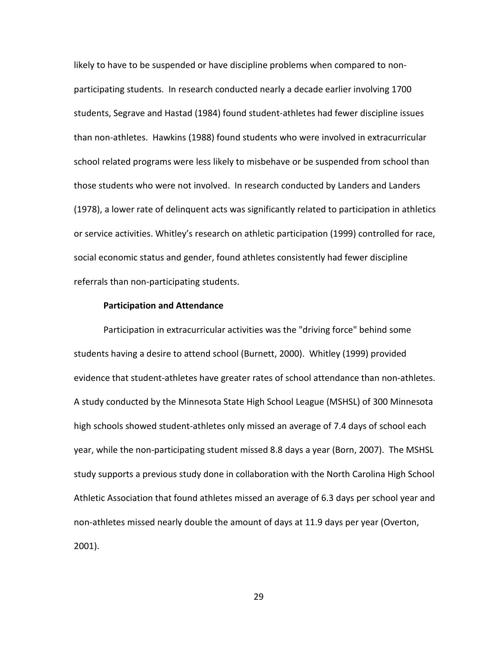likely to have to be suspended or have discipline problems when compared to nonparticipating students. In research conducted nearly a decade earlier involving 1700 students, Segrave and Hastad (1984) found student-athletes had fewer discipline issues than non-athletes. Hawkins (1988) found students who were involved in extracurricular school related programs were less likely to misbehave or be suspended from school than those students who were not involved. In research conducted by Landers and Landers (1978), a lower rate of delinquent acts was significantly related to participation in athletics or service activities. Whitley's research on athletic participation (1999) controlled for race, social economic status and gender, found athletes consistently had fewer discipline referrals than non-participating students.

### **Participation and Attendance**

Participation in extracurricular activities was the "driving force" behind some students having a desire to attend school (Burnett, 2000). Whitley (1999) provided evidence that student-athletes have greater rates of school attendance than non-athletes. A study conducted by the Minnesota State High School League (MSHSL) of 300 Minnesota high schools showed student-athletes only missed an average of 7.4 days of school each year, while the non-participating student missed 8.8 days a year (Born, 2007). The MSHSL study supports a previous study done in collaboration with the North Carolina High School Athletic Association that found athletes missed an average of 6.3 days per school year and non-athletes missed nearly double the amount of days at 11.9 days per year (Overton, 2001).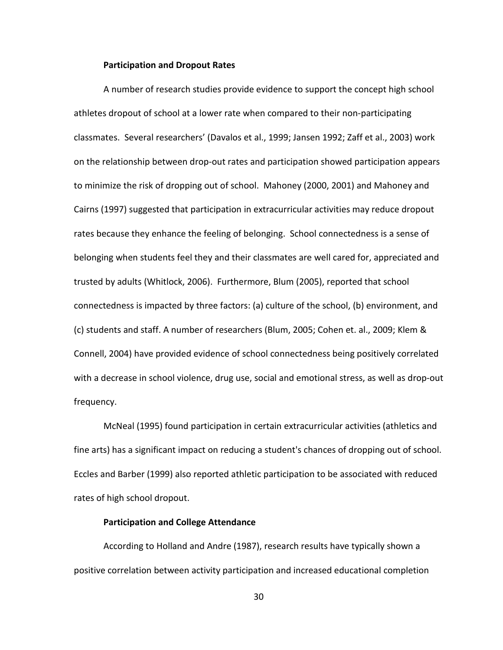### **Participation and Dropout Rates**

A number of research studies provide evidence to support the concept high school athletes dropout of school at a lower rate when compared to their non-participating classmates. Several researchers' (Davalos et al., 1999; Jansen 1992; Zaff et al., 2003) work on the relationship between drop-out rates and participation showed participation appears to minimize the risk of dropping out of school. Mahoney (2000, 2001) and Mahoney and Cairns (1997) suggested that participation in extracurricular activities may reduce dropout rates because they enhance the feeling of belonging. School connectedness is a sense of belonging when students feel they and their classmates are well cared for, appreciated and trusted by adults (Whitlock, 2006). Furthermore, Blum (2005), reported that school connectedness is impacted by three factors: (a) culture of the school, (b) environment, and (c) students and staff. A number of researchers (Blum, 2005; Cohen et. al., 2009; Klem & Connell, 2004) have provided evidence of school connectedness being positively correlated with a decrease in school violence, drug use, social and emotional stress, as well as drop-out frequency.

McNeal (1995) found participation in certain extracurricular activities (athletics and fine arts) has a significant impact on reducing a student's chances of dropping out of school. Eccles and Barber (1999) also reported athletic participation to be associated with reduced rates of high school dropout.

# **Participation and College Attendance**

According to Holland and Andre (1987), research results have typically shown a positive correlation between activity participation and increased educational completion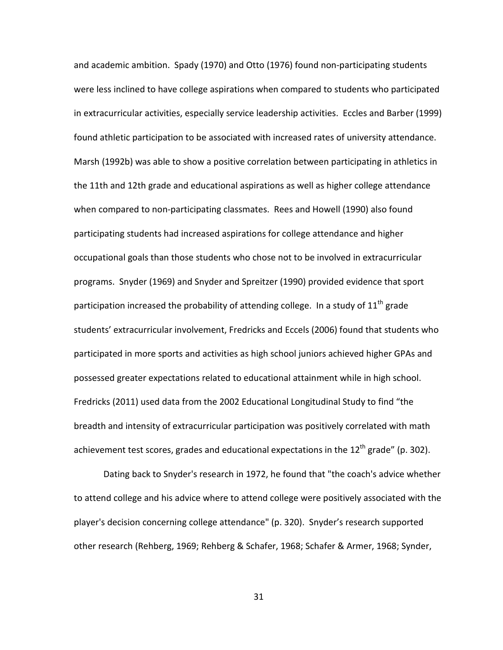and academic ambition. Spady (1970) and Otto (1976) found non-participating students were less inclined to have college aspirations when compared to students who participated in extracurricular activities, especially service leadership activities. Eccles and Barber (1999) found athletic participation to be associated with increased rates of university attendance. Marsh (1992b) was able to show a positive correlation between participating in athletics in the 11th and 12th grade and educational aspirations as well as higher college attendance when compared to non-participating classmates. Rees and Howell (1990) also found participating students had increased aspirations for college attendance and higher occupational goals than those students who chose not to be involved in extracurricular programs. Snyder (1969) and Snyder and Spreitzer (1990) provided evidence that sport participation increased the probability of attending college. In a study of  $11<sup>th</sup>$  grade students' extracurricular involvement, Fredricks and Eccels (2006) found that students who participated in more sports and activities as high school juniors achieved higher GPAs and possessed greater expectations related to educational attainment while in high school. Fredricks (2011) used data from the 2002 Educational Longitudinal Study to find "the breadth and intensity of extracurricular participation was positively correlated with math achievement test scores, grades and educational expectations in the  $12^{th}$  grade" (p. 302).

Dating back to Snyder's research in 1972, he found that "the coach's advice whether to attend college and his advice where to attend college were positively associated with the player's decision concerning college attendance" (p. 320). Snyder's research supported other research (Rehberg, 1969; Rehberg & Schafer, 1968; Schafer & Armer, 1968; Synder,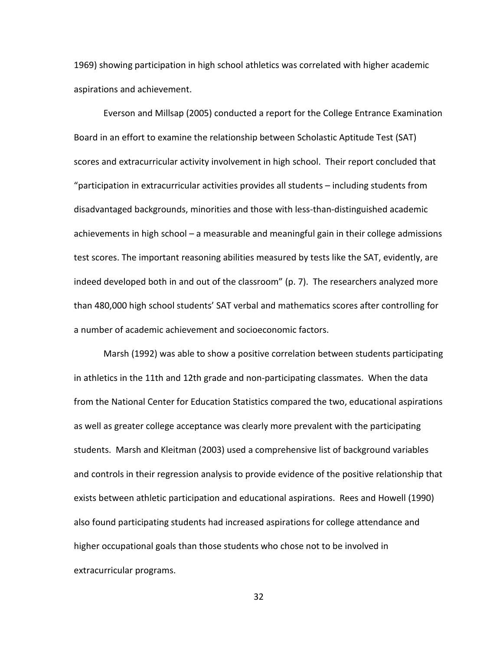1969) showing participation in high school athletics was correlated with higher academic aspirations and achievement.

Everson and Millsap (2005) conducted a report for the College Entrance Examination Board in an effort to examine the relationship between Scholastic Aptitude Test (SAT) scores and extracurricular activity involvement in high school. Their report concluded that "participation in extracurricular activities provides all students – including students from disadvantaged backgrounds, minorities and those with less-than-distinguished academic achievements in high school – a measurable and meaningful gain in their college admissions test scores. The important reasoning abilities measured by tests like the SAT, evidently, are indeed developed both in and out of the classroom" (p. 7). The researchers analyzed more than 480,000 high school students' SAT verbal and mathematics scores after controlling for a number of academic achievement and socioeconomic factors.

Marsh (1992) was able to show a positive correlation between students participating in athletics in the 11th and 12th grade and non-participating classmates. When the data from the National Center for Education Statistics compared the two, educational aspirations as well as greater college acceptance was clearly more prevalent with the participating students. Marsh and Kleitman (2003) used a comprehensive list of background variables and controls in their regression analysis to provide evidence of the positive relationship that exists between athletic participation and educational aspirations. Rees and Howell (1990) also found participating students had increased aspirations for college attendance and higher occupational goals than those students who chose not to be involved in extracurricular programs.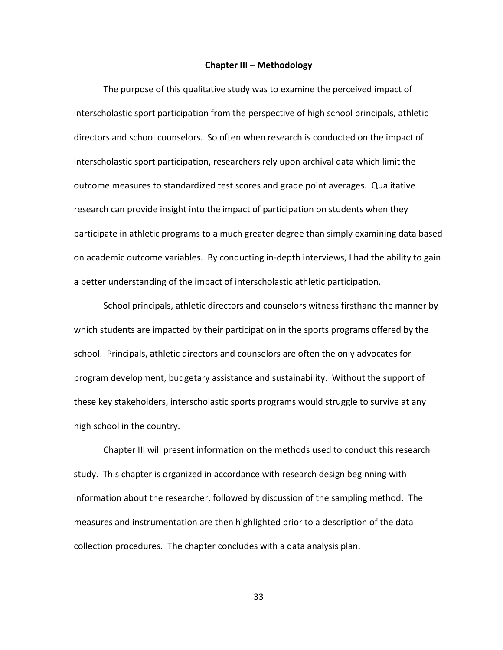### **Chapter III – Methodology**

The purpose of this qualitative study was to examine the perceived impact of interscholastic sport participation from the perspective of high school principals, athletic directors and school counselors. So often when research is conducted on the impact of interscholastic sport participation, researchers rely upon archival data which limit the outcome measures to standardized test scores and grade point averages. Qualitative research can provide insight into the impact of participation on students when they participate in athletic programs to a much greater degree than simply examining data based on academic outcome variables. By conducting in-depth interviews, I had the ability to gain a better understanding of the impact of interscholastic athletic participation.

School principals, athletic directors and counselors witness firsthand the manner by which students are impacted by their participation in the sports programs offered by the school. Principals, athletic directors and counselors are often the only advocates for program development, budgetary assistance and sustainability. Without the support of these key stakeholders, interscholastic sports programs would struggle to survive at any high school in the country.

Chapter III will present information on the methods used to conduct this research study. This chapter is organized in accordance with research design beginning with information about the researcher, followed by discussion of the sampling method. The measures and instrumentation are then highlighted prior to a description of the data collection procedures. The chapter concludes with a data analysis plan.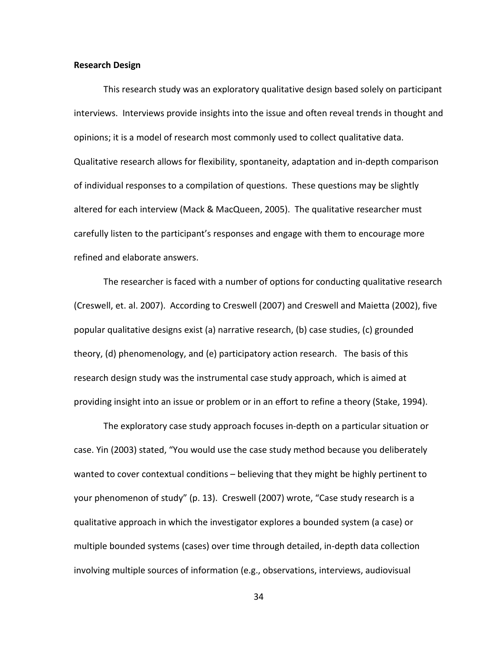### **Research Design**

This research study was an exploratory qualitative design based solely on participant interviews. Interviews provide insights into the issue and often reveal trends in thought and opinions; it is a model of research most commonly used to collect qualitative data. Qualitative research allows for flexibility, spontaneity, adaptation and in-depth comparison of individual responses to a compilation of questions. These questions may be slightly altered for each interview (Mack & MacQueen, 2005). The qualitative researcher must carefully listen to the participant's responses and engage with them to encourage more refined and elaborate answers.

The researcher is faced with a number of options for conducting qualitative research (Creswell, et. al. 2007). According to Creswell (2007) and Creswell and Maietta (2002), five popular qualitative designs exist (a) narrative research, (b) case studies, (c) grounded theory, (d) phenomenology, and (e) participatory action research. The basis of this research design study was the instrumental case study approach, which is aimed at providing insight into an issue or problem or in an effort to refine a theory (Stake, 1994).

The exploratory case study approach focuses in-depth on a particular situation or case. Yin (2003) stated, "You would use the case study method because you deliberately wanted to cover contextual conditions – believing that they might be highly pertinent to your phenomenon of study" (p. 13). Creswell (2007) wrote, "Case study research is a qualitative approach in which the investigator explores a bounded system (a case) or multiple bounded systems (cases) over time through detailed, in-depth data collection involving multiple sources of information (e.g., observations, interviews, audiovisual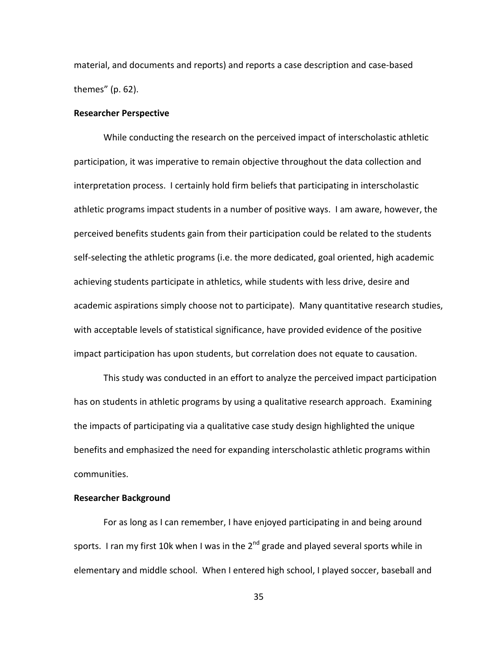material, and documents and reports) and reports a case description and case-based themes" (p. 62).

# **Researcher Perspective**

While conducting the research on the perceived impact of interscholastic athletic participation, it was imperative to remain objective throughout the data collection and interpretation process. I certainly hold firm beliefs that participating in interscholastic athletic programs impact students in a number of positive ways. I am aware, however, the perceived benefits students gain from their participation could be related to the students self-selecting the athletic programs (i.e. the more dedicated, goal oriented, high academic achieving students participate in athletics, while students with less drive, desire and academic aspirations simply choose not to participate). Many quantitative research studies, with acceptable levels of statistical significance, have provided evidence of the positive impact participation has upon students, but correlation does not equate to causation.

This study was conducted in an effort to analyze the perceived impact participation has on students in athletic programs by using a qualitative research approach. Examining the impacts of participating via a qualitative case study design highlighted the unique benefits and emphasized the need for expanding interscholastic athletic programs within communities.

## **Researcher Background**

For as long as I can remember, I have enjoyed participating in and being around sports. I ran my first 10k when I was in the  $2<sup>nd</sup>$  grade and played several sports while in elementary and middle school. When I entered high school, I played soccer, baseball and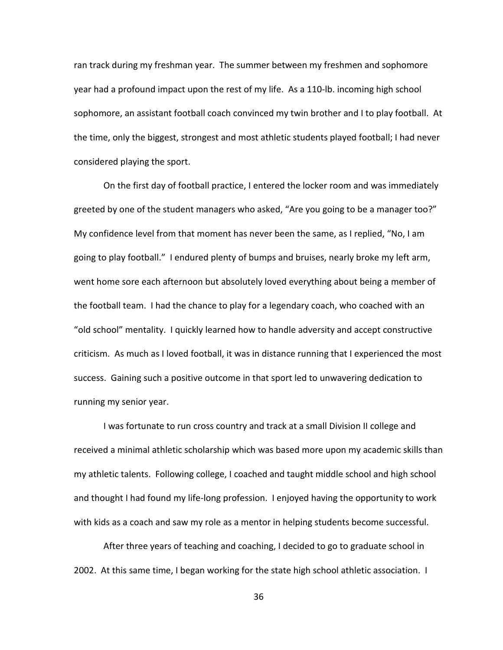ran track during my freshman year. The summer between my freshmen and sophomore year had a profound impact upon the rest of my life. As a 110-lb. incoming high school sophomore, an assistant football coach convinced my twin brother and I to play football. At the time, only the biggest, strongest and most athletic students played football; I had never considered playing the sport.

On the first day of football practice, I entered the locker room and was immediately greeted by one of the student managers who asked, "Are you going to be a manager too?" My confidence level from that moment has never been the same, as I replied, "No, I am going to play football." I endured plenty of bumps and bruises, nearly broke my left arm, went home sore each afternoon but absolutely loved everything about being a member of the football team. I had the chance to play for a legendary coach, who coached with an "old school" mentality. I quickly learned how to handle adversity and accept constructive criticism. As much as I loved football, it was in distance running that I experienced the most success. Gaining such a positive outcome in that sport led to unwavering dedication to running my senior year.

I was fortunate to run cross country and track at a small Division II college and received a minimal athletic scholarship which was based more upon my academic skills than my athletic talents. Following college, I coached and taught middle school and high school and thought I had found my life-long profession. I enjoyed having the opportunity to work with kids as a coach and saw my role as a mentor in helping students become successful.

After three years of teaching and coaching, I decided to go to graduate school in 2002. At this same time, I began working for the state high school athletic association. I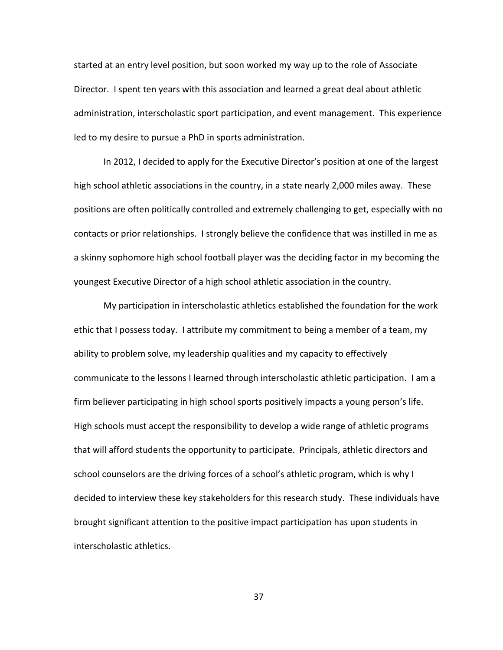started at an entry level position, but soon worked my way up to the role of Associate Director. I spent ten years with this association and learned a great deal about athletic administration, interscholastic sport participation, and event management. This experience led to my desire to pursue a PhD in sports administration.

In 2012, I decided to apply for the Executive Director's position at one of the largest high school athletic associations in the country, in a state nearly 2,000 miles away. These positions are often politically controlled and extremely challenging to get, especially with no contacts or prior relationships. I strongly believe the confidence that was instilled in me as a skinny sophomore high school football player was the deciding factor in my becoming the youngest Executive Director of a high school athletic association in the country.

My participation in interscholastic athletics established the foundation for the work ethic that I possess today. I attribute my commitment to being a member of a team, my ability to problem solve, my leadership qualities and my capacity to effectively communicate to the lessons I learned through interscholastic athletic participation. I am a firm believer participating in high school sports positively impacts a young person's life. High schools must accept the responsibility to develop a wide range of athletic programs that will afford students the opportunity to participate. Principals, athletic directors and school counselors are the driving forces of a school's athletic program, which is why I decided to interview these key stakeholders for this research study. These individuals have brought significant attention to the positive impact participation has upon students in interscholastic athletics.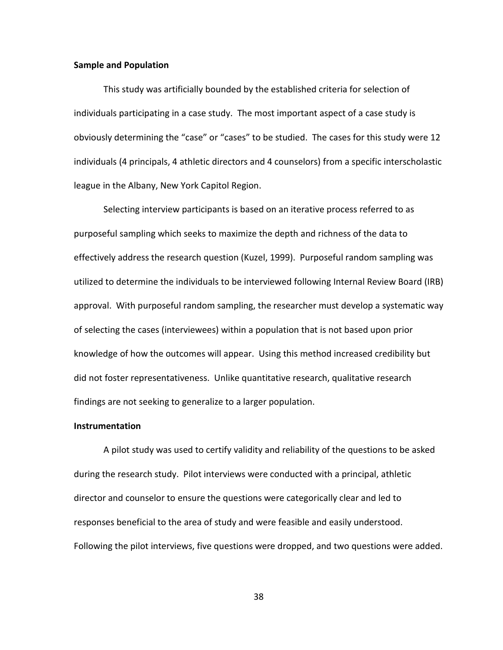## **Sample and Population**

This study was artificially bounded by the established criteria for selection of individuals participating in a case study. The most important aspect of a case study is obviously determining the "case" or "cases" to be studied. The cases for this study were 12 individuals (4 principals, 4 athletic directors and 4 counselors) from a specific interscholastic league in the Albany, New York Capitol Region.

Selecting interview participants is based on an iterative process referred to as purposeful sampling which seeks to maximize the depth and richness of the data to effectively address the research question (Kuzel, 1999). Purposeful random sampling was utilized to determine the individuals to be interviewed following Internal Review Board (IRB) approval. With purposeful random sampling, the researcher must develop a systematic way of selecting the cases (interviewees) within a population that is not based upon prior knowledge of how the outcomes will appear. Using this method increased credibility but did not foster representativeness. Unlike quantitative research, qualitative research findings are not seeking to generalize to a larger population.

## **Instrumentation**

A pilot study was used to certify validity and reliability of the questions to be asked during the research study. Pilot interviews were conducted with a principal, athletic director and counselor to ensure the questions were categorically clear and led to responses beneficial to the area of study and were feasible and easily understood. Following the pilot interviews, five questions were dropped, and two questions were added.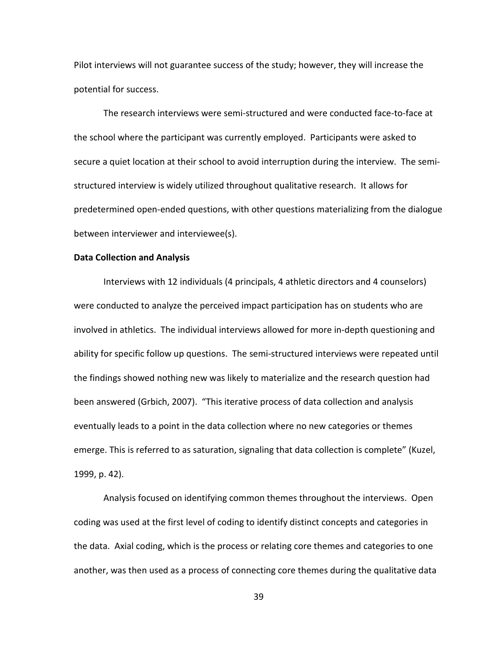Pilot interviews will not guarantee success of the study; however, they will increase the potential for success.

The research interviews were semi-structured and were conducted face-to-face at the school where the participant was currently employed. Participants were asked to secure a quiet location at their school to avoid interruption during the interview. The semistructured interview is widely utilized throughout qualitative research. It allows for predetermined open-ended questions, with other questions materializing from the dialogue between interviewer and interviewee(s).

### **Data Collection and Analysis**

Interviews with 12 individuals (4 principals, 4 athletic directors and 4 counselors) were conducted to analyze the perceived impact participation has on students who are involved in athletics. The individual interviews allowed for more in-depth questioning and ability for specific follow up questions. The semi-structured interviews were repeated until the findings showed nothing new was likely to materialize and the research question had been answered (Grbich, 2007). "This iterative process of data collection and analysis eventually leads to a point in the data collection where no new categories or themes emerge. This is referred to as saturation, signaling that data collection is complete" (Kuzel, 1999, p. 42).

Analysis focused on identifying common themes throughout the interviews. Open coding was used at the first level of coding to identify distinct concepts and categories in the data. Axial coding, which is the process or relating core themes and categories to one another, was then used as a process of connecting core themes during the qualitative data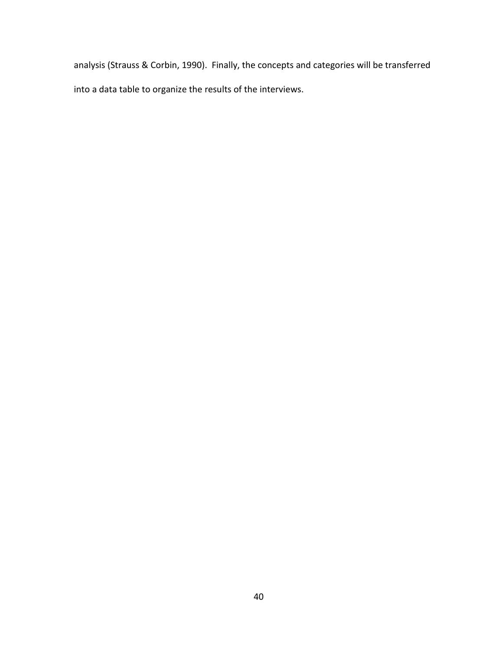analysis (Strauss & Corbin, 1990). Finally, the concepts and categories will be transferred into a data table to organize the results of the interviews.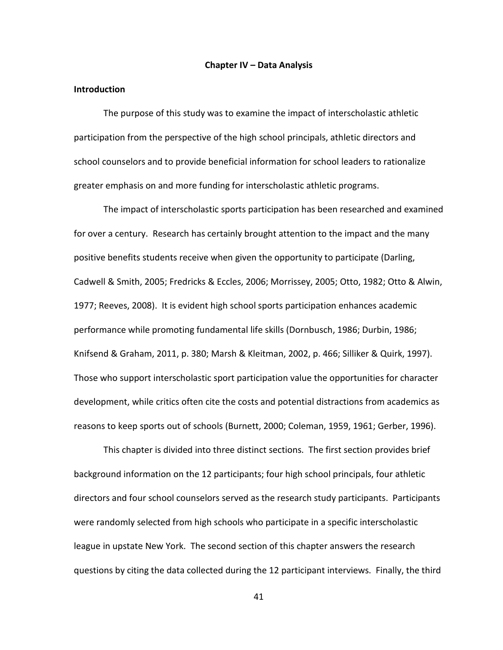#### **Chapter IV – Data Analysis**

#### **Introduction**

The purpose of this study was to examine the impact of interscholastic athletic participation from the perspective of the high school principals, athletic directors and school counselors and to provide beneficial information for school leaders to rationalize greater emphasis on and more funding for interscholastic athletic programs.

The impact of interscholastic sports participation has been researched and examined for over a century. Research has certainly brought attention to the impact and the many positive benefits students receive when given the opportunity to participate (Darling, Cadwell & Smith, 2005; Fredricks & Eccles, 2006; Morrissey, 2005; Otto, 1982; Otto & Alwin, 1977; Reeves, 2008). It is evident high school sports participation enhances academic performance while promoting fundamental life skills (Dornbusch, 1986; Durbin, 1986; Knifsend & Graham, 2011, p. 380; Marsh & Kleitman, 2002, p. 466; Silliker & Quirk, 1997). Those who support interscholastic sport participation value the opportunities for character development, while critics often cite the costs and potential distractions from academics as reasons to keep sports out of schools (Burnett, 2000; Coleman, 1959, 1961; Gerber, 1996).

This chapter is divided into three distinct sections. The first section provides brief background information on the 12 participants; four high school principals, four athletic directors and four school counselors served as the research study participants. Participants were randomly selected from high schools who participate in a specific interscholastic league in upstate New York. The second section of this chapter answers the research questions by citing the data collected during the 12 participant interviews. Finally, the third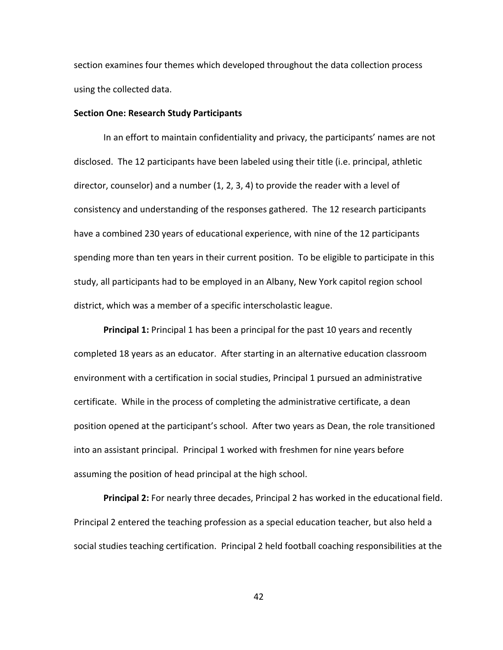section examines four themes which developed throughout the data collection process using the collected data.

## **Section One: Research Study Participants**

In an effort to maintain confidentiality and privacy, the participants' names are not disclosed. The 12 participants have been labeled using their title (i.e. principal, athletic director, counselor) and a number  $(1, 2, 3, 4)$  to provide the reader with a level of consistency and understanding of the responses gathered. The 12 research participants have a combined 230 years of educational experience, with nine of the 12 participants spending more than ten years in their current position. To be eligible to participate in this study, all participants had to be employed in an Albany, New York capitol region school district, which was a member of a specific interscholastic league.

**Principal 1:** Principal 1 has been a principal for the past 10 years and recently completed 18 years as an educator. After starting in an alternative education classroom environment with a certification in social studies, Principal 1 pursued an administrative certificate. While in the process of completing the administrative certificate, a dean position opened at the participant's school. After two years as Dean, the role transitioned into an assistant principal. Principal 1 worked with freshmen for nine years before assuming the position of head principal at the high school.

**Principal 2:** For nearly three decades, Principal 2 has worked in the educational field. Principal 2 entered the teaching profession as a special education teacher, but also held a social studies teaching certification. Principal 2 held football coaching responsibilities at the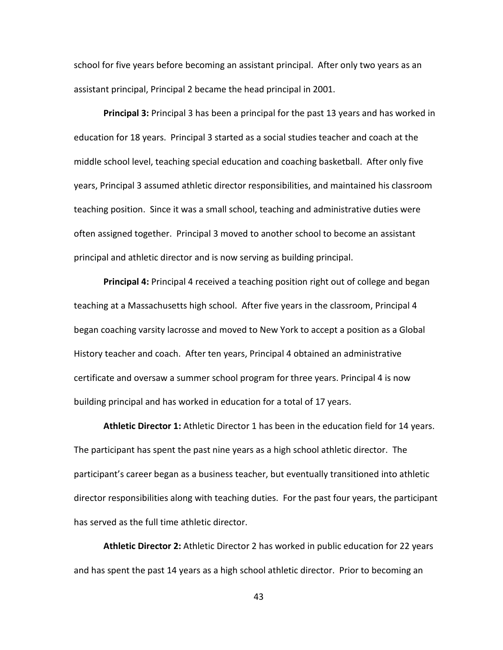school for five years before becoming an assistant principal. After only two years as an assistant principal, Principal 2 became the head principal in 2001.

**Principal 3:** Principal 3 has been a principal for the past 13 years and has worked in education for 18 years. Principal 3 started as a social studies teacher and coach at the middle school level, teaching special education and coaching basketball. After only five years, Principal 3 assumed athletic director responsibilities, and maintained his classroom teaching position. Since it was a small school, teaching and administrative duties were often assigned together. Principal 3 moved to another school to become an assistant principal and athletic director and is now serving as building principal.

**Principal 4:** Principal 4 received a teaching position right out of college and began teaching at a Massachusetts high school. After five years in the classroom, Principal 4 began coaching varsity lacrosse and moved to New York to accept a position as a Global History teacher and coach. After ten years, Principal 4 obtained an administrative certificate and oversaw a summer school program for three years. Principal 4 is now building principal and has worked in education for a total of 17 years.

**Athletic Director 1:** Athletic Director 1 has been in the education field for 14 years. The participant has spent the past nine years as a high school athletic director. The participant's career began as a business teacher, but eventually transitioned into athletic director responsibilities along with teaching duties. For the past four years, the participant has served as the full time athletic director.

**Athletic Director 2:** Athletic Director 2 has worked in public education for 22 years and has spent the past 14 years as a high school athletic director. Prior to becoming an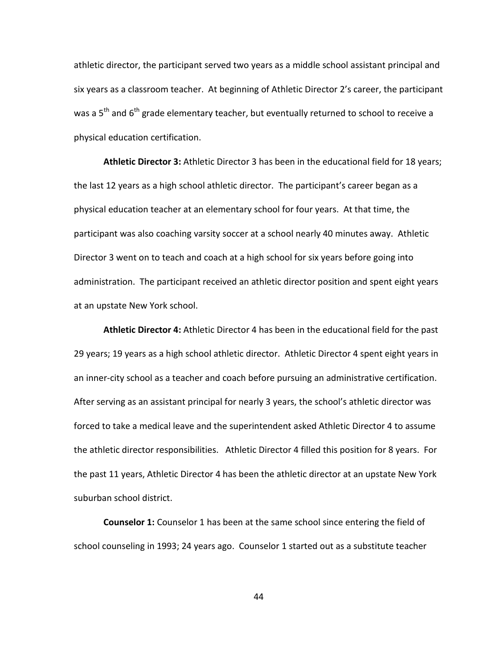athletic director, the participant served two years as a middle school assistant principal and six years as a classroom teacher. At beginning of Athletic Director 2's career, the participant was a  $5<sup>th</sup>$  and  $6<sup>th</sup>$  grade elementary teacher, but eventually returned to school to receive a physical education certification.

**Athletic Director 3:** Athletic Director 3 has been in the educational field for 18 years; the last 12 years as a high school athletic director. The participant's career began as a physical education teacher at an elementary school for four years. At that time, the participant was also coaching varsity soccer at a school nearly 40 minutes away. Athletic Director 3 went on to teach and coach at a high school for six years before going into administration. The participant received an athletic director position and spent eight years at an upstate New York school.

**Athletic Director 4:** Athletic Director 4 has been in the educational field for the past 29 years; 19 years as a high school athletic director. Athletic Director 4 spent eight years in an inner-city school as a teacher and coach before pursuing an administrative certification. After serving as an assistant principal for nearly 3 years, the school's athletic director was forced to take a medical leave and the superintendent asked Athletic Director 4 to assume the athletic director responsibilities. Athletic Director 4 filled this position for 8 years. For the past 11 years, Athletic Director 4 has been the athletic director at an upstate New York suburban school district.

**Counselor 1:** Counselor 1 has been at the same school since entering the field of school counseling in 1993; 24 years ago. Counselor 1 started out as a substitute teacher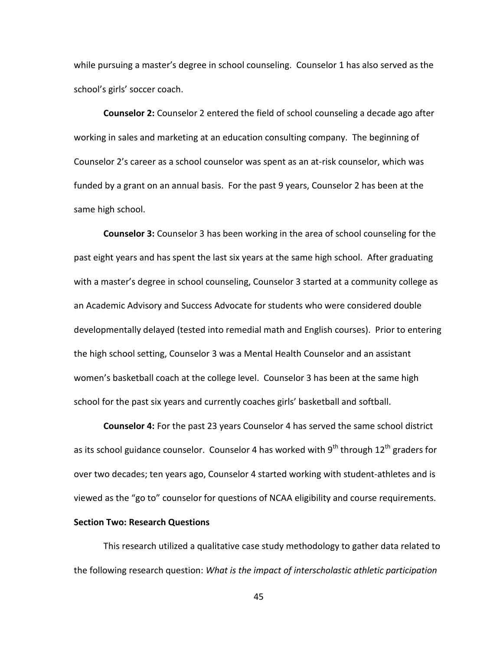while pursuing a master's degree in school counseling. Counselor 1 has also served as the school's girls' soccer coach.

**Counselor 2:** Counselor 2 entered the field of school counseling a decade ago after working in sales and marketing at an education consulting company. The beginning of Counselor 2's career as a school counselor was spent as an at-risk counselor, which was funded by a grant on an annual basis. For the past 9 years, Counselor 2 has been at the same high school.

**Counselor 3:** Counselor 3 has been working in the area of school counseling for the past eight years and has spent the last six years at the same high school. After graduating with a master's degree in school counseling, Counselor 3 started at a community college as an Academic Advisory and Success Advocate for students who were considered double developmentally delayed (tested into remedial math and English courses). Prior to entering the high school setting, Counselor 3 was a Mental Health Counselor and an assistant women's basketball coach at the college level. Counselor 3 has been at the same high school for the past six years and currently coaches girls' basketball and softball.

**Counselor 4:** For the past 23 years Counselor 4 has served the same school district as its school guidance counselor. Counselor 4 has worked with  $9^{th}$  through  $12^{th}$  graders for over two decades; ten years ago, Counselor 4 started working with student-athletes and is viewed as the "go to" counselor for questions of NCAA eligibility and course requirements.

# **Section Two: Research Questions**

This research utilized a qualitative case study methodology to gather data related to the following research question: *What is the impact of interscholastic athletic participation*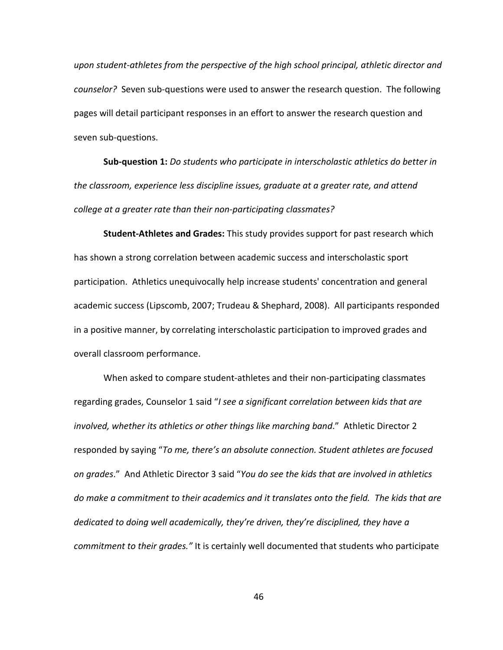*upon student-athletes from the perspective of the high school principal, athletic director and counselor?* Seven sub-questions were used to answer the research question. The following pages will detail participant responses in an effort to answer the research question and seven sub-questions.

**Sub-question 1:** *Do students who participate in interscholastic athletics do better in the classroom, experience less discipline issues, graduate at a greater rate, and attend college at a greater rate than their non-participating classmates?*

**Student-Athletes and Grades:** This study provides support for past research which has shown a strong correlation between academic success and interscholastic sport participation. Athletics unequivocally help increase students' concentration and general academic success (Lipscomb, 2007; Trudeau & Shephard, 2008). All participants responded in a positive manner, by correlating interscholastic participation to improved grades and overall classroom performance.

When asked to compare student-athletes and their non-participating classmates regarding grades, Counselor 1 said "*I see a significant correlation between kids that are involved, whether its athletics or other things like marching band*." Athletic Director 2 responded by saying "*To me, there's an absolute connection. Student athletes are focused on grades*." And Athletic Director 3 said "*You do see the kids that are involved in athletics do make a commitment to their academics and it translates onto the field. The kids that are dedicated to doing well academically, they're driven, they're disciplined, they have a commitment to their grades."* It is certainly well documented that students who participate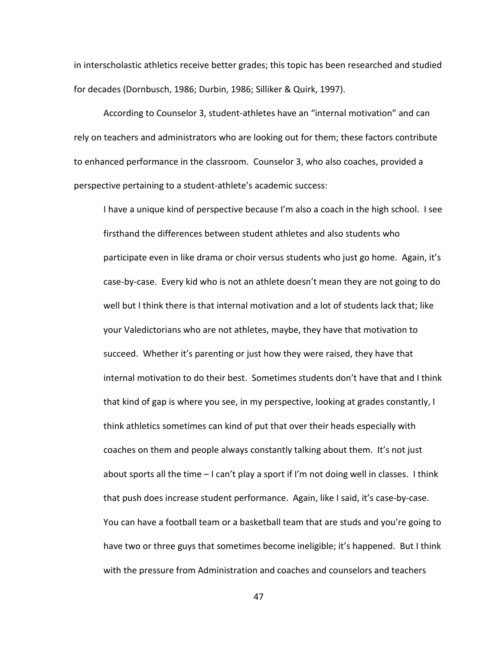in interscholastic athletics receive better grades; this topic has been researched and studied for decades (Dornbusch, 1986; Durbin, 1986; Silliker & Quirk, 1997).

According to Counselor 3, student-athletes have an "internal motivation" and can rely on teachers and administrators who are looking out for them; these factors contribute to enhanced performance in the classroom. Counselor 3, who also coaches, provided a perspective pertaining to a student-athlete's academic success:

I have a unique kind of perspective because I'm also a coach in the high school. I see firsthand the differences between student athletes and also students who participate even in like drama or choir versus students who just go home. Again, it's case-by-case. Every kid who is not an athlete doesn't mean they are not going to do well but I think there is that internal motivation and a lot of students lack that; like your Valedictorians who are not athletes, maybe, they have that motivation to succeed. Whether it's parenting or just how they were raised, they have that internal motivation to do their best. Sometimes students don't have that and I think that kind of gap is where you see, in my perspective, looking at grades constantly, I think athletics sometimes can kind of put that over their heads especially with coaches on them and people always constantly talking about them. It's not just about sports all the time – I can't play a sport if I'm not doing well in classes. I think that push does increase student performance. Again, like I said, it's case-by-case. You can have a football team or a basketball team that are studs and you're going to have two or three guys that sometimes become ineligible; it's happened. But I think with the pressure from Administration and coaches and counselors and teachers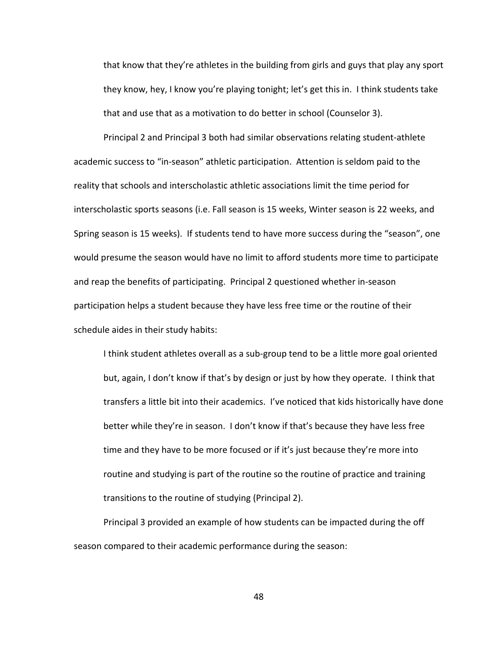that know that they're athletes in the building from girls and guys that play any sport they know, hey, I know you're playing tonight; let's get this in. I think students take that and use that as a motivation to do better in school (Counselor 3).

Principal 2 and Principal 3 both had similar observations relating student-athlete academic success to "in-season" athletic participation. Attention is seldom paid to the reality that schools and interscholastic athletic associations limit the time period for interscholastic sports seasons (i.e. Fall season is 15 weeks, Winter season is 22 weeks, and Spring season is 15 weeks). If students tend to have more success during the "season", one would presume the season would have no limit to afford students more time to participate and reap the benefits of participating. Principal 2 questioned whether in-season participation helps a student because they have less free time or the routine of their schedule aides in their study habits:

I think student athletes overall as a sub-group tend to be a little more goal oriented but, again, I don't know if that's by design or just by how they operate. I think that transfers a little bit into their academics. I've noticed that kids historically have done better while they're in season. I don't know if that's because they have less free time and they have to be more focused or if it's just because they're more into routine and studying is part of the routine so the routine of practice and training transitions to the routine of studying (Principal 2).

Principal 3 provided an example of how students can be impacted during the off season compared to their academic performance during the season: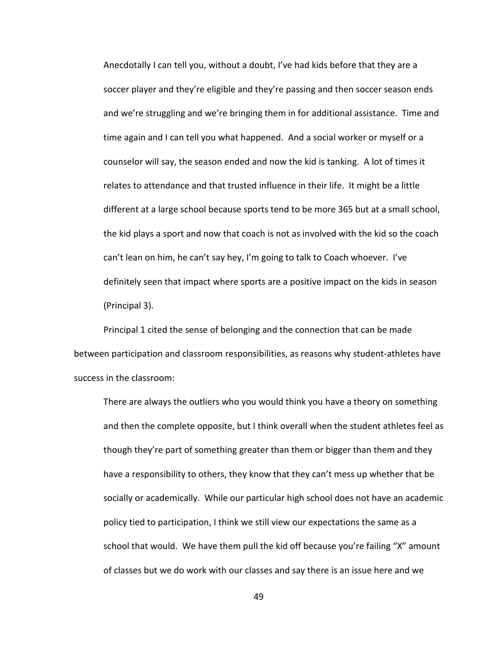Anecdotally I can tell you, without a doubt, I've had kids before that they are a soccer player and they're eligible and they're passing and then soccer season ends and we're struggling and we're bringing them in for additional assistance. Time and time again and I can tell you what happened. And a social worker or myself or a counselor will say, the season ended and now the kid is tanking. A lot of times it relates to attendance and that trusted influence in their life. It might be a little different at a large school because sports tend to be more 365 but at a small school, the kid plays a sport and now that coach is not as involved with the kid so the coach can't lean on him, he can't say hey, I'm going to talk to Coach whoever. I've definitely seen that impact where sports are a positive impact on the kids in season (Principal 3).

Principal 1 cited the sense of belonging and the connection that can be made between participation and classroom responsibilities, as reasons why student-athletes have success in the classroom:

There are always the outliers who you would think you have a theory on something and then the complete opposite, but I think overall when the student athletes feel as though they're part of something greater than them or bigger than them and they have a responsibility to others, they know that they can't mess up whether that be socially or academically. While our particular high school does not have an academic policy tied to participation, I think we still view our expectations the same as a school that would. We have them pull the kid off because you're failing "X" amount of classes but we do work with our classes and say there is an issue here and we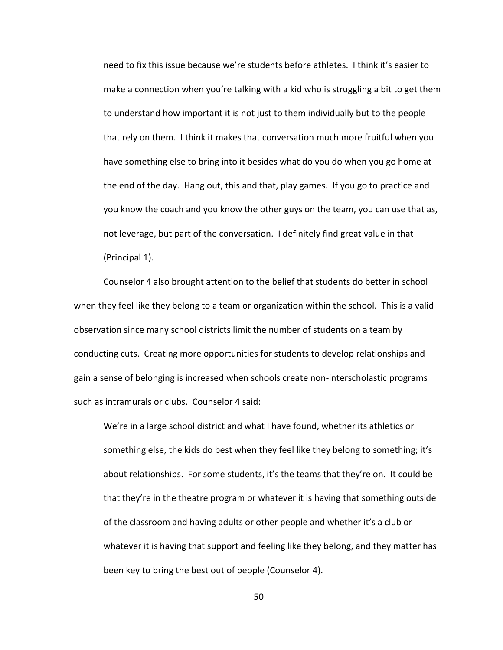need to fix this issue because we're students before athletes. I think it's easier to make a connection when you're talking with a kid who is struggling a bit to get them to understand how important it is not just to them individually but to the people that rely on them. I think it makes that conversation much more fruitful when you have something else to bring into it besides what do you do when you go home at the end of the day. Hang out, this and that, play games. If you go to practice and you know the coach and you know the other guys on the team, you can use that as, not leverage, but part of the conversation. I definitely find great value in that (Principal 1).

Counselor 4 also brought attention to the belief that students do better in school when they feel like they belong to a team or organization within the school. This is a valid observation since many school districts limit the number of students on a team by conducting cuts. Creating more opportunities for students to develop relationships and gain a sense of belonging is increased when schools create non-interscholastic programs such as intramurals or clubs. Counselor 4 said:

We're in a large school district and what I have found, whether its athletics or something else, the kids do best when they feel like they belong to something; it's about relationships. For some students, it's the teams that they're on. It could be that they're in the theatre program or whatever it is having that something outside of the classroom and having adults or other people and whether it's a club or whatever it is having that support and feeling like they belong, and they matter has been key to bring the best out of people (Counselor 4).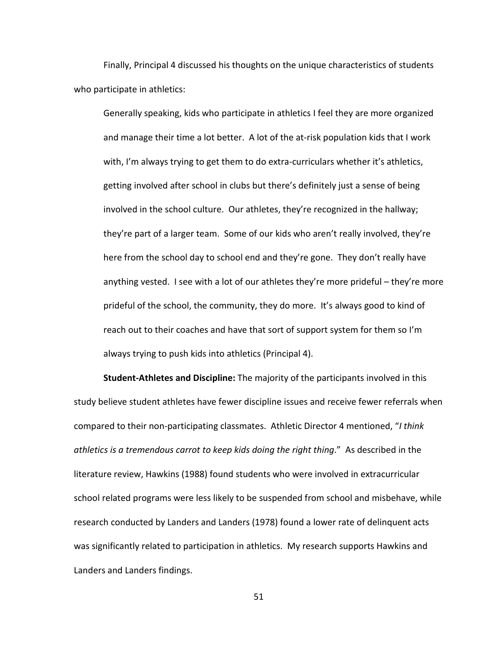Finally, Principal 4 discussed his thoughts on the unique characteristics of students who participate in athletics:

Generally speaking, kids who participate in athletics I feel they are more organized and manage their time a lot better. A lot of the at-risk population kids that I work with, I'm always trying to get them to do extra-curriculars whether it's athletics, getting involved after school in clubs but there's definitely just a sense of being involved in the school culture. Our athletes, they're recognized in the hallway; they're part of a larger team. Some of our kids who aren't really involved, they're here from the school day to school end and they're gone. They don't really have anything vested. I see with a lot of our athletes they're more prideful – they're more prideful of the school, the community, they do more. It's always good to kind of reach out to their coaches and have that sort of support system for them so I'm always trying to push kids into athletics (Principal 4).

**Student-Athletes and Discipline:** The majority of the participants involved in this study believe student athletes have fewer discipline issues and receive fewer referrals when compared to their non-participating classmates. Athletic Director 4 mentioned, "*I think athletics is a tremendous carrot to keep kids doing the right thing*." As described in the literature review, Hawkins (1988) found students who were involved in extracurricular school related programs were less likely to be suspended from school and misbehave, while research conducted by Landers and Landers (1978) found a lower rate of delinquent acts was significantly related to participation in athletics. My research supports Hawkins and Landers and Landers findings.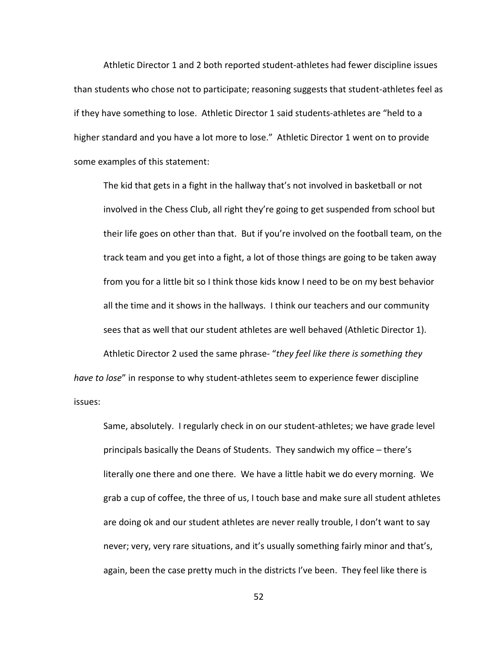Athletic Director 1 and 2 both reported student-athletes had fewer discipline issues than students who chose not to participate; reasoning suggests that student-athletes feel as if they have something to lose. Athletic Director 1 said students-athletes are "held to a higher standard and you have a lot more to lose." Athletic Director 1 went on to provide some examples of this statement:

The kid that gets in a fight in the hallway that's not involved in basketball or not involved in the Chess Club, all right they're going to get suspended from school but their life goes on other than that. But if you're involved on the football team, on the track team and you get into a fight, a lot of those things are going to be taken away from you for a little bit so I think those kids know I need to be on my best behavior all the time and it shows in the hallways. I think our teachers and our community sees that as well that our student athletes are well behaved (Athletic Director 1).

Athletic Director 2 used the same phrase- "*they feel like there is something they have to lose*" in response to why student-athletes seem to experience fewer discipline issues:

Same, absolutely. I regularly check in on our student-athletes; we have grade level principals basically the Deans of Students. They sandwich my office – there's literally one there and one there. We have a little habit we do every morning. We grab a cup of coffee, the three of us, I touch base and make sure all student athletes are doing ok and our student athletes are never really trouble, I don't want to say never; very, very rare situations, and it's usually something fairly minor and that's, again, been the case pretty much in the districts I've been. They feel like there is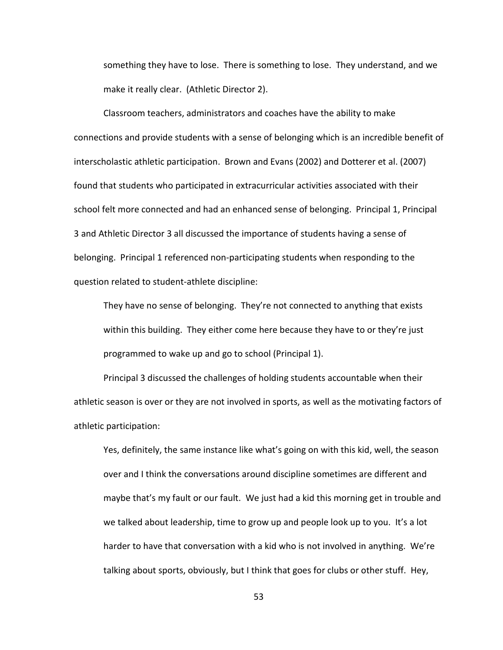something they have to lose. There is something to lose. They understand, and we make it really clear. (Athletic Director 2).

Classroom teachers, administrators and coaches have the ability to make connections and provide students with a sense of belonging which is an incredible benefit of interscholastic athletic participation. Brown and Evans (2002) and Dotterer et al. (2007) found that students who participated in extracurricular activities associated with their school felt more connected and had an enhanced sense of belonging. Principal 1, Principal 3 and Athletic Director 3 all discussed the importance of students having a sense of belonging. Principal 1 referenced non-participating students when responding to the question related to student-athlete discipline:

They have no sense of belonging. They're not connected to anything that exists within this building. They either come here because they have to or they're just programmed to wake up and go to school (Principal 1).

Principal 3 discussed the challenges of holding students accountable when their athletic season is over or they are not involved in sports, as well as the motivating factors of athletic participation:

Yes, definitely, the same instance like what's going on with this kid, well, the season over and I think the conversations around discipline sometimes are different and maybe that's my fault or our fault. We just had a kid this morning get in trouble and we talked about leadership, time to grow up and people look up to you. It's a lot harder to have that conversation with a kid who is not involved in anything. We're talking about sports, obviously, but I think that goes for clubs or other stuff. Hey,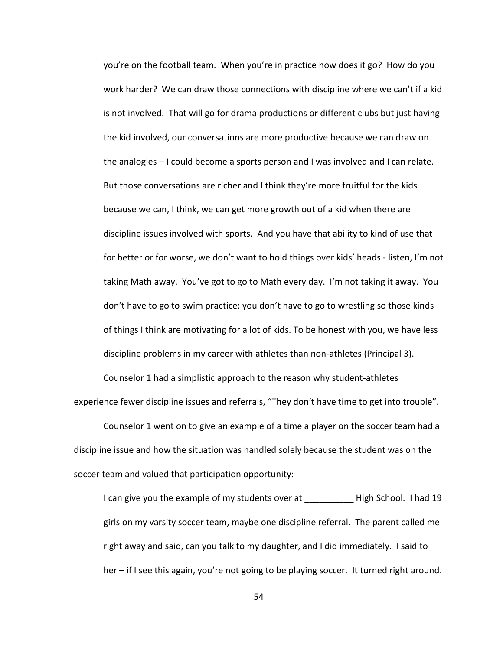you're on the football team. When you're in practice how does it go? How do you work harder? We can draw those connections with discipline where we can't if a kid is not involved. That will go for drama productions or different clubs but just having the kid involved, our conversations are more productive because we can draw on the analogies – I could become a sports person and I was involved and I can relate. But those conversations are richer and I think they're more fruitful for the kids because we can, I think, we can get more growth out of a kid when there are discipline issues involved with sports. And you have that ability to kind of use that for better or for worse, we don't want to hold things over kids' heads - listen, I'm not taking Math away. You've got to go to Math every day. I'm not taking it away. You don't have to go to swim practice; you don't have to go to wrestling so those kinds of things I think are motivating for a lot of kids. To be honest with you, we have less discipline problems in my career with athletes than non-athletes (Principal 3).

Counselor 1 had a simplistic approach to the reason why student-athletes experience fewer discipline issues and referrals, "They don't have time to get into trouble".

Counselor 1 went on to give an example of a time a player on the soccer team had a discipline issue and how the situation was handled solely because the student was on the soccer team and valued that participation opportunity:

I can give you the example of my students over at Thigh School. I had 19 girls on my varsity soccer team, maybe one discipline referral. The parent called me right away and said, can you talk to my daughter, and I did immediately. I said to her – if I see this again, you're not going to be playing soccer. It turned right around.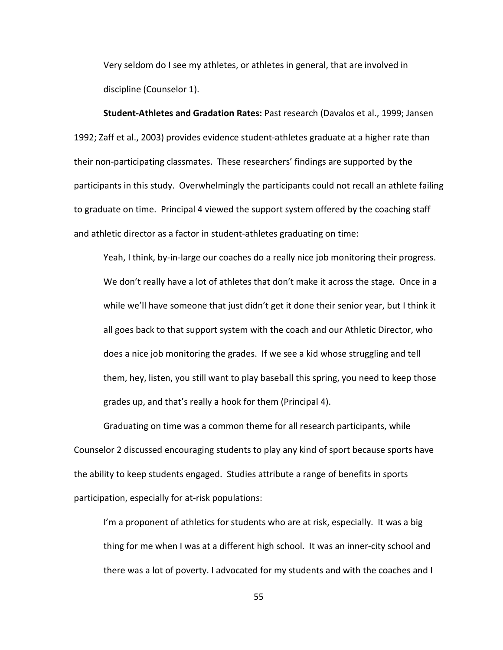Very seldom do I see my athletes, or athletes in general, that are involved in discipline (Counselor 1).

**Student-Athletes and Gradation Rates:** Past research (Davalos et al., 1999; Jansen 1992; Zaff et al., 2003) provides evidence student-athletes graduate at a higher rate than their non-participating classmates. These researchers' findings are supported by the participants in this study. Overwhelmingly the participants could not recall an athlete failing to graduate on time. Principal 4 viewed the support system offered by the coaching staff and athletic director as a factor in student-athletes graduating on time:

Yeah, I think, by-in-large our coaches do a really nice job monitoring their progress. We don't really have a lot of athletes that don't make it across the stage. Once in a while we'll have someone that just didn't get it done their senior year, but I think it all goes back to that support system with the coach and our Athletic Director, who does a nice job monitoring the grades. If we see a kid whose struggling and tell them, hey, listen, you still want to play baseball this spring, you need to keep those grades up, and that's really a hook for them (Principal 4).

Graduating on time was a common theme for all research participants, while Counselor 2 discussed encouraging students to play any kind of sport because sports have the ability to keep students engaged. Studies attribute a range of benefits in sports participation, especially for at-risk populations:

I'm a proponent of athletics for students who are at risk, especially. It was a big thing for me when I was at a different high school. It was an inner-city school and there was a lot of poverty. I advocated for my students and with the coaches and I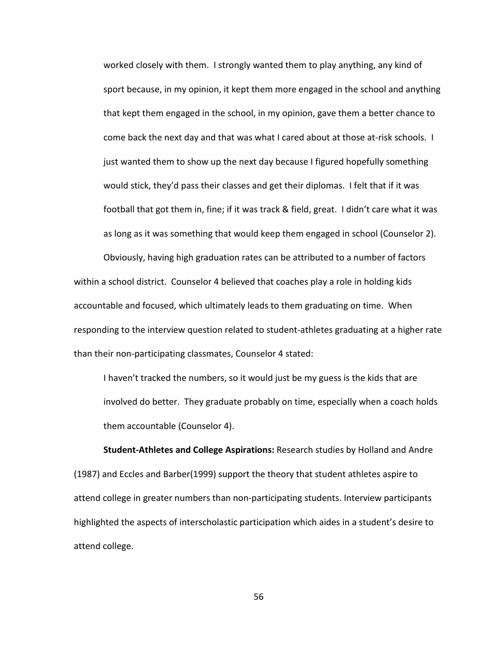worked closely with them. I strongly wanted them to play anything, any kind of sport because, in my opinion, it kept them more engaged in the school and anything that kept them engaged in the school, in my opinion, gave them a better chance to come back the next day and that was what I cared about at those at-risk schools. I just wanted them to show up the next day because I figured hopefully something would stick, they'd pass their classes and get their diplomas. I felt that if it was football that got them in, fine; if it was track & field, great. I didn't care what it was as long as it was something that would keep them engaged in school (Counselor 2).

Obviously, having high graduation rates can be attributed to a number of factors within a school district. Counselor 4 believed that coaches play a role in holding kids accountable and focused, which ultimately leads to them graduating on time. When responding to the interview question related to student-athletes graduating at a higher rate than their non-participating classmates, Counselor 4 stated:

I haven't tracked the numbers, so it would just be my guess is the kids that are involved do better. They graduate probably on time, especially when a coach holds them accountable (Counselor 4).

**Student-Athletes and College Aspirations:** Research studies by Holland and Andre (1987) and Eccles and Barber(1999) support the theory that student athletes aspire to attend college in greater numbers than non-participating students. Interview participants highlighted the aspects of interscholastic participation which aides in a student's desire to attend college.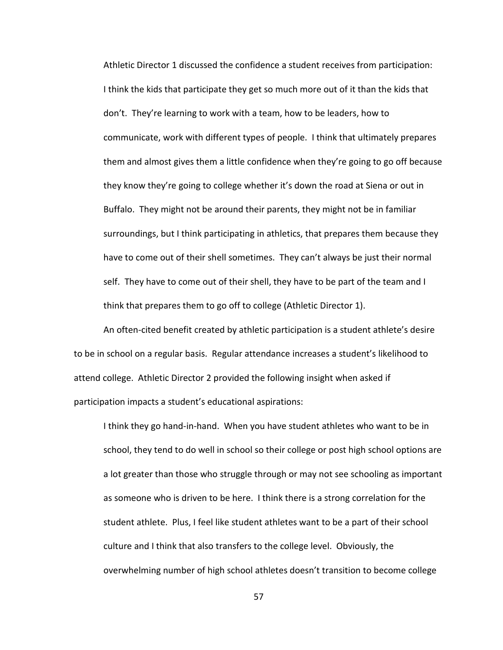Athletic Director 1 discussed the confidence a student receives from participation: I think the kids that participate they get so much more out of it than the kids that don't. They're learning to work with a team, how to be leaders, how to communicate, work with different types of people. I think that ultimately prepares them and almost gives them a little confidence when they're going to go off because they know they're going to college whether it's down the road at Siena or out in Buffalo. They might not be around their parents, they might not be in familiar surroundings, but I think participating in athletics, that prepares them because they have to come out of their shell sometimes. They can't always be just their normal self. They have to come out of their shell, they have to be part of the team and I think that prepares them to go off to college (Athletic Director 1).

An often-cited benefit created by athletic participation is a student athlete's desire to be in school on a regular basis. Regular attendance increases a student's likelihood to attend college. Athletic Director 2 provided the following insight when asked if participation impacts a student's educational aspirations:

I think they go hand-in-hand. When you have student athletes who want to be in school, they tend to do well in school so their college or post high school options are a lot greater than those who struggle through or may not see schooling as important as someone who is driven to be here. I think there is a strong correlation for the student athlete. Plus, I feel like student athletes want to be a part of their school culture and I think that also transfers to the college level. Obviously, the overwhelming number of high school athletes doesn't transition to become college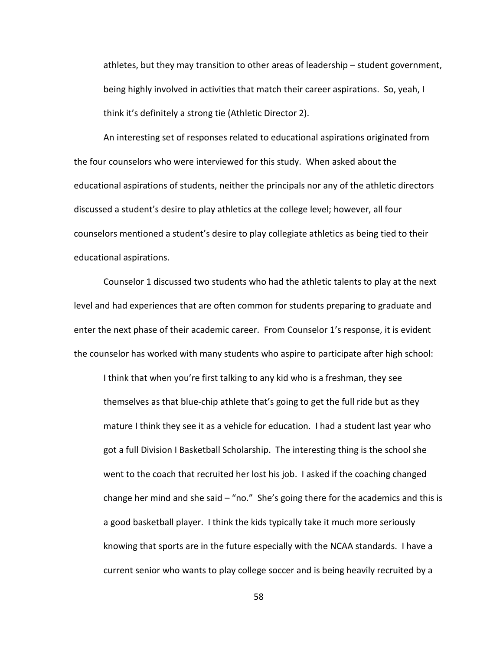athletes, but they may transition to other areas of leadership – student government, being highly involved in activities that match their career aspirations. So, yeah, I think it's definitely a strong tie (Athletic Director 2).

An interesting set of responses related to educational aspirations originated from the four counselors who were interviewed for this study. When asked about the educational aspirations of students, neither the principals nor any of the athletic directors discussed a student's desire to play athletics at the college level; however, all four counselors mentioned a student's desire to play collegiate athletics as being tied to their educational aspirations.

Counselor 1 discussed two students who had the athletic talents to play at the next level and had experiences that are often common for students preparing to graduate and enter the next phase of their academic career. From Counselor 1's response, it is evident the counselor has worked with many students who aspire to participate after high school:

I think that when you're first talking to any kid who is a freshman, they see themselves as that blue-chip athlete that's going to get the full ride but as they mature I think they see it as a vehicle for education. I had a student last year who got a full Division I Basketball Scholarship. The interesting thing is the school she went to the coach that recruited her lost his job. I asked if the coaching changed change her mind and she said  $-$  "no." She's going there for the academics and this is a good basketball player. I think the kids typically take it much more seriously knowing that sports are in the future especially with the NCAA standards. I have a current senior who wants to play college soccer and is being heavily recruited by a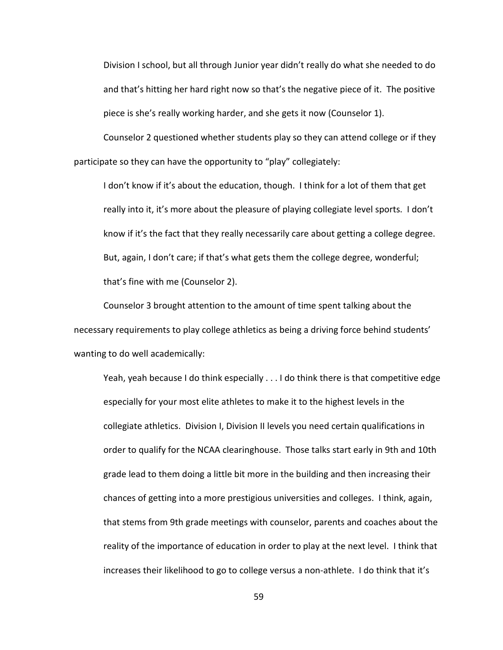Division I school, but all through Junior year didn't really do what she needed to do and that's hitting her hard right now so that's the negative piece of it. The positive piece is she's really working harder, and she gets it now (Counselor 1).

Counselor 2 questioned whether students play so they can attend college or if they participate so they can have the opportunity to "play" collegiately:

I don't know if it's about the education, though. I think for a lot of them that get really into it, it's more about the pleasure of playing collegiate level sports. I don't know if it's the fact that they really necessarily care about getting a college degree. But, again, I don't care; if that's what gets them the college degree, wonderful; that's fine with me (Counselor 2).

Counselor 3 brought attention to the amount of time spent talking about the necessary requirements to play college athletics as being a driving force behind students' wanting to do well academically:

Yeah, yeah because I do think especially . . . I do think there is that competitive edge especially for your most elite athletes to make it to the highest levels in the collegiate athletics. Division I, Division II levels you need certain qualifications in order to qualify for the NCAA clearinghouse. Those talks start early in 9th and 10th grade lead to them doing a little bit more in the building and then increasing their chances of getting into a more prestigious universities and colleges. I think, again, that stems from 9th grade meetings with counselor, parents and coaches about the reality of the importance of education in order to play at the next level. I think that increases their likelihood to go to college versus a non-athlete. I do think that it's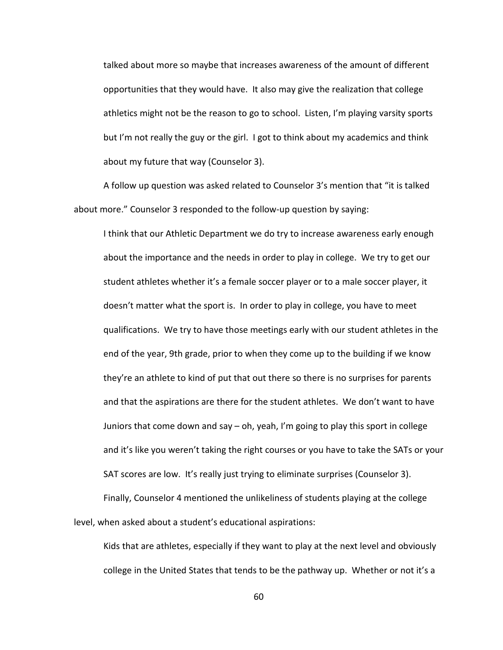talked about more so maybe that increases awareness of the amount of different opportunities that they would have. It also may give the realization that college athletics might not be the reason to go to school. Listen, I'm playing varsity sports but I'm not really the guy or the girl. I got to think about my academics and think about my future that way (Counselor 3).

A follow up question was asked related to Counselor 3's mention that "it is talked about more." Counselor 3 responded to the follow-up question by saying:

I think that our Athletic Department we do try to increase awareness early enough about the importance and the needs in order to play in college. We try to get our student athletes whether it's a female soccer player or to a male soccer player, it doesn't matter what the sport is. In order to play in college, you have to meet qualifications. We try to have those meetings early with our student athletes in the end of the year, 9th grade, prior to when they come up to the building if we know they're an athlete to kind of put that out there so there is no surprises for parents and that the aspirations are there for the student athletes. We don't want to have Juniors that come down and say – oh, yeah, I'm going to play this sport in college and it's like you weren't taking the right courses or you have to take the SATs or your SAT scores are low. It's really just trying to eliminate surprises (Counselor 3).

Finally, Counselor 4 mentioned the unlikeliness of students playing at the college level, when asked about a student's educational aspirations:

Kids that are athletes, especially if they want to play at the next level and obviously college in the United States that tends to be the pathway up. Whether or not it's a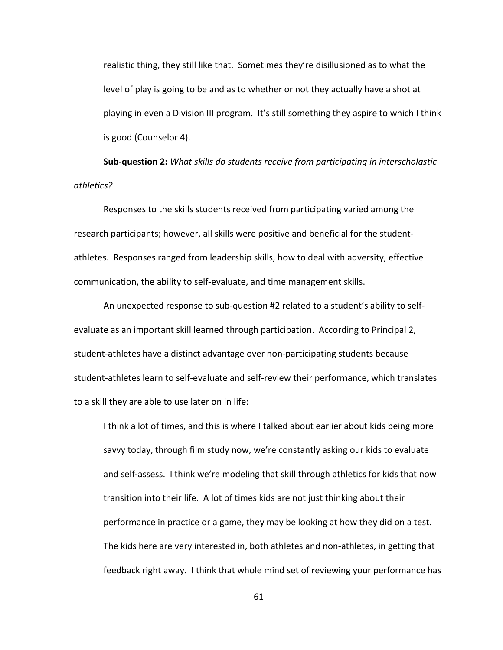realistic thing, they still like that. Sometimes they're disillusioned as to what the level of play is going to be and as to whether or not they actually have a shot at playing in even a Division III program. It's still something they aspire to which I think is good (Counselor 4).

**Sub-question 2:** *What skills do students receive from participating in interscholastic athletics?*

Responses to the skills students received from participating varied among the research participants; however, all skills were positive and beneficial for the studentathletes. Responses ranged from leadership skills, how to deal with adversity, effective communication, the ability to self-evaluate, and time management skills.

An unexpected response to sub-question #2 related to a student's ability to selfevaluate as an important skill learned through participation. According to Principal 2, student-athletes have a distinct advantage over non-participating students because student-athletes learn to self-evaluate and self-review their performance, which translates to a skill they are able to use later on in life:

I think a lot of times, and this is where I talked about earlier about kids being more savvy today, through film study now, we're constantly asking our kids to evaluate and self-assess. I think we're modeling that skill through athletics for kids that now transition into their life. A lot of times kids are not just thinking about their performance in practice or a game, they may be looking at how they did on a test. The kids here are very interested in, both athletes and non-athletes, in getting that feedback right away. I think that whole mind set of reviewing your performance has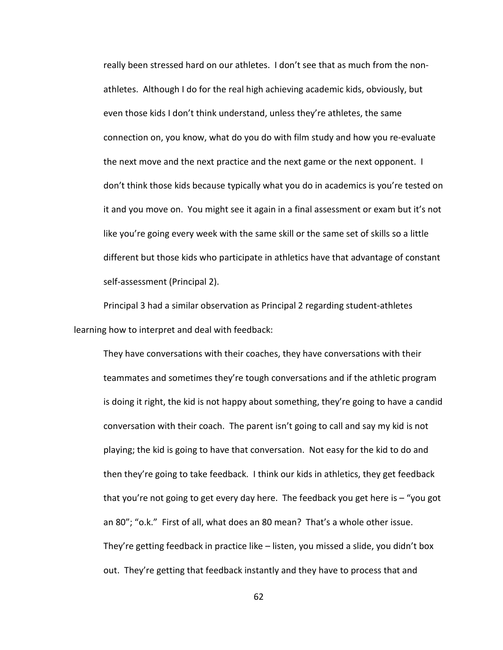really been stressed hard on our athletes. I don't see that as much from the nonathletes. Although I do for the real high achieving academic kids, obviously, but even those kids I don't think understand, unless they're athletes, the same connection on, you know, what do you do with film study and how you re-evaluate the next move and the next practice and the next game or the next opponent. I don't think those kids because typically what you do in academics is you're tested on it and you move on. You might see it again in a final assessment or exam but it's not like you're going every week with the same skill or the same set of skills so a little different but those kids who participate in athletics have that advantage of constant self-assessment (Principal 2).

Principal 3 had a similar observation as Principal 2 regarding student-athletes learning how to interpret and deal with feedback:

They have conversations with their coaches, they have conversations with their teammates and sometimes they're tough conversations and if the athletic program is doing it right, the kid is not happy about something, they're going to have a candid conversation with their coach. The parent isn't going to call and say my kid is not playing; the kid is going to have that conversation. Not easy for the kid to do and then they're going to take feedback. I think our kids in athletics, they get feedback that you're not going to get every day here. The feedback you get here is – "you got an 80"; "o.k." First of all, what does an 80 mean? That's a whole other issue. They're getting feedback in practice like – listen, you missed a slide, you didn't box out. They're getting that feedback instantly and they have to process that and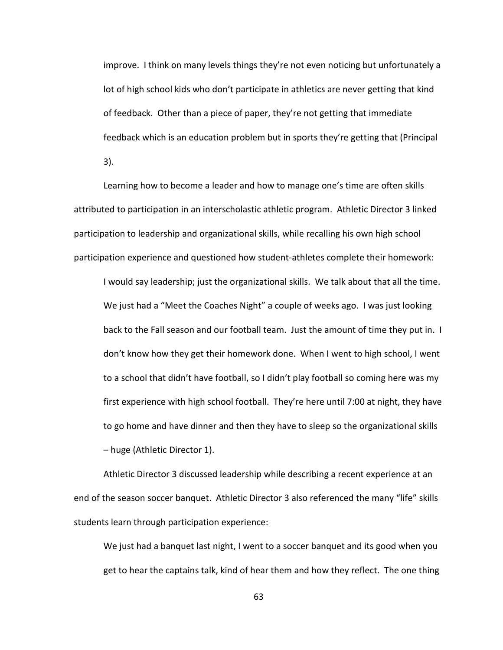improve. I think on many levels things they're not even noticing but unfortunately a lot of high school kids who don't participate in athletics are never getting that kind of feedback. Other than a piece of paper, they're not getting that immediate feedback which is an education problem but in sports they're getting that (Principal 3).

Learning how to become a leader and how to manage one's time are often skills attributed to participation in an interscholastic athletic program. Athletic Director 3 linked participation to leadership and organizational skills, while recalling his own high school participation experience and questioned how student-athletes complete their homework:

I would say leadership; just the organizational skills. We talk about that all the time. We just had a "Meet the Coaches Night" a couple of weeks ago. I was just looking back to the Fall season and our football team. Just the amount of time they put in. I don't know how they get their homework done. When I went to high school, I went to a school that didn't have football, so I didn't play football so coming here was my first experience with high school football. They're here until 7:00 at night, they have to go home and have dinner and then they have to sleep so the organizational skills – huge (Athletic Director 1).

Athletic Director 3 discussed leadership while describing a recent experience at an end of the season soccer banquet. Athletic Director 3 also referenced the many "life" skills students learn through participation experience:

We just had a banquet last night, I went to a soccer banquet and its good when you get to hear the captains talk, kind of hear them and how they reflect. The one thing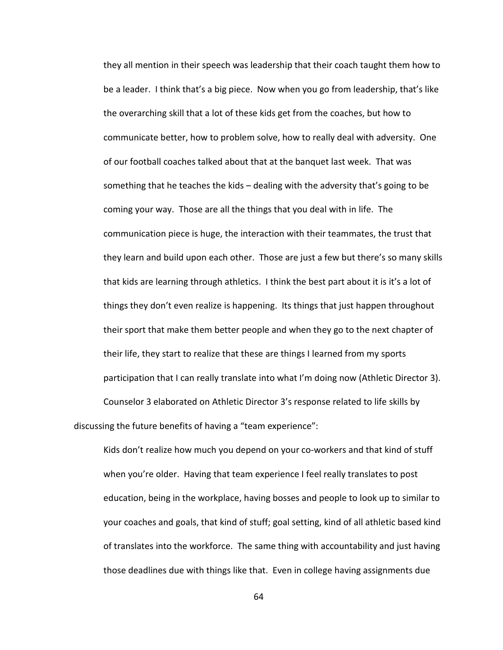they all mention in their speech was leadership that their coach taught them how to be a leader. I think that's a big piece. Now when you go from leadership, that's like the overarching skill that a lot of these kids get from the coaches, but how to communicate better, how to problem solve, how to really deal with adversity. One of our football coaches talked about that at the banquet last week. That was something that he teaches the kids – dealing with the adversity that's going to be coming your way. Those are all the things that you deal with in life. The communication piece is huge, the interaction with their teammates, the trust that they learn and build upon each other. Those are just a few but there's so many skills that kids are learning through athletics. I think the best part about it is it's a lot of things they don't even realize is happening. Its things that just happen throughout their sport that make them better people and when they go to the next chapter of their life, they start to realize that these are things I learned from my sports participation that I can really translate into what I'm doing now (Athletic Director 3). Counselor 3 elaborated on Athletic Director 3's response related to life skills by discussing the future benefits of having a "team experience":

Kids don't realize how much you depend on your co-workers and that kind of stuff when you're older. Having that team experience I feel really translates to post education, being in the workplace, having bosses and people to look up to similar to your coaches and goals, that kind of stuff; goal setting, kind of all athletic based kind of translates into the workforce. The same thing with accountability and just having those deadlines due with things like that. Even in college having assignments due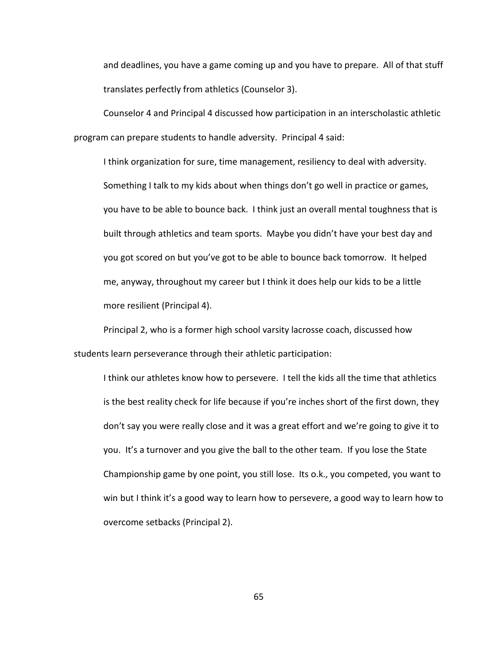and deadlines, you have a game coming up and you have to prepare. All of that stuff translates perfectly from athletics (Counselor 3).

Counselor 4 and Principal 4 discussed how participation in an interscholastic athletic program can prepare students to handle adversity. Principal 4 said:

I think organization for sure, time management, resiliency to deal with adversity. Something I talk to my kids about when things don't go well in practice or games, you have to be able to bounce back. I think just an overall mental toughness that is built through athletics and team sports. Maybe you didn't have your best day and you got scored on but you've got to be able to bounce back tomorrow. It helped me, anyway, throughout my career but I think it does help our kids to be a little more resilient (Principal 4).

Principal 2, who is a former high school varsity lacrosse coach, discussed how students learn perseverance through their athletic participation:

I think our athletes know how to persevere. I tell the kids all the time that athletics is the best reality check for life because if you're inches short of the first down, they don't say you were really close and it was a great effort and we're going to give it to you. It's a turnover and you give the ball to the other team. If you lose the State Championship game by one point, you still lose. Its o.k., you competed, you want to win but I think it's a good way to learn how to persevere, a good way to learn how to overcome setbacks (Principal 2).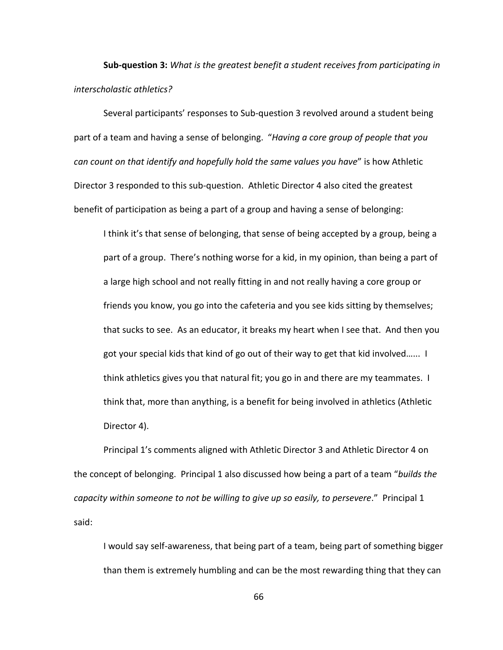**Sub-question 3:** *What is the greatest benefit a student receives from participating in interscholastic athletics?*

Several participants' responses to Sub-question 3 revolved around a student being part of a team and having a sense of belonging. "*Having a core group of people that you can count on that identify and hopefully hold the same values you have*" is how Athletic Director 3 responded to this sub-question. Athletic Director 4 also cited the greatest benefit of participation as being a part of a group and having a sense of belonging:

I think it's that sense of belonging, that sense of being accepted by a group, being a part of a group. There's nothing worse for a kid, in my opinion, than being a part of a large high school and not really fitting in and not really having a core group or friends you know, you go into the cafeteria and you see kids sitting by themselves; that sucks to see. As an educator, it breaks my heart when I see that. And then you got your special kids that kind of go out of their way to get that kid involved…... I think athletics gives you that natural fit; you go in and there are my teammates. I think that, more than anything, is a benefit for being involved in athletics (Athletic Director 4).

Principal 1's comments aligned with Athletic Director 3 and Athletic Director 4 on the concept of belonging. Principal 1 also discussed how being a part of a team "*builds the capacity within someone to not be willing to give up so easily, to persevere*." Principal 1 said:

I would say self-awareness, that being part of a team, being part of something bigger than them is extremely humbling and can be the most rewarding thing that they can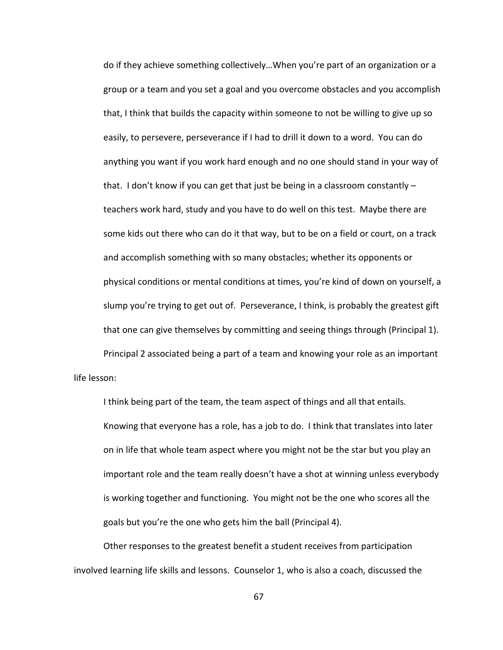do if they achieve something collectively…When you're part of an organization or a group or a team and you set a goal and you overcome obstacles and you accomplish that, I think that builds the capacity within someone to not be willing to give up so easily, to persevere, perseverance if I had to drill it down to a word. You can do anything you want if you work hard enough and no one should stand in your way of that. I don't know if you can get that just be being in a classroom constantly – teachers work hard, study and you have to do well on this test. Maybe there are some kids out there who can do it that way, but to be on a field or court, on a track and accomplish something with so many obstacles; whether its opponents or physical conditions or mental conditions at times, you're kind of down on yourself, a slump you're trying to get out of. Perseverance, I think, is probably the greatest gift that one can give themselves by committing and seeing things through (Principal 1). Principal 2 associated being a part of a team and knowing your role as an important

life lesson:

I think being part of the team, the team aspect of things and all that entails. Knowing that everyone has a role, has a job to do. I think that translates into later on in life that whole team aspect where you might not be the star but you play an important role and the team really doesn't have a shot at winning unless everybody is working together and functioning. You might not be the one who scores all the goals but you're the one who gets him the ball (Principal 4).

Other responses to the greatest benefit a student receives from participation involved learning life skills and lessons. Counselor 1, who is also a coach, discussed the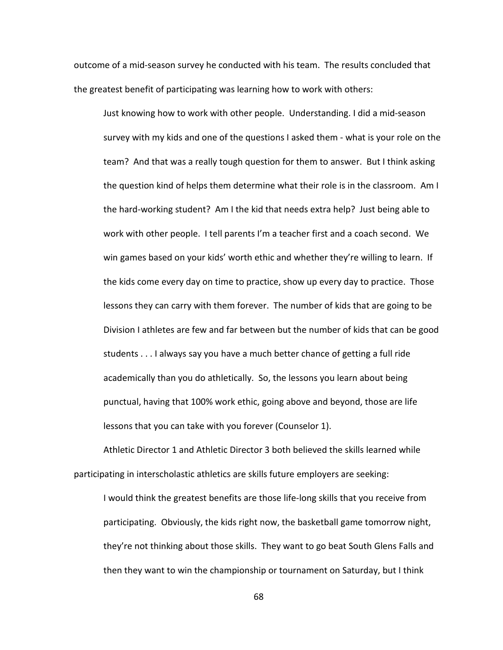outcome of a mid-season survey he conducted with his team. The results concluded that the greatest benefit of participating was learning how to work with others:

Just knowing how to work with other people. Understanding. I did a mid-season survey with my kids and one of the questions I asked them - what is your role on the team? And that was a really tough question for them to answer. But I think asking the question kind of helps them determine what their role is in the classroom. Am I the hard-working student? Am I the kid that needs extra help? Just being able to work with other people. I tell parents I'm a teacher first and a coach second. We win games based on your kids' worth ethic and whether they're willing to learn. If the kids come every day on time to practice, show up every day to practice. Those lessons they can carry with them forever. The number of kids that are going to be Division I athletes are few and far between but the number of kids that can be good students . . . I always say you have a much better chance of getting a full ride academically than you do athletically. So, the lessons you learn about being punctual, having that 100% work ethic, going above and beyond, those are life lessons that you can take with you forever (Counselor 1).

Athletic Director 1 and Athletic Director 3 both believed the skills learned while participating in interscholastic athletics are skills future employers are seeking:

I would think the greatest benefits are those life-long skills that you receive from participating. Obviously, the kids right now, the basketball game tomorrow night, they're not thinking about those skills. They want to go beat South Glens Falls and then they want to win the championship or tournament on Saturday, but I think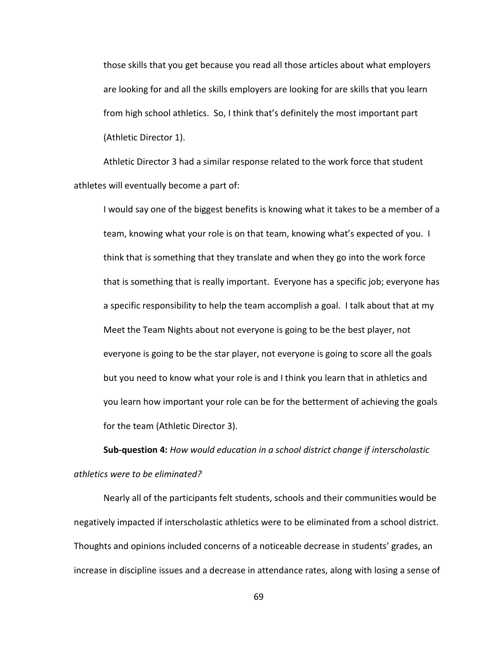those skills that you get because you read all those articles about what employers are looking for and all the skills employers are looking for are skills that you learn from high school athletics. So, I think that's definitely the most important part (Athletic Director 1).

Athletic Director 3 had a similar response related to the work force that student athletes will eventually become a part of:

I would say one of the biggest benefits is knowing what it takes to be a member of a team, knowing what your role is on that team, knowing what's expected of you. I think that is something that they translate and when they go into the work force that is something that is really important. Everyone has a specific job; everyone has a specific responsibility to help the team accomplish a goal. I talk about that at my Meet the Team Nights about not everyone is going to be the best player, not everyone is going to be the star player, not everyone is going to score all the goals but you need to know what your role is and I think you learn that in athletics and you learn how important your role can be for the betterment of achieving the goals for the team (Athletic Director 3).

**Sub-question 4:** *How would education in a school district change if interscholastic athletics were to be eliminated?*

Nearly all of the participants felt students, schools and their communities would be negatively impacted if interscholastic athletics were to be eliminated from a school district. Thoughts and opinions included concerns of a noticeable decrease in students' grades, an increase in discipline issues and a decrease in attendance rates, along with losing a sense of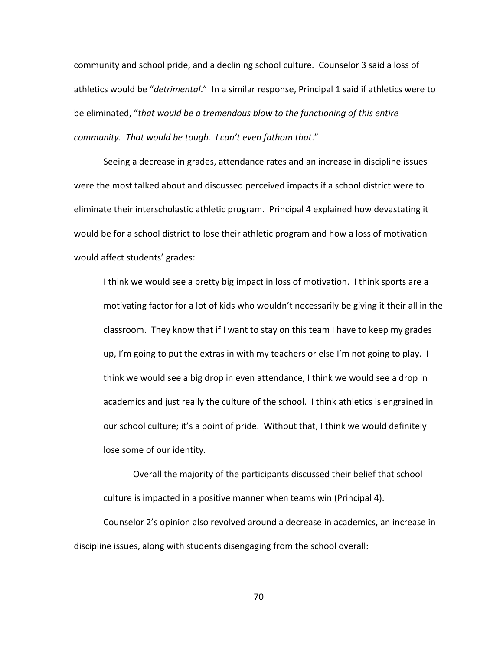community and school pride, and a declining school culture. Counselor 3 said a loss of athletics would be "*detrimental*." In a similar response, Principal 1 said if athletics were to be eliminated, "*that would be a tremendous blow to the functioning of this entire community. That would be tough. I can't even fathom that*."

Seeing a decrease in grades, attendance rates and an increase in discipline issues were the most talked about and discussed perceived impacts if a school district were to eliminate their interscholastic athletic program. Principal 4 explained how devastating it would be for a school district to lose their athletic program and how a loss of motivation would affect students' grades:

I think we would see a pretty big impact in loss of motivation. I think sports are a motivating factor for a lot of kids who wouldn't necessarily be giving it their all in the classroom. They know that if I want to stay on this team I have to keep my grades up, I'm going to put the extras in with my teachers or else I'm not going to play. I think we would see a big drop in even attendance, I think we would see a drop in academics and just really the culture of the school. I think athletics is engrained in our school culture; it's a point of pride. Without that, I think we would definitely lose some of our identity.

Overall the majority of the participants discussed their belief that school culture is impacted in a positive manner when teams win (Principal 4).

Counselor 2's opinion also revolved around a decrease in academics, an increase in discipline issues, along with students disengaging from the school overall: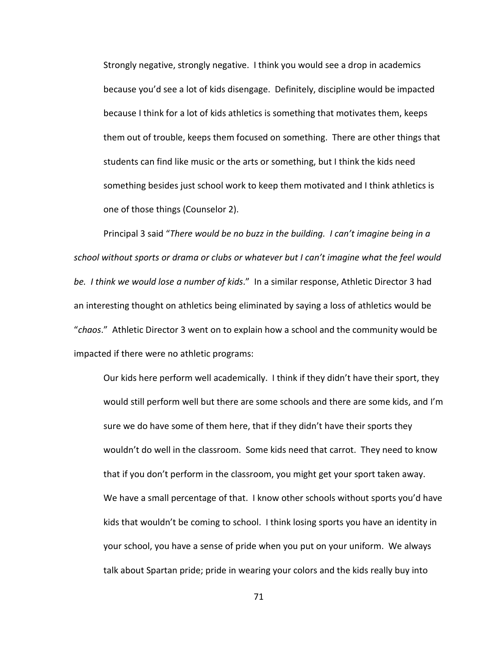Strongly negative, strongly negative. I think you would see a drop in academics because you'd see a lot of kids disengage. Definitely, discipline would be impacted because I think for a lot of kids athletics is something that motivates them, keeps them out of trouble, keeps them focused on something. There are other things that students can find like music or the arts or something, but I think the kids need something besides just school work to keep them motivated and I think athletics is one of those things (Counselor 2).

Principal 3 said "*There would be no buzz in the building. I can't imagine being in a school without sports or drama or clubs or whatever but I can't imagine what the feel would be. I think we would lose a number of kids*." In a similar response, Athletic Director 3 had an interesting thought on athletics being eliminated by saying a loss of athletics would be "*chaos*." Athletic Director 3 went on to explain how a school and the community would be impacted if there were no athletic programs:

Our kids here perform well academically. I think if they didn't have their sport, they would still perform well but there are some schools and there are some kids, and I'm sure we do have some of them here, that if they didn't have their sports they wouldn't do well in the classroom. Some kids need that carrot. They need to know that if you don't perform in the classroom, you might get your sport taken away. We have a small percentage of that. I know other schools without sports you'd have kids that wouldn't be coming to school. I think losing sports you have an identity in your school, you have a sense of pride when you put on your uniform. We always talk about Spartan pride; pride in wearing your colors and the kids really buy into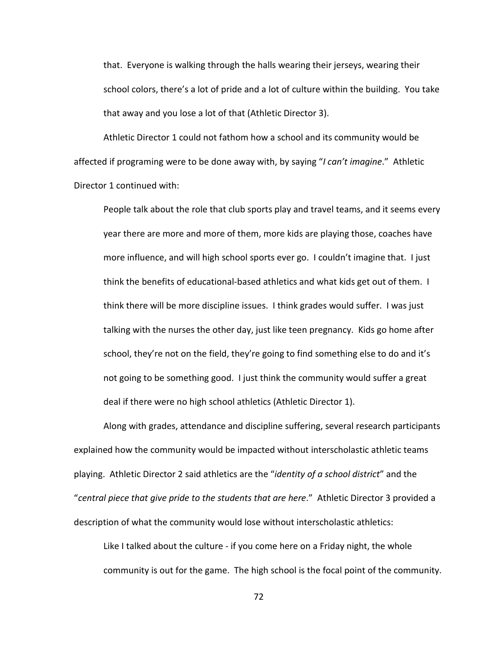that. Everyone is walking through the halls wearing their jerseys, wearing their school colors, there's a lot of pride and a lot of culture within the building. You take that away and you lose a lot of that (Athletic Director 3).

Athletic Director 1 could not fathom how a school and its community would be affected if programing were to be done away with, by saying "*I can't imagine*." Athletic Director 1 continued with:

People talk about the role that club sports play and travel teams, and it seems every year there are more and more of them, more kids are playing those, coaches have more influence, and will high school sports ever go. I couldn't imagine that. I just think the benefits of educational-based athletics and what kids get out of them. I think there will be more discipline issues. I think grades would suffer. I was just talking with the nurses the other day, just like teen pregnancy. Kids go home after school, they're not on the field, they're going to find something else to do and it's not going to be something good. I just think the community would suffer a great deal if there were no high school athletics (Athletic Director 1).

Along with grades, attendance and discipline suffering, several research participants explained how the community would be impacted without interscholastic athletic teams playing. Athletic Director 2 said athletics are the "*identity of a school district*" and the "*central piece that give pride to the students that are here*." Athletic Director 3 provided a description of what the community would lose without interscholastic athletics:

Like I talked about the culture - if you come here on a Friday night, the whole community is out for the game. The high school is the focal point of the community.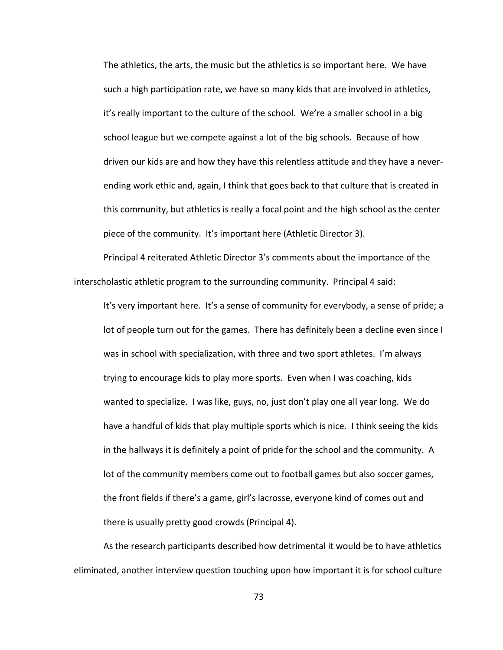The athletics, the arts, the music but the athletics is so important here. We have such a high participation rate, we have so many kids that are involved in athletics, it's really important to the culture of the school. We're a smaller school in a big school league but we compete against a lot of the big schools. Because of how driven our kids are and how they have this relentless attitude and they have a neverending work ethic and, again, I think that goes back to that culture that is created in this community, but athletics is really a focal point and the high school as the center piece of the community. It's important here (Athletic Director 3).

Principal 4 reiterated Athletic Director 3's comments about the importance of the interscholastic athletic program to the surrounding community. Principal 4 said:

It's very important here. It's a sense of community for everybody, a sense of pride; a lot of people turn out for the games. There has definitely been a decline even since I was in school with specialization, with three and two sport athletes. I'm always trying to encourage kids to play more sports. Even when I was coaching, kids wanted to specialize. I was like, guys, no, just don't play one all year long. We do have a handful of kids that play multiple sports which is nice. I think seeing the kids in the hallways it is definitely a point of pride for the school and the community. A lot of the community members come out to football games but also soccer games, the front fields if there's a game, girl's lacrosse, everyone kind of comes out and there is usually pretty good crowds (Principal 4).

As the research participants described how detrimental it would be to have athletics eliminated, another interview question touching upon how important it is for school culture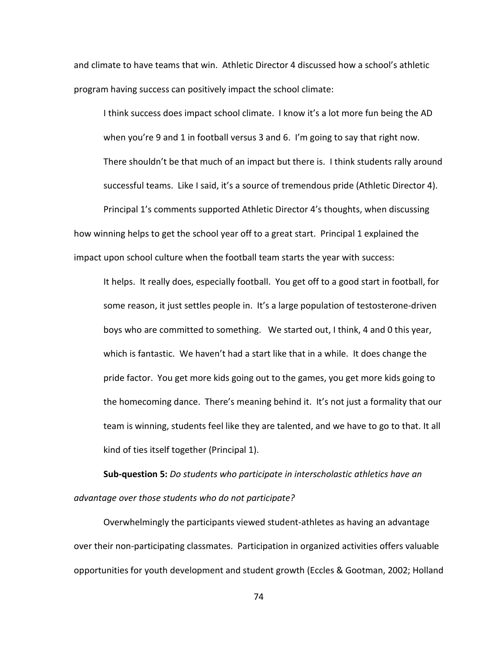and climate to have teams that win. Athletic Director 4 discussed how a school's athletic program having success can positively impact the school climate:

I think success does impact school climate. I know it's a lot more fun being the AD when you're 9 and 1 in football versus 3 and 6. I'm going to say that right now. There shouldn't be that much of an impact but there is. I think students rally around successful teams. Like I said, it's a source of tremendous pride (Athletic Director 4). Principal 1's comments supported Athletic Director 4's thoughts, when discussing how winning helps to get the school year off to a great start. Principal 1 explained the

impact upon school culture when the football team starts the year with success:

It helps. It really does, especially football. You get off to a good start in football, for some reason, it just settles people in. It's a large population of testosterone-driven boys who are committed to something. We started out, I think, 4 and 0 this year, which is fantastic. We haven't had a start like that in a while. It does change the pride factor. You get more kids going out to the games, you get more kids going to the homecoming dance. There's meaning behind it. It's not just a formality that our team is winning, students feel like they are talented, and we have to go to that. It all kind of ties itself together (Principal 1).

**Sub-question 5:** *Do students who participate in interscholastic athletics have an advantage over those students who do not participate?* 

Overwhelmingly the participants viewed student-athletes as having an advantage over their non-participating classmates. Participation in organized activities offers valuable opportunities for youth development and student growth (Eccles & Gootman, 2002; Holland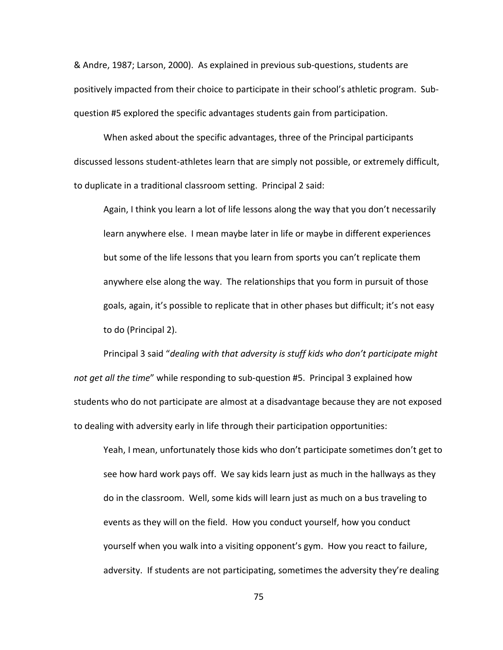& Andre, 1987; Larson, 2000). As explained in previous sub-questions, students are positively impacted from their choice to participate in their school's athletic program. Subquestion #5 explored the specific advantages students gain from participation.

When asked about the specific advantages, three of the Principal participants discussed lessons student-athletes learn that are simply not possible, or extremely difficult, to duplicate in a traditional classroom setting. Principal 2 said:

Again, I think you learn a lot of life lessons along the way that you don't necessarily learn anywhere else. I mean maybe later in life or maybe in different experiences but some of the life lessons that you learn from sports you can't replicate them anywhere else along the way. The relationships that you form in pursuit of those goals, again, it's possible to replicate that in other phases but difficult; it's not easy to do (Principal 2).

Principal 3 said "*dealing with that adversity is stuff kids who don't participate might not get all the time*" while responding to sub-question #5. Principal 3 explained how students who do not participate are almost at a disadvantage because they are not exposed to dealing with adversity early in life through their participation opportunities:

Yeah, I mean, unfortunately those kids who don't participate sometimes don't get to see how hard work pays off. We say kids learn just as much in the hallways as they do in the classroom. Well, some kids will learn just as much on a bus traveling to events as they will on the field. How you conduct yourself, how you conduct yourself when you walk into a visiting opponent's gym. How you react to failure, adversity. If students are not participating, sometimes the adversity they're dealing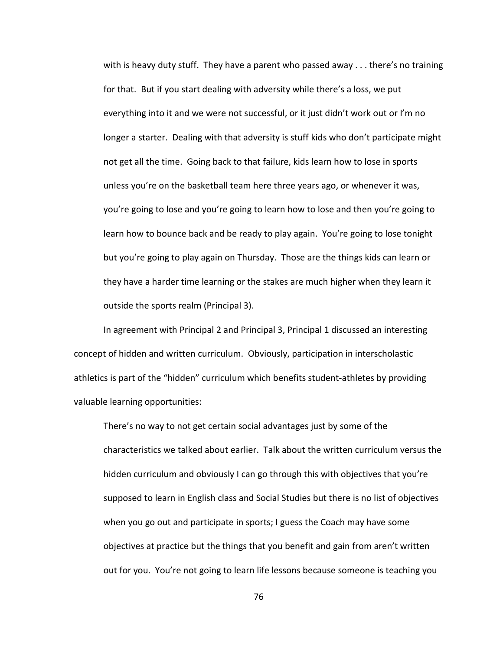with is heavy duty stuff. They have a parent who passed away . . . there's no training for that. But if you start dealing with adversity while there's a loss, we put everything into it and we were not successful, or it just didn't work out or I'm no longer a starter. Dealing with that adversity is stuff kids who don't participate might not get all the time. Going back to that failure, kids learn how to lose in sports unless you're on the basketball team here three years ago, or whenever it was, you're going to lose and you're going to learn how to lose and then you're going to learn how to bounce back and be ready to play again. You're going to lose tonight but you're going to play again on Thursday. Those are the things kids can learn or they have a harder time learning or the stakes are much higher when they learn it outside the sports realm (Principal 3).

In agreement with Principal 2 and Principal 3, Principal 1 discussed an interesting concept of hidden and written curriculum. Obviously, participation in interscholastic athletics is part of the "hidden" curriculum which benefits student-athletes by providing valuable learning opportunities:

There's no way to not get certain social advantages just by some of the characteristics we talked about earlier. Talk about the written curriculum versus the hidden curriculum and obviously I can go through this with objectives that you're supposed to learn in English class and Social Studies but there is no list of objectives when you go out and participate in sports; I guess the Coach may have some objectives at practice but the things that you benefit and gain from aren't written out for you. You're not going to learn life lessons because someone is teaching you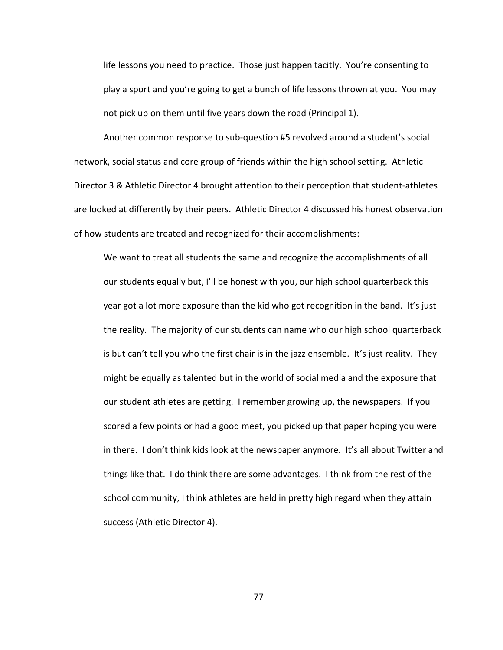life lessons you need to practice. Those just happen tacitly. You're consenting to play a sport and you're going to get a bunch of life lessons thrown at you. You may not pick up on them until five years down the road (Principal 1).

Another common response to sub-question #5 revolved around a student's social network, social status and core group of friends within the high school setting. Athletic Director 3 & Athletic Director 4 brought attention to their perception that student-athletes are looked at differently by their peers. Athletic Director 4 discussed his honest observation of how students are treated and recognized for their accomplishments:

We want to treat all students the same and recognize the accomplishments of all our students equally but, I'll be honest with you, our high school quarterback this year got a lot more exposure than the kid who got recognition in the band. It's just the reality. The majority of our students can name who our high school quarterback is but can't tell you who the first chair is in the jazz ensemble. It's just reality. They might be equally as talented but in the world of social media and the exposure that our student athletes are getting. I remember growing up, the newspapers. If you scored a few points or had a good meet, you picked up that paper hoping you were in there. I don't think kids look at the newspaper anymore. It's all about Twitter and things like that. I do think there are some advantages. I think from the rest of the school community, I think athletes are held in pretty high regard when they attain success (Athletic Director 4).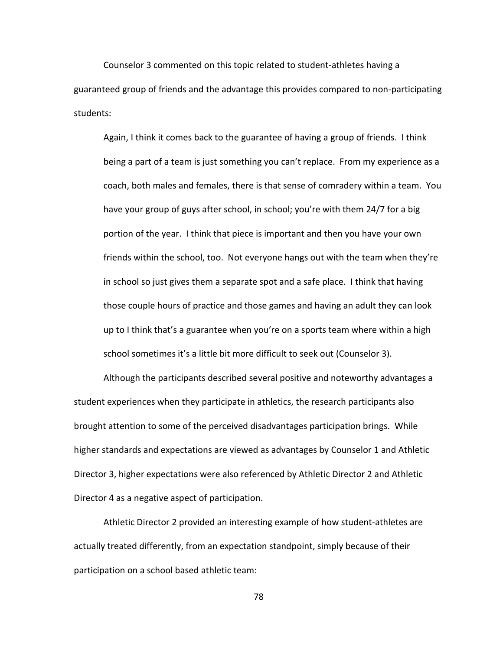Counselor 3 commented on this topic related to student-athletes having a guaranteed group of friends and the advantage this provides compared to non-participating students:

Again, I think it comes back to the guarantee of having a group of friends. I think being a part of a team is just something you can't replace. From my experience as a coach, both males and females, there is that sense of comradery within a team. You have your group of guys after school, in school; you're with them 24/7 for a big portion of the year. I think that piece is important and then you have your own friends within the school, too. Not everyone hangs out with the team when they're in school so just gives them a separate spot and a safe place. I think that having those couple hours of practice and those games and having an adult they can look up to I think that's a guarantee when you're on a sports team where within a high school sometimes it's a little bit more difficult to seek out (Counselor 3).

Although the participants described several positive and noteworthy advantages a student experiences when they participate in athletics, the research participants also brought attention to some of the perceived disadvantages participation brings. While higher standards and expectations are viewed as advantages by Counselor 1 and Athletic Director 3, higher expectations were also referenced by Athletic Director 2 and Athletic Director 4 as a negative aspect of participation.

Athletic Director 2 provided an interesting example of how student-athletes are actually treated differently, from an expectation standpoint, simply because of their participation on a school based athletic team: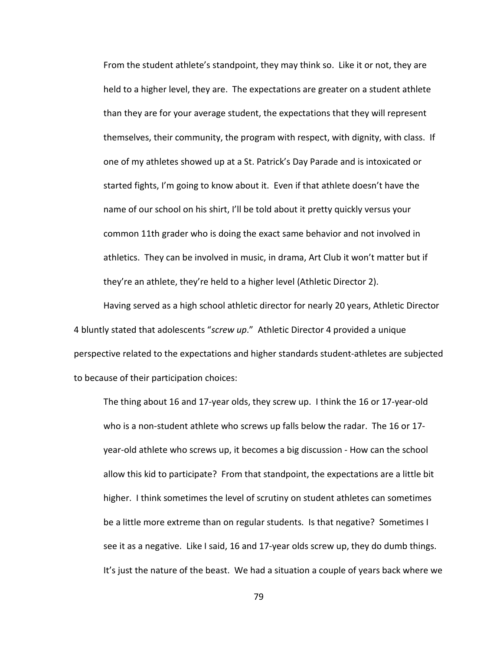From the student athlete's standpoint, they may think so. Like it or not, they are held to a higher level, they are. The expectations are greater on a student athlete than they are for your average student, the expectations that they will represent themselves, their community, the program with respect, with dignity, with class. If one of my athletes showed up at a St. Patrick's Day Parade and is intoxicated or started fights, I'm going to know about it. Even if that athlete doesn't have the name of our school on his shirt, I'll be told about it pretty quickly versus your common 11th grader who is doing the exact same behavior and not involved in athletics. They can be involved in music, in drama, Art Club it won't matter but if they're an athlete, they're held to a higher level (Athletic Director 2).

Having served as a high school athletic director for nearly 20 years, Athletic Director 4 bluntly stated that adolescents "*screw up*." Athletic Director 4 provided a unique perspective related to the expectations and higher standards student-athletes are subjected to because of their participation choices:

The thing about 16 and 17-year olds, they screw up. I think the 16 or 17-year-old who is a non-student athlete who screws up falls below the radar. The 16 or 17 year-old athlete who screws up, it becomes a big discussion - How can the school allow this kid to participate? From that standpoint, the expectations are a little bit higher. I think sometimes the level of scrutiny on student athletes can sometimes be a little more extreme than on regular students. Is that negative? Sometimes I see it as a negative. Like I said, 16 and 17-year olds screw up, they do dumb things. It's just the nature of the beast. We had a situation a couple of years back where we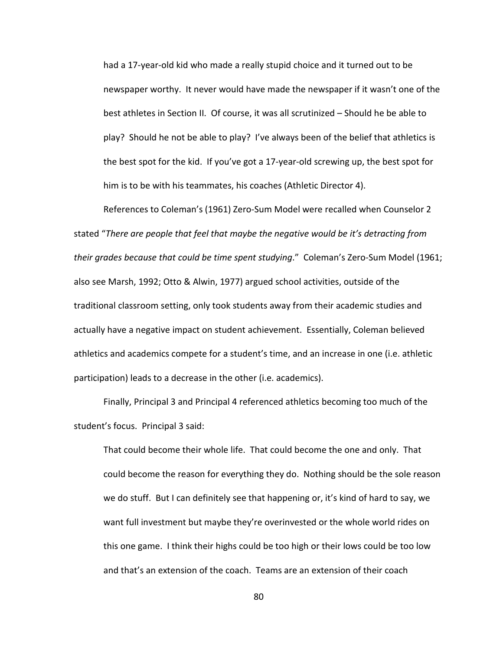had a 17-year-old kid who made a really stupid choice and it turned out to be newspaper worthy. It never would have made the newspaper if it wasn't one of the best athletes in Section II. Of course, it was all scrutinized – Should he be able to play? Should he not be able to play? I've always been of the belief that athletics is the best spot for the kid. If you've got a 17-year-old screwing up, the best spot for him is to be with his teammates, his coaches (Athletic Director 4).

References to Coleman's (1961) Zero-Sum Model were recalled when Counselor 2 stated "*There are people that feel that maybe the negative would be it's detracting from their grades because that could be time spent studying*." Coleman's Zero-Sum Model (1961; also see Marsh, 1992; Otto & Alwin, 1977) argued school activities, outside of the traditional classroom setting, only took students away from their academic studies and actually have a negative impact on student achievement. Essentially, Coleman believed athletics and academics compete for a student's time, and an increase in one (i.e. athletic participation) leads to a decrease in the other (i.e. academics).

Finally, Principal 3 and Principal 4 referenced athletics becoming too much of the student's focus. Principal 3 said:

That could become their whole life. That could become the one and only. That could become the reason for everything they do. Nothing should be the sole reason we do stuff. But I can definitely see that happening or, it's kind of hard to say, we want full investment but maybe they're overinvested or the whole world rides on this one game. I think their highs could be too high or their lows could be too low and that's an extension of the coach. Teams are an extension of their coach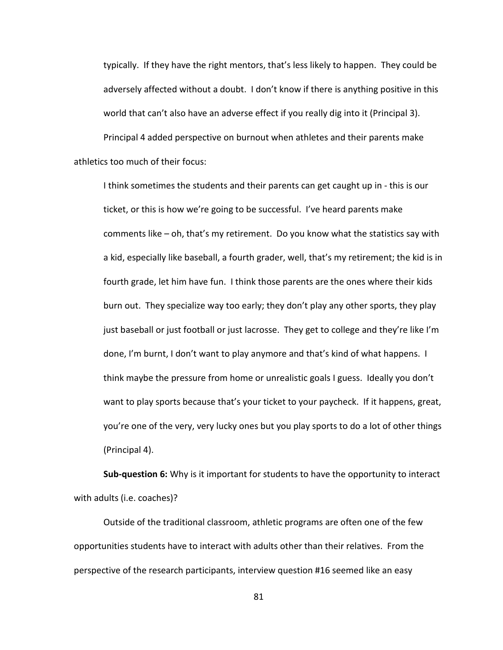typically. If they have the right mentors, that's less likely to happen. They could be adversely affected without a doubt. I don't know if there is anything positive in this world that can't also have an adverse effect if you really dig into it (Principal 3).

Principal 4 added perspective on burnout when athletes and their parents make athletics too much of their focus:

I think sometimes the students and their parents can get caught up in - this is our ticket, or this is how we're going to be successful. I've heard parents make comments like – oh, that's my retirement. Do you know what the statistics say with a kid, especially like baseball, a fourth grader, well, that's my retirement; the kid is in fourth grade, let him have fun. I think those parents are the ones where their kids burn out. They specialize way too early; they don't play any other sports, they play just baseball or just football or just lacrosse. They get to college and they're like I'm done, I'm burnt, I don't want to play anymore and that's kind of what happens. I think maybe the pressure from home or unrealistic goals I guess. Ideally you don't want to play sports because that's your ticket to your paycheck. If it happens, great, you're one of the very, very lucky ones but you play sports to do a lot of other things (Principal 4).

**Sub-question 6:** Why is it important for students to have the opportunity to interact with adults (i.e. coaches)?

Outside of the traditional classroom, athletic programs are often one of the few opportunities students have to interact with adults other than their relatives. From the perspective of the research participants, interview question #16 seemed like an easy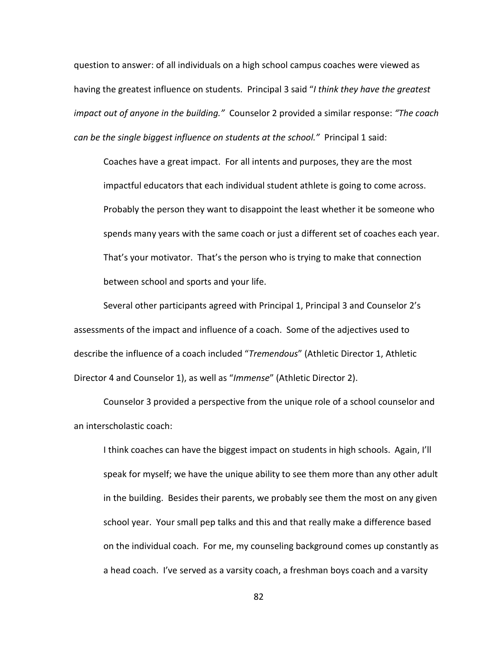question to answer: of all individuals on a high school campus coaches were viewed as having the greatest influence on students. Principal 3 said "*I think they have the greatest impact out of anyone in the building."* Counselor 2 provided a similar response: *"The coach can be the single biggest influence on students at the school."* Principal 1 said:

Coaches have a great impact. For all intents and purposes, they are the most impactful educators that each individual student athlete is going to come across. Probably the person they want to disappoint the least whether it be someone who spends many years with the same coach or just a different set of coaches each year. That's your motivator. That's the person who is trying to make that connection between school and sports and your life.

Several other participants agreed with Principal 1, Principal 3 and Counselor 2's assessments of the impact and influence of a coach. Some of the adjectives used to describe the influence of a coach included "*Tremendous*" (Athletic Director 1, Athletic Director 4 and Counselor 1), as well as "*Immense*" (Athletic Director 2).

Counselor 3 provided a perspective from the unique role of a school counselor and an interscholastic coach:

I think coaches can have the biggest impact on students in high schools. Again, I'll speak for myself; we have the unique ability to see them more than any other adult in the building. Besides their parents, we probably see them the most on any given school year. Your small pep talks and this and that really make a difference based on the individual coach. For me, my counseling background comes up constantly as a head coach. I've served as a varsity coach, a freshman boys coach and a varsity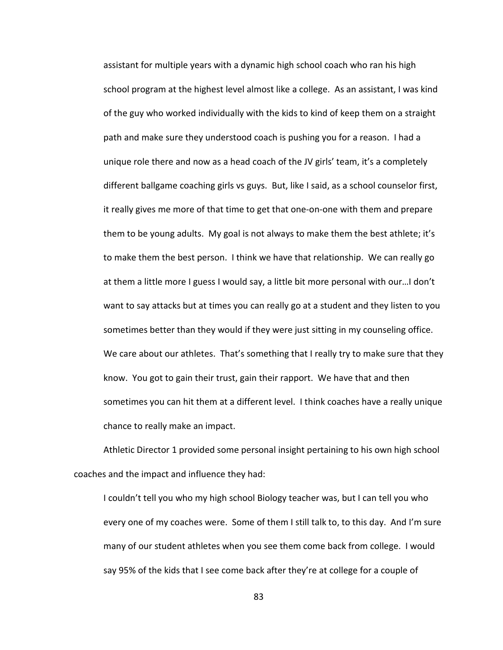assistant for multiple years with a dynamic high school coach who ran his high school program at the highest level almost like a college. As an assistant, I was kind of the guy who worked individually with the kids to kind of keep them on a straight path and make sure they understood coach is pushing you for a reason. I had a unique role there and now as a head coach of the JV girls' team, it's a completely different ballgame coaching girls vs guys. But, like I said, as a school counselor first, it really gives me more of that time to get that one-on-one with them and prepare them to be young adults. My goal is not always to make them the best athlete; it's to make them the best person. I think we have that relationship. We can really go at them a little more I guess I would say, a little bit more personal with our…I don't want to say attacks but at times you can really go at a student and they listen to you sometimes better than they would if they were just sitting in my counseling office. We care about our athletes. That's something that I really try to make sure that they know. You got to gain their trust, gain their rapport. We have that and then sometimes you can hit them at a different level. I think coaches have a really unique chance to really make an impact.

Athletic Director 1 provided some personal insight pertaining to his own high school coaches and the impact and influence they had:

I couldn't tell you who my high school Biology teacher was, but I can tell you who every one of my coaches were. Some of them I still talk to, to this day. And I'm sure many of our student athletes when you see them come back from college. I would say 95% of the kids that I see come back after they're at college for a couple of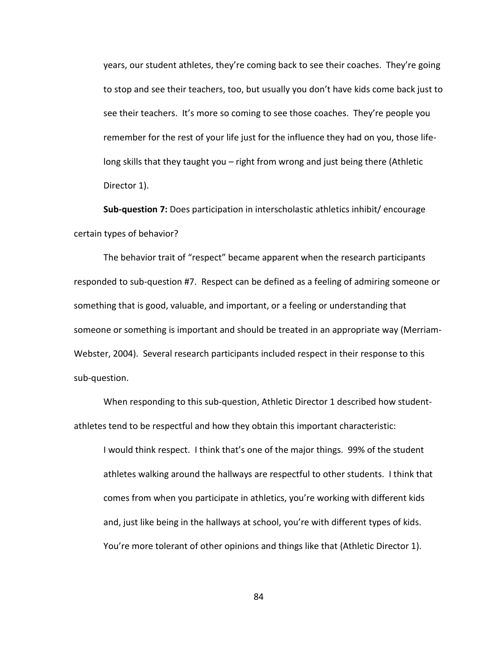years, our student athletes, they're coming back to see their coaches. They're going to stop and see their teachers, too, but usually you don't have kids come back just to see their teachers. It's more so coming to see those coaches. They're people you remember for the rest of your life just for the influence they had on you, those lifelong skills that they taught you – right from wrong and just being there (Athletic Director 1).

**Sub-question 7:** Does participation in interscholastic athletics inhibit/ encourage certain types of behavior?

The behavior trait of "respect" became apparent when the research participants responded to sub-question #7. Respect can be defined as a feeling of admiring someone or something that is good, valuable, and important, or a feeling or understanding that someone or something is important and should be treated in an appropriate way (Merriam-Webster, 2004). Several research participants included respect in their response to this sub-question.

When responding to this sub-question, Athletic Director 1 described how studentathletes tend to be respectful and how they obtain this important characteristic:

I would think respect. I think that's one of the major things. 99% of the student athletes walking around the hallways are respectful to other students. I think that comes from when you participate in athletics, you're working with different kids and, just like being in the hallways at school, you're with different types of kids. You're more tolerant of other opinions and things like that (Athletic Director 1).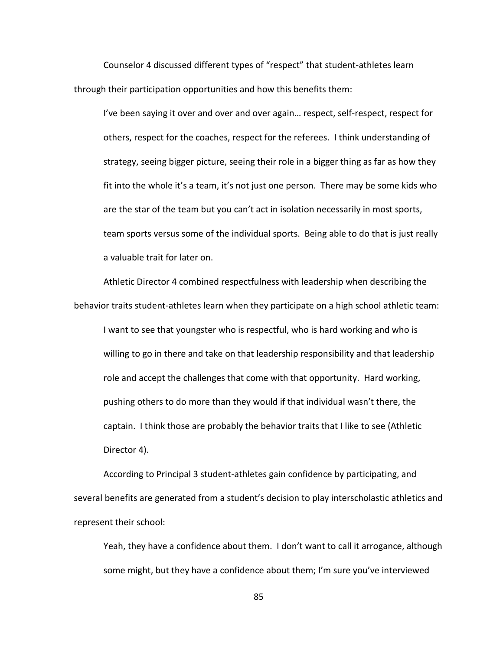Counselor 4 discussed different types of "respect" that student-athletes learn through their participation opportunities and how this benefits them:

I've been saying it over and over and over again… respect, self-respect, respect for others, respect for the coaches, respect for the referees. I think understanding of strategy, seeing bigger picture, seeing their role in a bigger thing as far as how they fit into the whole it's a team, it's not just one person. There may be some kids who are the star of the team but you can't act in isolation necessarily in most sports, team sports versus some of the individual sports. Being able to do that is just really a valuable trait for later on.

Athletic Director 4 combined respectfulness with leadership when describing the behavior traits student-athletes learn when they participate on a high school athletic team: I want to see that youngster who is respectful, who is hard working and who is willing to go in there and take on that leadership responsibility and that leadership role and accept the challenges that come with that opportunity. Hard working, pushing others to do more than they would if that individual wasn't there, the captain. I think those are probably the behavior traits that I like to see (Athletic Director 4).

According to Principal 3 student-athletes gain confidence by participating, and several benefits are generated from a student's decision to play interscholastic athletics and represent their school:

Yeah, they have a confidence about them. I don't want to call it arrogance, although some might, but they have a confidence about them; I'm sure you've interviewed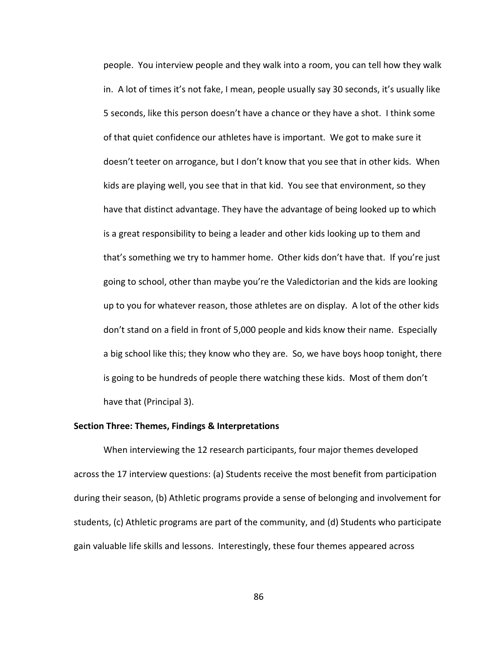people. You interview people and they walk into a room, you can tell how they walk in. A lot of times it's not fake, I mean, people usually say 30 seconds, it's usually like 5 seconds, like this person doesn't have a chance or they have a shot. I think some of that quiet confidence our athletes have is important. We got to make sure it doesn't teeter on arrogance, but I don't know that you see that in other kids. When kids are playing well, you see that in that kid. You see that environment, so they have that distinct advantage. They have the advantage of being looked up to which is a great responsibility to being a leader and other kids looking up to them and that's something we try to hammer home. Other kids don't have that. If you're just going to school, other than maybe you're the Valedictorian and the kids are looking up to you for whatever reason, those athletes are on display. A lot of the other kids don't stand on a field in front of 5,000 people and kids know their name. Especially a big school like this; they know who they are. So, we have boys hoop tonight, there is going to be hundreds of people there watching these kids. Most of them don't have that (Principal 3).

## **Section Three: Themes, Findings & Interpretations**

When interviewing the 12 research participants, four major themes developed across the 17 interview questions: (a) Students receive the most benefit from participation during their season, (b) Athletic programs provide a sense of belonging and involvement for students, (c) Athletic programs are part of the community, and (d) Students who participate gain valuable life skills and lessons. Interestingly, these four themes appeared across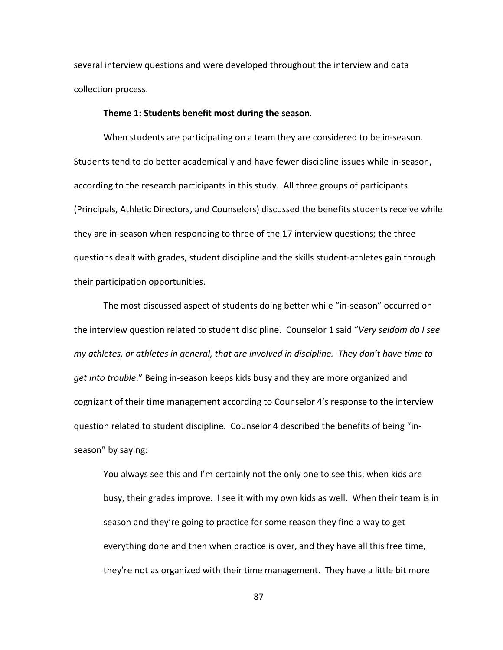several interview questions and were developed throughout the interview and data collection process.

## **Theme 1: Students benefit most during the season**.

When students are participating on a team they are considered to be in-season. Students tend to do better academically and have fewer discipline issues while in-season, according to the research participants in this study. All three groups of participants (Principals, Athletic Directors, and Counselors) discussed the benefits students receive while they are in-season when responding to three of the 17 interview questions; the three questions dealt with grades, student discipline and the skills student-athletes gain through their participation opportunities.

The most discussed aspect of students doing better while "in-season" occurred on the interview question related to student discipline. Counselor 1 said "*Very seldom do I see my athletes, or athletes in general, that are involved in discipline. They don't have time to get into trouble*." Being in-season keeps kids busy and they are more organized and cognizant of their time management according to Counselor 4's response to the interview question related to student discipline. Counselor 4 described the benefits of being "inseason" by saying:

You always see this and I'm certainly not the only one to see this, when kids are busy, their grades improve. I see it with my own kids as well. When their team is in season and they're going to practice for some reason they find a way to get everything done and then when practice is over, and they have all this free time, they're not as organized with their time management. They have a little bit more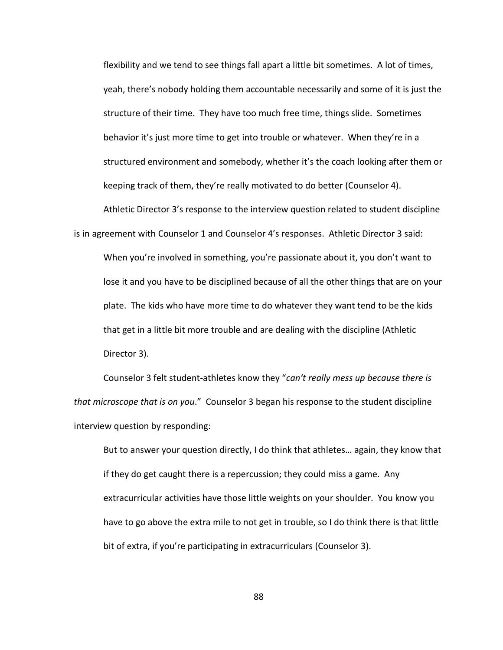flexibility and we tend to see things fall apart a little bit sometimes. A lot of times, yeah, there's nobody holding them accountable necessarily and some of it is just the structure of their time. They have too much free time, things slide. Sometimes behavior it's just more time to get into trouble or whatever. When they're in a structured environment and somebody, whether it's the coach looking after them or keeping track of them, they're really motivated to do better (Counselor 4).

Athletic Director 3's response to the interview question related to student discipline is in agreement with Counselor 1 and Counselor 4's responses. Athletic Director 3 said:

When you're involved in something, you're passionate about it, you don't want to lose it and you have to be disciplined because of all the other things that are on your plate. The kids who have more time to do whatever they want tend to be the kids that get in a little bit more trouble and are dealing with the discipline (Athletic Director 3).

Counselor 3 felt student-athletes know they "*can't really mess up because there is that microscope that is on you*." Counselor 3 began his response to the student discipline interview question by responding:

But to answer your question directly, I do think that athletes… again, they know that if they do get caught there is a repercussion; they could miss a game. Any extracurricular activities have those little weights on your shoulder. You know you have to go above the extra mile to not get in trouble, so I do think there is that little bit of extra, if you're participating in extracurriculars (Counselor 3).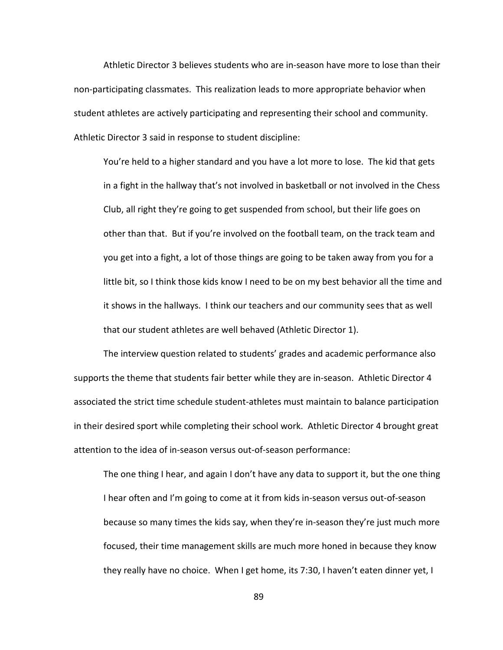Athletic Director 3 believes students who are in-season have more to lose than their non-participating classmates. This realization leads to more appropriate behavior when student athletes are actively participating and representing their school and community. Athletic Director 3 said in response to student discipline:

You're held to a higher standard and you have a lot more to lose. The kid that gets in a fight in the hallway that's not involved in basketball or not involved in the Chess Club, all right they're going to get suspended from school, but their life goes on other than that. But if you're involved on the football team, on the track team and you get into a fight, a lot of those things are going to be taken away from you for a little bit, so I think those kids know I need to be on my best behavior all the time and it shows in the hallways. I think our teachers and our community sees that as well that our student athletes are well behaved (Athletic Director 1).

The interview question related to students' grades and academic performance also supports the theme that students fair better while they are in-season. Athletic Director 4 associated the strict time schedule student-athletes must maintain to balance participation in their desired sport while completing their school work. Athletic Director 4 brought great attention to the idea of in-season versus out-of-season performance:

The one thing I hear, and again I don't have any data to support it, but the one thing I hear often and I'm going to come at it from kids in-season versus out-of-season because so many times the kids say, when they're in-season they're just much more focused, their time management skills are much more honed in because they know they really have no choice. When I get home, its 7:30, I haven't eaten dinner yet, I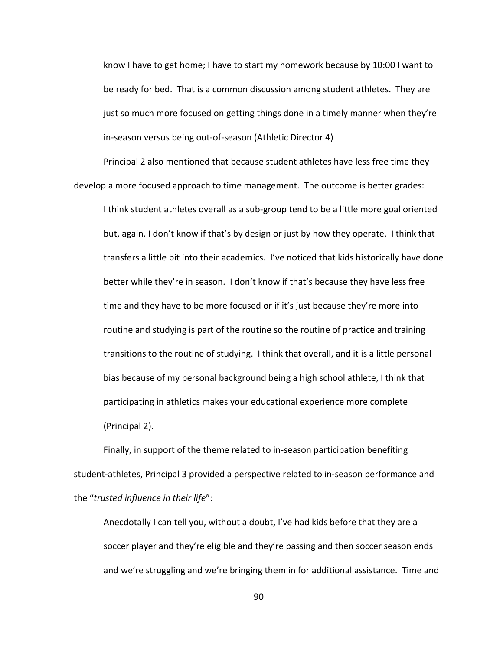know I have to get home; I have to start my homework because by 10:00 I want to be ready for bed. That is a common discussion among student athletes. They are just so much more focused on getting things done in a timely manner when they're in-season versus being out-of-season (Athletic Director 4)

Principal 2 also mentioned that because student athletes have less free time they develop a more focused approach to time management. The outcome is better grades:

I think student athletes overall as a sub-group tend to be a little more goal oriented but, again, I don't know if that's by design or just by how they operate. I think that transfers a little bit into their academics. I've noticed that kids historically have done better while they're in season. I don't know if that's because they have less free time and they have to be more focused or if it's just because they're more into routine and studying is part of the routine so the routine of practice and training transitions to the routine of studying. I think that overall, and it is a little personal bias because of my personal background being a high school athlete, I think that participating in athletics makes your educational experience more complete (Principal 2).

Finally, in support of the theme related to in-season participation benefiting student-athletes, Principal 3 provided a perspective related to in-season performance and the "*trusted influence in their life*":

Anecdotally I can tell you, without a doubt, I've had kids before that they are a soccer player and they're eligible and they're passing and then soccer season ends and we're struggling and we're bringing them in for additional assistance. Time and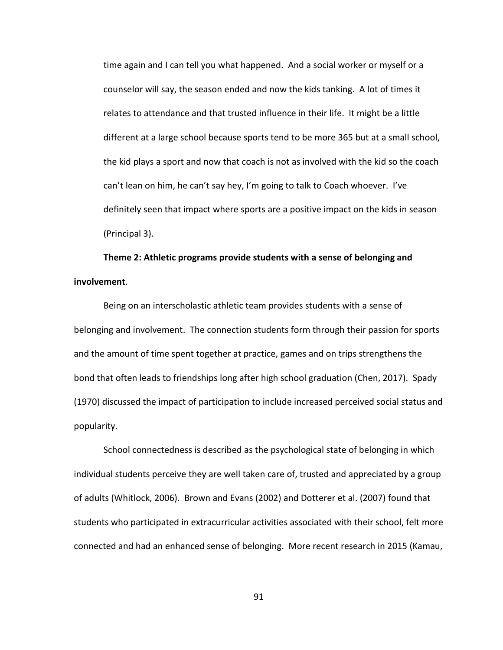time again and I can tell you what happened. And a social worker or myself or a counselor will say, the season ended and now the kids tanking. A lot of times it relates to attendance and that trusted influence in their life. It might be a little different at a large school because sports tend to be more 365 but at a small school, the kid plays a sport and now that coach is not as involved with the kid so the coach can't lean on him, he can't say hey, I'm going to talk to Coach whoever. I've definitely seen that impact where sports are a positive impact on the kids in season (Principal 3).

## **Theme 2: Athletic programs provide students with a sense of belonging and involvement**.

Being on an interscholastic athletic team provides students with a sense of belonging and involvement. The connection students form through their passion for sports and the amount of time spent together at practice, games and on trips strengthens the bond that often leads to friendships long after high school graduation (Chen, 2017). Spady (1970) discussed the impact of participation to include increased perceived social status and popularity.

School connectedness is described as the psychological state of belonging in which individual students perceive they are well taken care of, trusted and appreciated by a group of adults (Whitlock, 2006). Brown and Evans (2002) and Dotterer et al. (2007) found that students who participated in extracurricular activities associated with their school, felt more connected and had an enhanced sense of belonging. More recent research in 2015 (Kamau,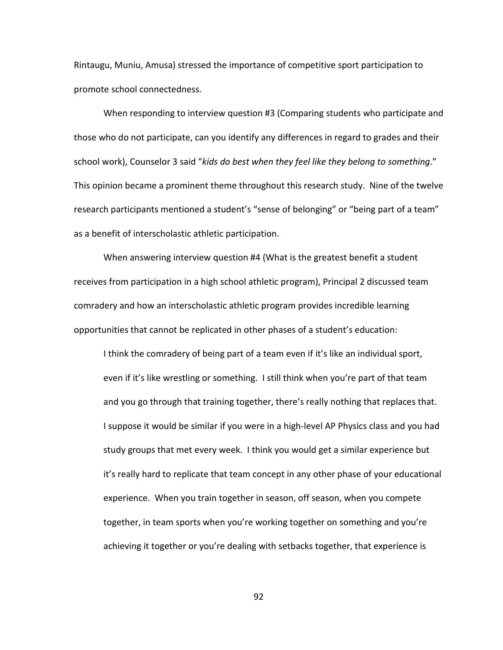Rintaugu, Muniu, Amusa) stressed the importance of competitive sport participation to promote school connectedness.

When responding to interview question #3 (Comparing students who participate and those who do not participate, can you identify any differences in regard to grades and their school work), Counselor 3 said "*kids do best when they feel like they belong to something*." This opinion became a prominent theme throughout this research study. Nine of the twelve research participants mentioned a student's "sense of belonging" or "being part of a team" as a benefit of interscholastic athletic participation.

When answering interview question #4 (What is the greatest benefit a student receives from participation in a high school athletic program), Principal 2 discussed team comradery and how an interscholastic athletic program provides incredible learning opportunities that cannot be replicated in other phases of a student's education:

I think the comradery of being part of a team even if it's like an individual sport, even if it's like wrestling or something. I still think when you're part of that team and you go through that training together, there's really nothing that replaces that. I suppose it would be similar if you were in a high-level AP Physics class and you had study groups that met every week. I think you would get a similar experience but it's really hard to replicate that team concept in any other phase of your educational experience. When you train together in season, off season, when you compete together, in team sports when you're working together on something and you're achieving it together or you're dealing with setbacks together, that experience is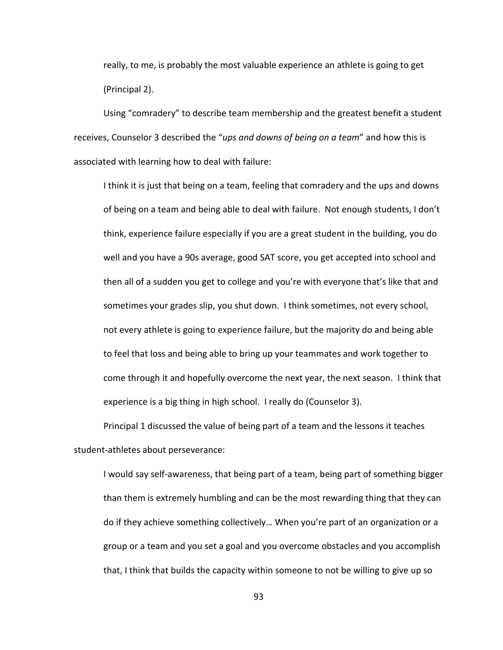really, to me, is probably the most valuable experience an athlete is going to get (Principal 2).

Using "comradery" to describe team membership and the greatest benefit a student receives, Counselor 3 described the "*ups and downs of being on a team*" and how this is associated with learning how to deal with failure:

I think it is just that being on a team, feeling that comradery and the ups and downs of being on a team and being able to deal with failure. Not enough students, I don't think, experience failure especially if you are a great student in the building, you do well and you have a 90s average, good SAT score, you get accepted into school and then all of a sudden you get to college and you're with everyone that's like that and sometimes your grades slip, you shut down. I think sometimes, not every school, not every athlete is going to experience failure, but the majority do and being able to feel that loss and being able to bring up your teammates and work together to come through it and hopefully overcome the next year, the next season. I think that experience is a big thing in high school. I really do (Counselor 3).

Principal 1 discussed the value of being part of a team and the lessons it teaches student-athletes about perseverance:

I would say self-awareness, that being part of a team, being part of something bigger than them is extremely humbling and can be the most rewarding thing that they can do if they achieve something collectively… When you're part of an organization or a group or a team and you set a goal and you overcome obstacles and you accomplish that, I think that builds the capacity within someone to not be willing to give up so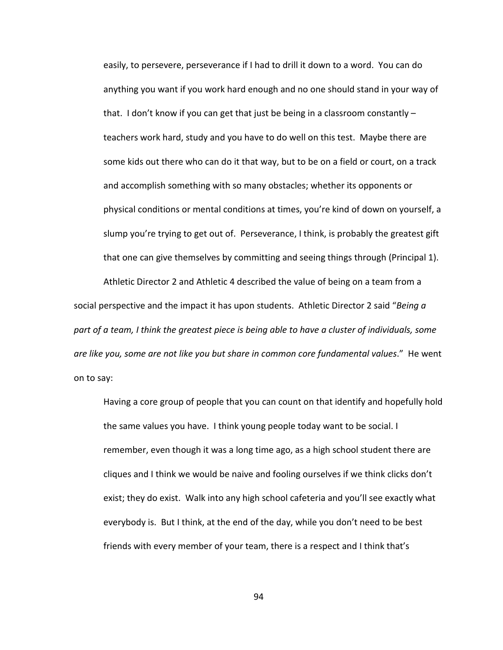easily, to persevere, perseverance if I had to drill it down to a word. You can do anything you want if you work hard enough and no one should stand in your way of that. I don't know if you can get that just be being in a classroom constantly – teachers work hard, study and you have to do well on this test. Maybe there are some kids out there who can do it that way, but to be on a field or court, on a track and accomplish something with so many obstacles; whether its opponents or physical conditions or mental conditions at times, you're kind of down on yourself, a slump you're trying to get out of. Perseverance, I think, is probably the greatest gift that one can give themselves by committing and seeing things through (Principal 1).

Athletic Director 2 and Athletic 4 described the value of being on a team from a social perspective and the impact it has upon students. Athletic Director 2 said "*Being a part of a team, I think the greatest piece is being able to have a cluster of individuals, some are like you, some are not like you but share in common core fundamental values*." He went on to say:

Having a core group of people that you can count on that identify and hopefully hold the same values you have. I think young people today want to be social. I remember, even though it was a long time ago, as a high school student there are cliques and I think we would be naive and fooling ourselves if we think clicks don't exist; they do exist. Walk into any high school cafeteria and you'll see exactly what everybody is. But I think, at the end of the day, while you don't need to be best friends with every member of your team, there is a respect and I think that's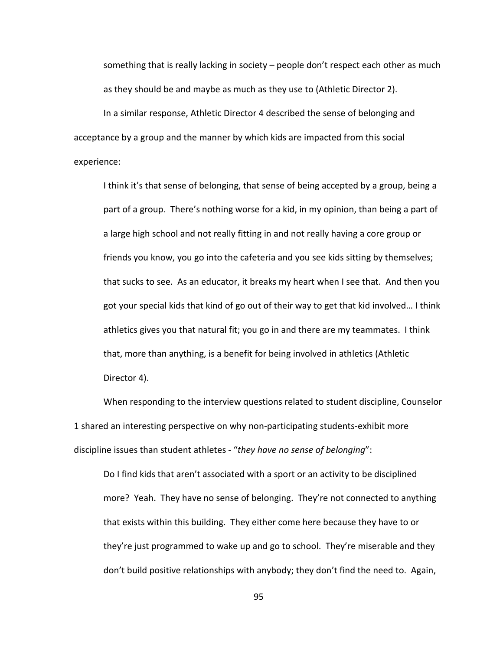something that is really lacking in society – people don't respect each other as much as they should be and maybe as much as they use to (Athletic Director 2).

In a similar response, Athletic Director 4 described the sense of belonging and acceptance by a group and the manner by which kids are impacted from this social experience:

I think it's that sense of belonging, that sense of being accepted by a group, being a part of a group. There's nothing worse for a kid, in my opinion, than being a part of a large high school and not really fitting in and not really having a core group or friends you know, you go into the cafeteria and you see kids sitting by themselves; that sucks to see. As an educator, it breaks my heart when I see that. And then you got your special kids that kind of go out of their way to get that kid involved… I think athletics gives you that natural fit; you go in and there are my teammates. I think that, more than anything, is a benefit for being involved in athletics (Athletic Director 4).

When responding to the interview questions related to student discipline, Counselor 1 shared an interesting perspective on why non-participating students-exhibit more discipline issues than student athletes - "*they have no sense of belonging*":

Do I find kids that aren't associated with a sport or an activity to be disciplined more? Yeah. They have no sense of belonging. They're not connected to anything that exists within this building. They either come here because they have to or they're just programmed to wake up and go to school. They're miserable and they don't build positive relationships with anybody; they don't find the need to. Again,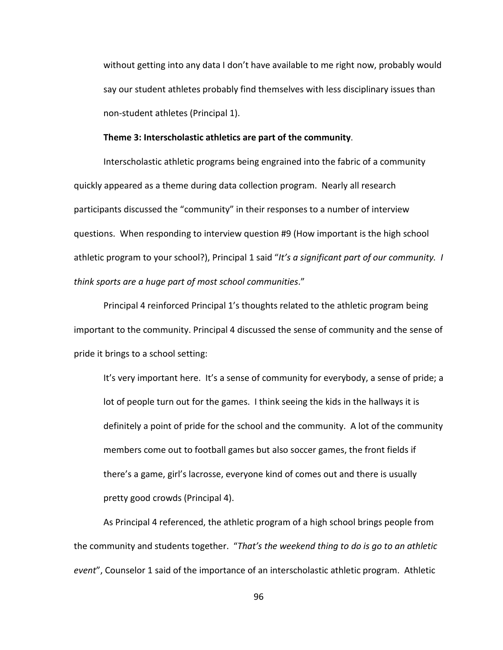without getting into any data I don't have available to me right now, probably would say our student athletes probably find themselves with less disciplinary issues than non-student athletes (Principal 1).

#### **Theme 3: Interscholastic athletics are part of the community**.

Interscholastic athletic programs being engrained into the fabric of a community quickly appeared as a theme during data collection program. Nearly all research participants discussed the "community" in their responses to a number of interview questions. When responding to interview question #9 (How important is the high school athletic program to your school?), Principal 1 said "*It's a significant part of our community. I think sports are a huge part of most school communities*."

Principal 4 reinforced Principal 1's thoughts related to the athletic program being important to the community. Principal 4 discussed the sense of community and the sense of pride it brings to a school setting:

It's very important here. It's a sense of community for everybody, a sense of pride; a lot of people turn out for the games. I think seeing the kids in the hallways it is definitely a point of pride for the school and the community. A lot of the community members come out to football games but also soccer games, the front fields if there's a game, girl's lacrosse, everyone kind of comes out and there is usually pretty good crowds (Principal 4).

As Principal 4 referenced, the athletic program of a high school brings people from the community and students together. "*That's the weekend thing to do is go to an athletic event*", Counselor 1 said of the importance of an interscholastic athletic program. Athletic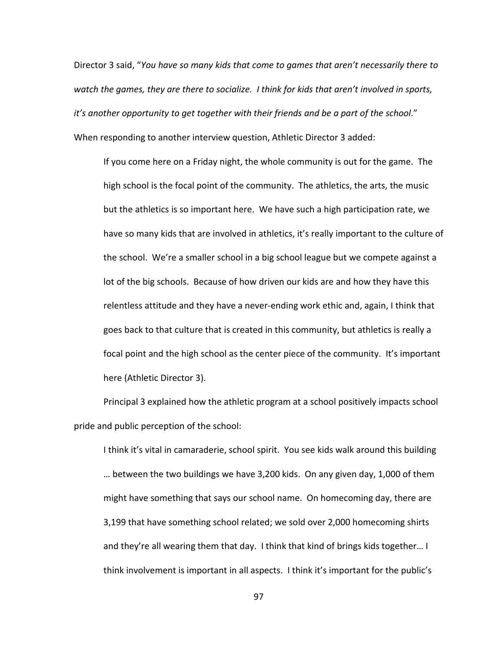Director 3 said, "*You have so many kids that come to games that aren't necessarily there to watch the games, they are there to socialize. I think for kids that aren't involved in sports, it's another opportunity to get together with their friends and be a part of the school*." When responding to another interview question, Athletic Director 3 added:

If you come here on a Friday night, the whole community is out for the game. The high school is the focal point of the community. The athletics, the arts, the music but the athletics is so important here. We have such a high participation rate, we have so many kids that are involved in athletics, it's really important to the culture of the school. We're a smaller school in a big school league but we compete against a lot of the big schools. Because of how driven our kids are and how they have this relentless attitude and they have a never-ending work ethic and, again, I think that goes back to that culture that is created in this community, but athletics is really a focal point and the high school as the center piece of the community. It's important here (Athletic Director 3).

Principal 3 explained how the athletic program at a school positively impacts school pride and public perception of the school:

I think it's vital in camaraderie, school spirit. You see kids walk around this building … between the two buildings we have 3,200 kids. On any given day, 1,000 of them might have something that says our school name. On homecoming day, there are 3,199 that have something school related; we sold over 2,000 homecoming shirts and they're all wearing them that day. I think that kind of brings kids together… I think involvement is important in all aspects. I think it's important for the public's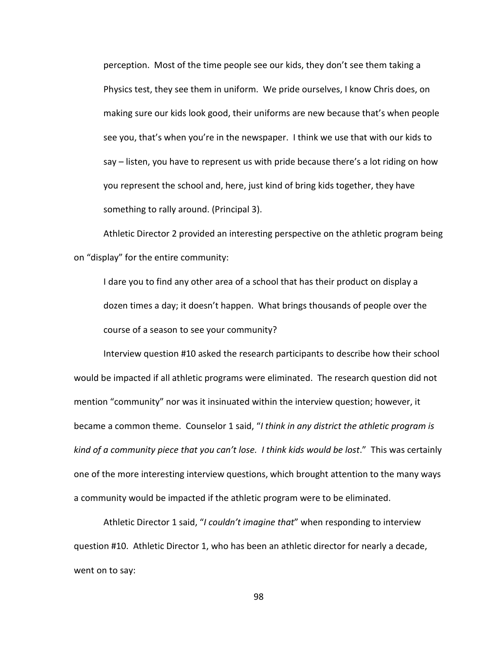perception. Most of the time people see our kids, they don't see them taking a Physics test, they see them in uniform. We pride ourselves, I know Chris does, on making sure our kids look good, their uniforms are new because that's when people see you, that's when you're in the newspaper. I think we use that with our kids to say – listen, you have to represent us with pride because there's a lot riding on how you represent the school and, here, just kind of bring kids together, they have something to rally around. (Principal 3).

Athletic Director 2 provided an interesting perspective on the athletic program being on "display" for the entire community:

I dare you to find any other area of a school that has their product on display a dozen times a day; it doesn't happen. What brings thousands of people over the course of a season to see your community?

Interview question #10 asked the research participants to describe how their school would be impacted if all athletic programs were eliminated. The research question did not mention "community" nor was it insinuated within the interview question; however, it became a common theme. Counselor 1 said, "*I think in any district the athletic program is kind of a community piece that you can't lose. I think kids would be lost*." This was certainly one of the more interesting interview questions, which brought attention to the many ways a community would be impacted if the athletic program were to be eliminated.

Athletic Director 1 said, "*I couldn't imagine that*" when responding to interview question #10. Athletic Director 1, who has been an athletic director for nearly a decade, went on to say: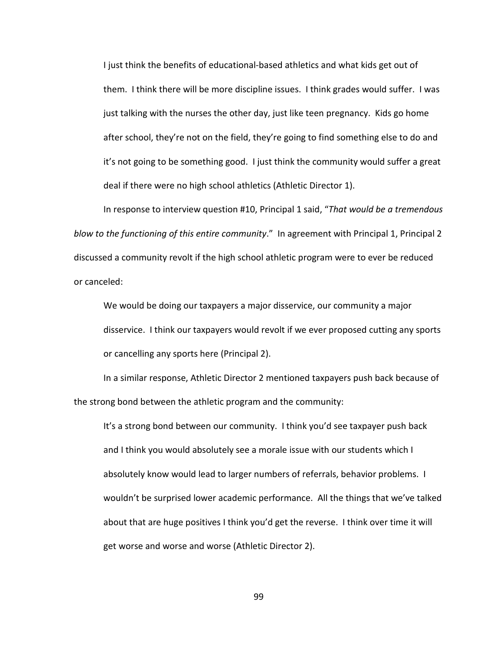I just think the benefits of educational-based athletics and what kids get out of them. I think there will be more discipline issues. I think grades would suffer. I was just talking with the nurses the other day, just like teen pregnancy. Kids go home after school, they're not on the field, they're going to find something else to do and it's not going to be something good. I just think the community would suffer a great deal if there were no high school athletics (Athletic Director 1).

In response to interview question #10, Principal 1 said, "*That would be a tremendous blow to the functioning of this entire community*." In agreement with Principal 1, Principal 2 discussed a community revolt if the high school athletic program were to ever be reduced or canceled:

We would be doing our taxpayers a major disservice, our community a major disservice. I think our taxpayers would revolt if we ever proposed cutting any sports or cancelling any sports here (Principal 2).

In a similar response, Athletic Director 2 mentioned taxpayers push back because of the strong bond between the athletic program and the community:

It's a strong bond between our community. I think you'd see taxpayer push back and I think you would absolutely see a morale issue with our students which I absolutely know would lead to larger numbers of referrals, behavior problems. I wouldn't be surprised lower academic performance. All the things that we've talked about that are huge positives I think you'd get the reverse. I think over time it will get worse and worse and worse (Athletic Director 2).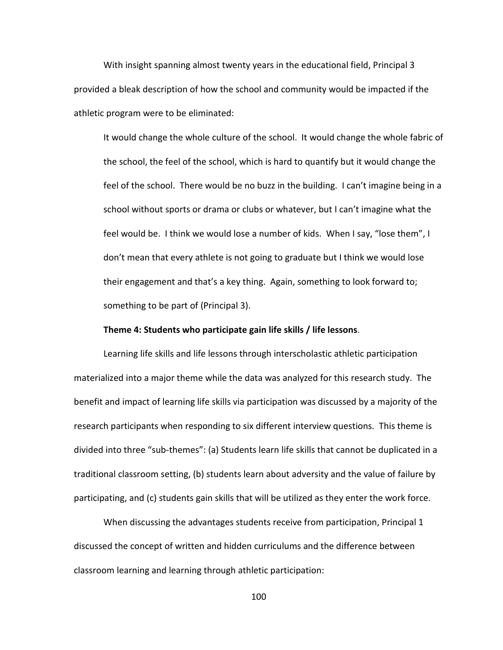With insight spanning almost twenty years in the educational field, Principal 3 provided a bleak description of how the school and community would be impacted if the athletic program were to be eliminated:

It would change the whole culture of the school. It would change the whole fabric of the school, the feel of the school, which is hard to quantify but it would change the feel of the school. There would be no buzz in the building. I can't imagine being in a school without sports or drama or clubs or whatever, but I can't imagine what the feel would be. I think we would lose a number of kids. When I say, "lose them", I don't mean that every athlete is not going to graduate but I think we would lose their engagement and that's a key thing. Again, something to look forward to; something to be part of (Principal 3).

### **Theme 4: Students who participate gain life skills / life lessons**.

Learning life skills and life lessons through interscholastic athletic participation materialized into a major theme while the data was analyzed for this research study. The benefit and impact of learning life skills via participation was discussed by a majority of the research participants when responding to six different interview questions. This theme is divided into three "sub-themes": (a) Students learn life skills that cannot be duplicated in a traditional classroom setting, (b) students learn about adversity and the value of failure by participating, and (c) students gain skills that will be utilized as they enter the work force.

When discussing the advantages students receive from participation, Principal 1 discussed the concept of written and hidden curriculums and the difference between classroom learning and learning through athletic participation: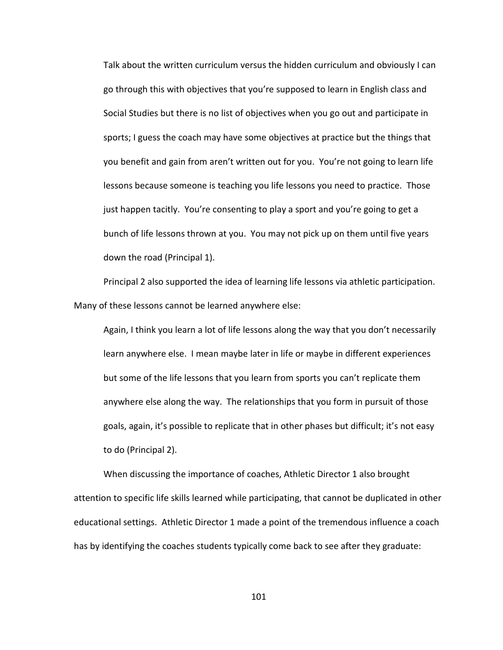Talk about the written curriculum versus the hidden curriculum and obviously I can go through this with objectives that you're supposed to learn in English class and Social Studies but there is no list of objectives when you go out and participate in sports; I guess the coach may have some objectives at practice but the things that you benefit and gain from aren't written out for you. You're not going to learn life lessons because someone is teaching you life lessons you need to practice. Those just happen tacitly. You're consenting to play a sport and you're going to get a bunch of life lessons thrown at you. You may not pick up on them until five years down the road (Principal 1).

Principal 2 also supported the idea of learning life lessons via athletic participation. Many of these lessons cannot be learned anywhere else:

Again, I think you learn a lot of life lessons along the way that you don't necessarily learn anywhere else. I mean maybe later in life or maybe in different experiences but some of the life lessons that you learn from sports you can't replicate them anywhere else along the way. The relationships that you form in pursuit of those goals, again, it's possible to replicate that in other phases but difficult; it's not easy to do (Principal 2).

When discussing the importance of coaches, Athletic Director 1 also brought attention to specific life skills learned while participating, that cannot be duplicated in other educational settings. Athletic Director 1 made a point of the tremendous influence a coach has by identifying the coaches students typically come back to see after they graduate: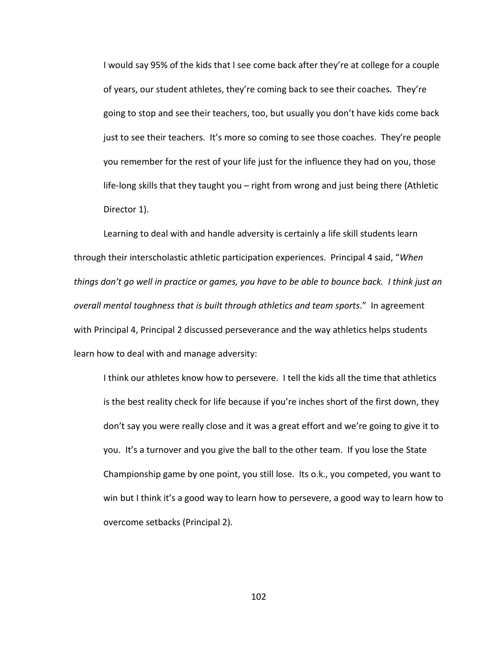I would say 95% of the kids that I see come back after they're at college for a couple of years, our student athletes, they're coming back to see their coaches. They're going to stop and see their teachers, too, but usually you don't have kids come back just to see their teachers. It's more so coming to see those coaches. They're people you remember for the rest of your life just for the influence they had on you, those life-long skills that they taught you – right from wrong and just being there (Athletic Director 1).

Learning to deal with and handle adversity is certainly a life skill students learn through their interscholastic athletic participation experiences. Principal 4 said, "*When things don't go well in practice or games, you have to be able to bounce back. I think just an overall mental toughness that is built through athletics and team sports*." In agreement with Principal 4, Principal 2 discussed perseverance and the way athletics helps students learn how to deal with and manage adversity:

I think our athletes know how to persevere. I tell the kids all the time that athletics is the best reality check for life because if you're inches short of the first down, they don't say you were really close and it was a great effort and we're going to give it to you. It's a turnover and you give the ball to the other team. If you lose the State Championship game by one point, you still lose. Its o.k., you competed, you want to win but I think it's a good way to learn how to persevere, a good way to learn how to overcome setbacks (Principal 2).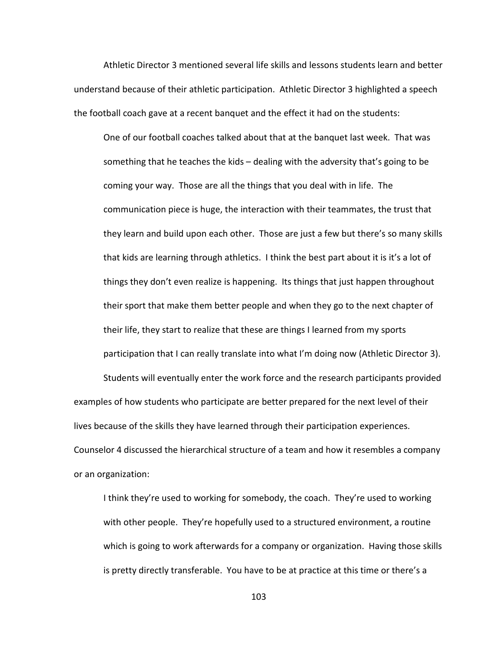Athletic Director 3 mentioned several life skills and lessons students learn and better understand because of their athletic participation. Athletic Director 3 highlighted a speech the football coach gave at a recent banquet and the effect it had on the students:

One of our football coaches talked about that at the banquet last week. That was something that he teaches the kids – dealing with the adversity that's going to be coming your way. Those are all the things that you deal with in life. The communication piece is huge, the interaction with their teammates, the trust that they learn and build upon each other. Those are just a few but there's so many skills that kids are learning through athletics. I think the best part about it is it's a lot of things they don't even realize is happening. Its things that just happen throughout their sport that make them better people and when they go to the next chapter of their life, they start to realize that these are things I learned from my sports participation that I can really translate into what I'm doing now (Athletic Director 3).

Students will eventually enter the work force and the research participants provided examples of how students who participate are better prepared for the next level of their lives because of the skills they have learned through their participation experiences. Counselor 4 discussed the hierarchical structure of a team and how it resembles a company or an organization:

I think they're used to working for somebody, the coach. They're used to working with other people. They're hopefully used to a structured environment, a routine which is going to work afterwards for a company or organization. Having those skills is pretty directly transferable. You have to be at practice at this time or there's a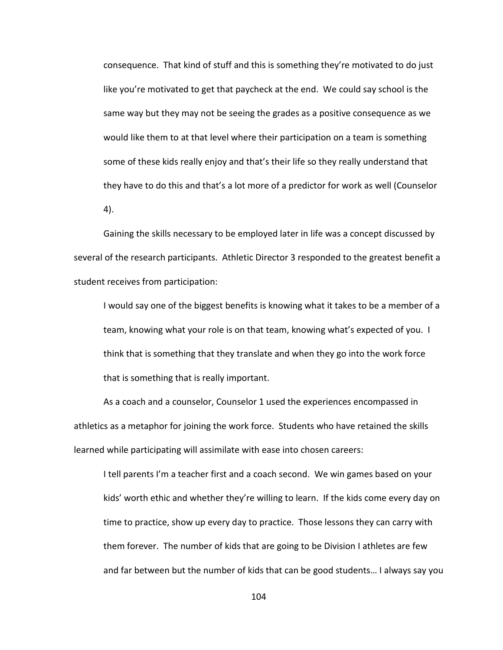consequence. That kind of stuff and this is something they're motivated to do just like you're motivated to get that paycheck at the end. We could say school is the same way but they may not be seeing the grades as a positive consequence as we would like them to at that level where their participation on a team is something some of these kids really enjoy and that's their life so they really understand that they have to do this and that's a lot more of a predictor for work as well (Counselor 4).

Gaining the skills necessary to be employed later in life was a concept discussed by several of the research participants. Athletic Director 3 responded to the greatest benefit a student receives from participation:

I would say one of the biggest benefits is knowing what it takes to be a member of a team, knowing what your role is on that team, knowing what's expected of you. I think that is something that they translate and when they go into the work force that is something that is really important.

As a coach and a counselor, Counselor 1 used the experiences encompassed in athletics as a metaphor for joining the work force. Students who have retained the skills learned while participating will assimilate with ease into chosen careers:

I tell parents I'm a teacher first and a coach second. We win games based on your kids' worth ethic and whether they're willing to learn. If the kids come every day on time to practice, show up every day to practice. Those lessons they can carry with them forever. The number of kids that are going to be Division I athletes are few and far between but the number of kids that can be good students… I always say you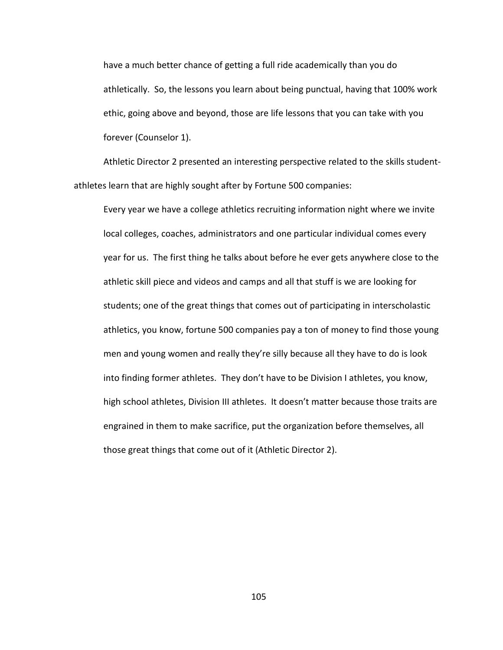have a much better chance of getting a full ride academically than you do athletically. So, the lessons you learn about being punctual, having that 100% work ethic, going above and beyond, those are life lessons that you can take with you forever (Counselor 1).

Athletic Director 2 presented an interesting perspective related to the skills studentathletes learn that are highly sought after by Fortune 500 companies:

Every year we have a college athletics recruiting information night where we invite local colleges, coaches, administrators and one particular individual comes every year for us. The first thing he talks about before he ever gets anywhere close to the athletic skill piece and videos and camps and all that stuff is we are looking for students; one of the great things that comes out of participating in interscholastic athletics, you know, fortune 500 companies pay a ton of money to find those young men and young women and really they're silly because all they have to do is look into finding former athletes. They don't have to be Division I athletes, you know, high school athletes, Division III athletes. It doesn't matter because those traits are engrained in them to make sacrifice, put the organization before themselves, all those great things that come out of it (Athletic Director 2).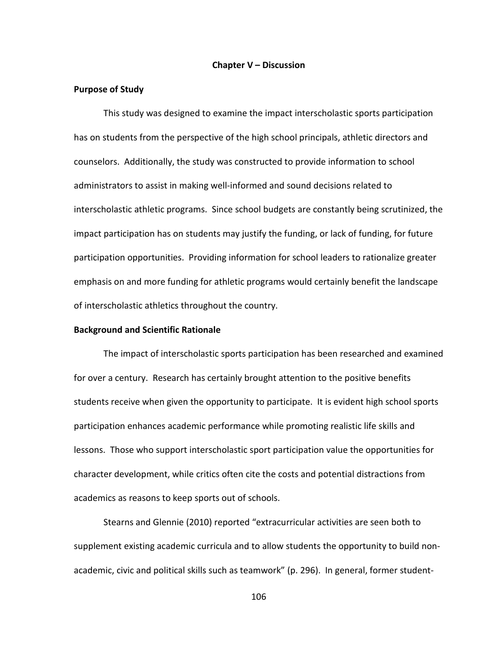#### **Chapter V – Discussion**

#### **Purpose of Study**

This study was designed to examine the impact interscholastic sports participation has on students from the perspective of the high school principals, athletic directors and counselors. Additionally, the study was constructed to provide information to school administrators to assist in making well-informed and sound decisions related to interscholastic athletic programs. Since school budgets are constantly being scrutinized, the impact participation has on students may justify the funding, or lack of funding, for future participation opportunities. Providing information for school leaders to rationalize greater emphasis on and more funding for athletic programs would certainly benefit the landscape of interscholastic athletics throughout the country.

### **Background and Scientific Rationale**

The impact of interscholastic sports participation has been researched and examined for over a century. Research has certainly brought attention to the positive benefits students receive when given the opportunity to participate. It is evident high school sports participation enhances academic performance while promoting realistic life skills and lessons. Those who support interscholastic sport participation value the opportunities for character development, while critics often cite the costs and potential distractions from academics as reasons to keep sports out of schools.

Stearns and Glennie (2010) reported "extracurricular activities are seen both to supplement existing academic curricula and to allow students the opportunity to build nonacademic, civic and political skills such as teamwork" (p. 296). In general, former student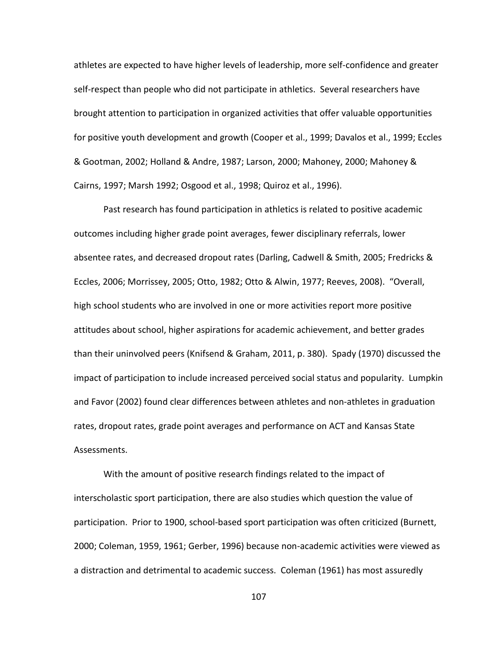athletes are expected to have higher levels of leadership, more self-confidence and greater self-respect than people who did not participate in athletics. Several researchers have brought attention to participation in organized activities that offer valuable opportunities for positive youth development and growth (Cooper et al., 1999; Davalos et al., 1999; Eccles & Gootman, 2002; Holland & Andre, 1987; Larson, 2000; Mahoney, 2000; Mahoney & Cairns, 1997; Marsh 1992; Osgood et al., 1998; Quiroz et al., 1996).

Past research has found participation in athletics is related to positive academic outcomes including higher grade point averages, fewer disciplinary referrals, lower absentee rates, and decreased dropout rates (Darling, Cadwell & Smith, 2005; Fredricks & Eccles, 2006; Morrissey, 2005; Otto, 1982; Otto & Alwin, 1977; Reeves, 2008). "Overall, high school students who are involved in one or more activities report more positive attitudes about school, higher aspirations for academic achievement, and better grades than their uninvolved peers (Knifsend & Graham, 2011, p. 380). Spady (1970) discussed the impact of participation to include increased perceived social status and popularity. Lumpkin and Favor (2002) found clear differences between athletes and non-athletes in graduation rates, dropout rates, grade point averages and performance on ACT and Kansas State Assessments.

With the amount of positive research findings related to the impact of interscholastic sport participation, there are also studies which question the value of participation. Prior to 1900, school-based sport participation was often criticized (Burnett, 2000; Coleman, 1959, 1961; Gerber, 1996) because non-academic activities were viewed as a distraction and detrimental to academic success. Coleman (1961) has most assuredly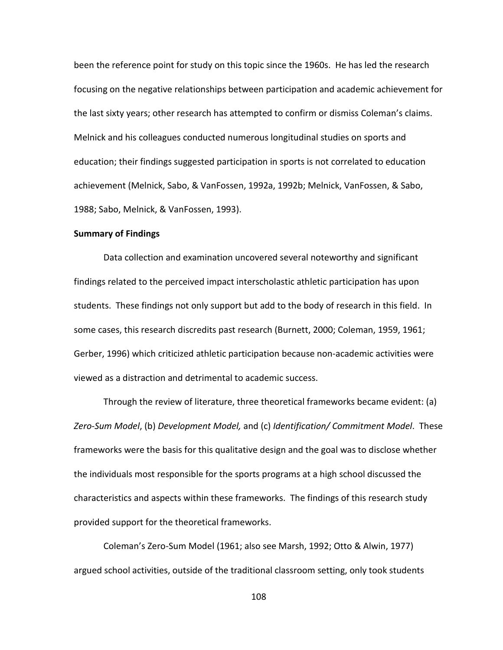been the reference point for study on this topic since the 1960s. He has led the research focusing on the negative relationships between participation and academic achievement for the last sixty years; other research has attempted to confirm or dismiss Coleman's claims. Melnick and his colleagues conducted numerous longitudinal studies on sports and education; their findings suggested participation in sports is not correlated to education achievement (Melnick, Sabo, & VanFossen, 1992a, 1992b; Melnick, VanFossen, & Sabo, 1988; Sabo, Melnick, & VanFossen, 1993).

#### **Summary of Findings**

Data collection and examination uncovered several noteworthy and significant findings related to the perceived impact interscholastic athletic participation has upon students. These findings not only support but add to the body of research in this field. In some cases, this research discredits past research (Burnett, 2000; Coleman, 1959, 1961; Gerber, 1996) which criticized athletic participation because non-academic activities were viewed as a distraction and detrimental to academic success.

Through the review of literature, three theoretical frameworks became evident: (a) *Zero-Sum Model*, (b) *Development Model,* and (c) *Identification/ Commitment Model*. These frameworks were the basis for this qualitative design and the goal was to disclose whether the individuals most responsible for the sports programs at a high school discussed the characteristics and aspects within these frameworks. The findings of this research study provided support for the theoretical frameworks.

Coleman's Zero-Sum Model (1961; also see Marsh, 1992; Otto & Alwin, 1977) argued school activities, outside of the traditional classroom setting, only took students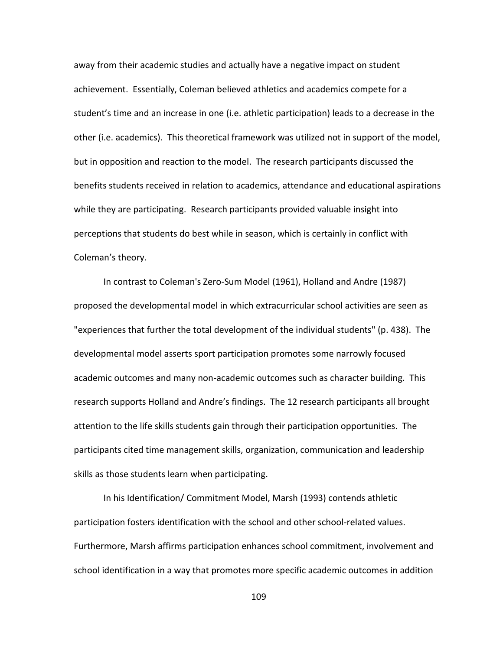away from their academic studies and actually have a negative impact on student achievement. Essentially, Coleman believed athletics and academics compete for a student's time and an increase in one (i.e. athletic participation) leads to a decrease in the other (i.e. academics). This theoretical framework was utilized not in support of the model, but in opposition and reaction to the model. The research participants discussed the benefits students received in relation to academics, attendance and educational aspirations while they are participating. Research participants provided valuable insight into perceptions that students do best while in season, which is certainly in conflict with Coleman's theory.

In contrast to Coleman's Zero-Sum Model (1961), Holland and Andre (1987) proposed the developmental model in which extracurricular school activities are seen as "experiences that further the total development of the individual students" (p. 438). The developmental model asserts sport participation promotes some narrowly focused academic outcomes and many non-academic outcomes such as character building. This research supports Holland and Andre's findings. The 12 research participants all brought attention to the life skills students gain through their participation opportunities. The participants cited time management skills, organization, communication and leadership skills as those students learn when participating.

In his Identification/ Commitment Model, Marsh (1993) contends athletic participation fosters identification with the school and other school-related values. Furthermore, Marsh affirms participation enhances school commitment, involvement and school identification in a way that promotes more specific academic outcomes in addition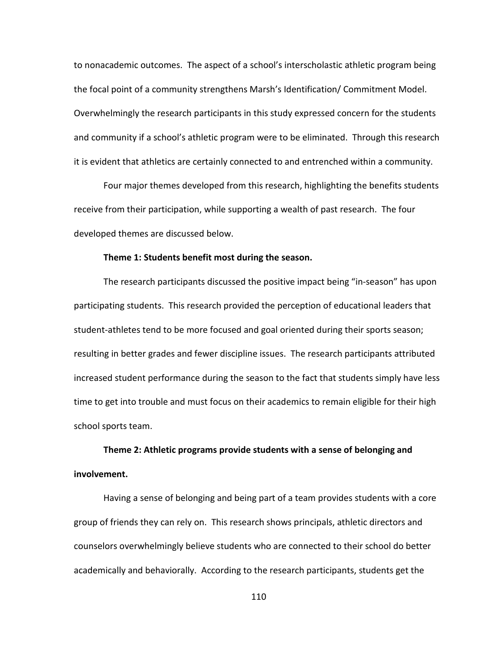to nonacademic outcomes. The aspect of a school's interscholastic athletic program being the focal point of a community strengthens Marsh's Identification/ Commitment Model. Overwhelmingly the research participants in this study expressed concern for the students and community if a school's athletic program were to be eliminated. Through this research it is evident that athletics are certainly connected to and entrenched within a community.

Four major themes developed from this research, highlighting the benefits students receive from their participation, while supporting a wealth of past research. The four developed themes are discussed below.

#### **Theme 1: Students benefit most during the season.**

The research participants discussed the positive impact being "in-season" has upon participating students. This research provided the perception of educational leaders that student-athletes tend to be more focused and goal oriented during their sports season; resulting in better grades and fewer discipline issues. The research participants attributed increased student performance during the season to the fact that students simply have less time to get into trouble and must focus on their academics to remain eligible for their high school sports team.

**Theme 2: Athletic programs provide students with a sense of belonging and involvement.**

Having a sense of belonging and being part of a team provides students with a core group of friends they can rely on. This research shows principals, athletic directors and counselors overwhelmingly believe students who are connected to their school do better academically and behaviorally. According to the research participants, students get the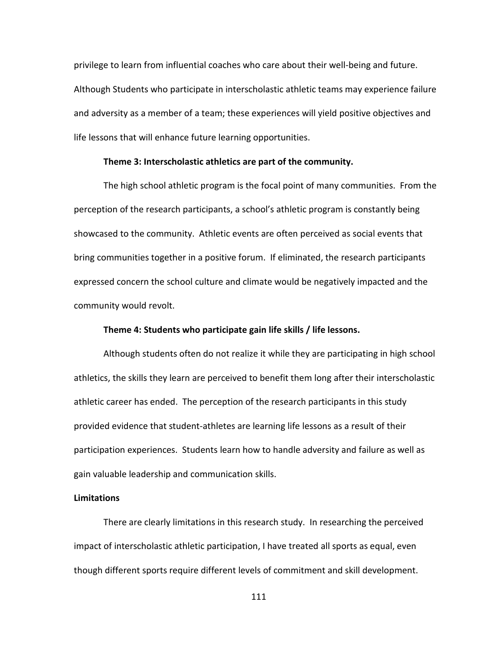privilege to learn from influential coaches who care about their well-being and future. Although Students who participate in interscholastic athletic teams may experience failure and adversity as a member of a team; these experiences will yield positive objectives and life lessons that will enhance future learning opportunities.

#### **Theme 3: Interscholastic athletics are part of the community.**

The high school athletic program is the focal point of many communities. From the perception of the research participants, a school's athletic program is constantly being showcased to the community. Athletic events are often perceived as social events that bring communities together in a positive forum. If eliminated, the research participants expressed concern the school culture and climate would be negatively impacted and the community would revolt.

### **Theme 4: Students who participate gain life skills / life lessons.**

Although students often do not realize it while they are participating in high school athletics, the skills they learn are perceived to benefit them long after their interscholastic athletic career has ended. The perception of the research participants in this study provided evidence that student-athletes are learning life lessons as a result of their participation experiences. Students learn how to handle adversity and failure as well as gain valuable leadership and communication skills.

### **Limitations**

There are clearly limitations in this research study. In researching the perceived impact of interscholastic athletic participation, I have treated all sports as equal, even though different sports require different levels of commitment and skill development.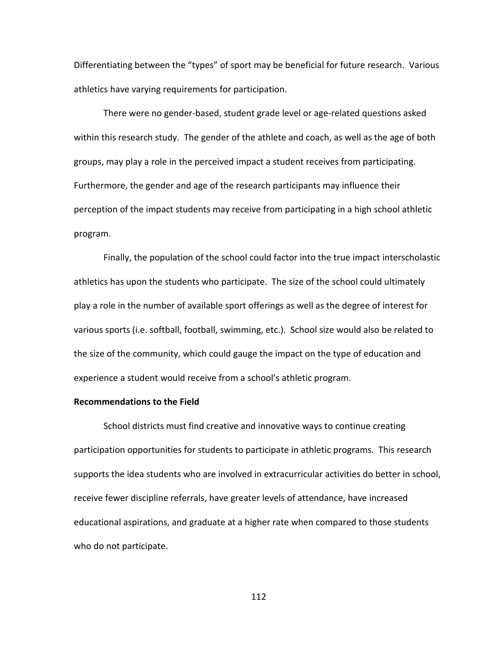Differentiating between the "types" of sport may be beneficial for future research. Various athletics have varying requirements for participation.

There were no gender-based, student grade level or age-related questions asked within this research study. The gender of the athlete and coach, as well as the age of both groups, may play a role in the perceived impact a student receives from participating. Furthermore, the gender and age of the research participants may influence their perception of the impact students may receive from participating in a high school athletic program.

Finally, the population of the school could factor into the true impact interscholastic athletics has upon the students who participate. The size of the school could ultimately play a role in the number of available sport offerings as well as the degree of interest for various sports (i.e. softball, football, swimming, etc.). School size would also be related to the size of the community, which could gauge the impact on the type of education and experience a student would receive from a school's athletic program.

### **Recommendations to the Field**

School districts must find creative and innovative ways to continue creating participation opportunities for students to participate in athletic programs. This research supports the idea students who are involved in extracurricular activities do better in school, receive fewer discipline referrals, have greater levels of attendance, have increased educational aspirations, and graduate at a higher rate when compared to those students who do not participate.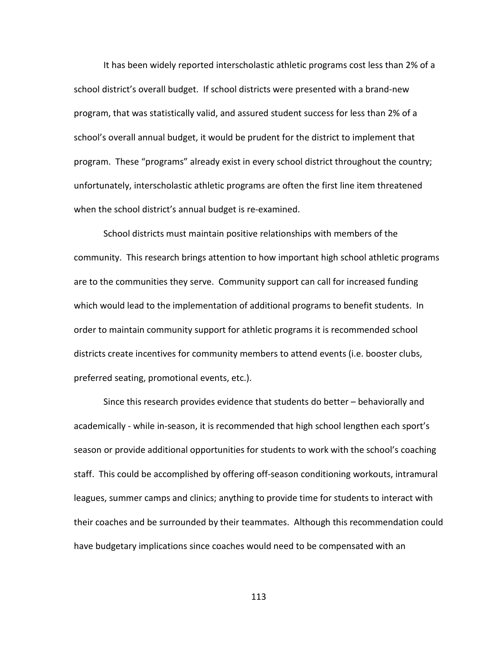It has been widely reported interscholastic athletic programs cost less than 2% of a school district's overall budget. If school districts were presented with a brand-new program, that was statistically valid, and assured student success for less than 2% of a school's overall annual budget, it would be prudent for the district to implement that program. These "programs" already exist in every school district throughout the country; unfortunately, interscholastic athletic programs are often the first line item threatened when the school district's annual budget is re-examined.

School districts must maintain positive relationships with members of the community. This research brings attention to how important high school athletic programs are to the communities they serve. Community support can call for increased funding which would lead to the implementation of additional programs to benefit students. In order to maintain community support for athletic programs it is recommended school districts create incentives for community members to attend events (i.e. booster clubs, preferred seating, promotional events, etc.).

Since this research provides evidence that students do better – behaviorally and academically - while in-season, it is recommended that high school lengthen each sport's season or provide additional opportunities for students to work with the school's coaching staff. This could be accomplished by offering off-season conditioning workouts, intramural leagues, summer camps and clinics; anything to provide time for students to interact with their coaches and be surrounded by their teammates. Although this recommendation could have budgetary implications since coaches would need to be compensated with an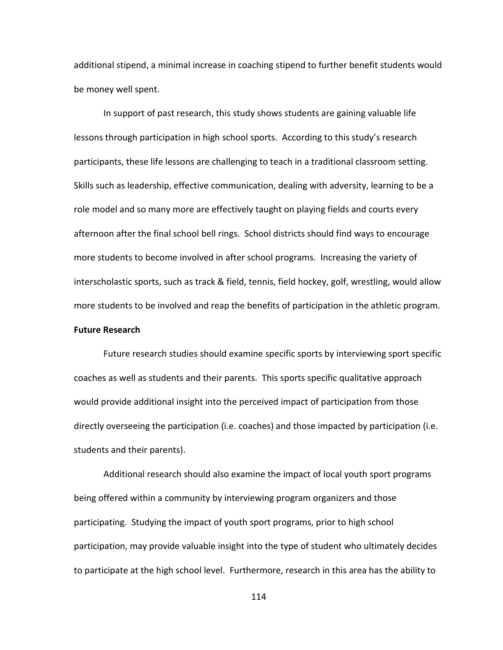additional stipend, a minimal increase in coaching stipend to further benefit students would be money well spent.

In support of past research, this study shows students are gaining valuable life lessons through participation in high school sports. According to this study's research participants, these life lessons are challenging to teach in a traditional classroom setting. Skills such as leadership, effective communication, dealing with adversity, learning to be a role model and so many more are effectively taught on playing fields and courts every afternoon after the final school bell rings. School districts should find ways to encourage more students to become involved in after school programs. Increasing the variety of interscholastic sports, such as track & field, tennis, field hockey, golf, wrestling, would allow more students to be involved and reap the benefits of participation in the athletic program.

### **Future Research**

Future research studies should examine specific sports by interviewing sport specific coaches as well as students and their parents. This sports specific qualitative approach would provide additional insight into the perceived impact of participation from those directly overseeing the participation (i.e. coaches) and those impacted by participation (i.e. students and their parents).

Additional research should also examine the impact of local youth sport programs being offered within a community by interviewing program organizers and those participating. Studying the impact of youth sport programs, prior to high school participation, may provide valuable insight into the type of student who ultimately decides to participate at the high school level. Furthermore, research in this area has the ability to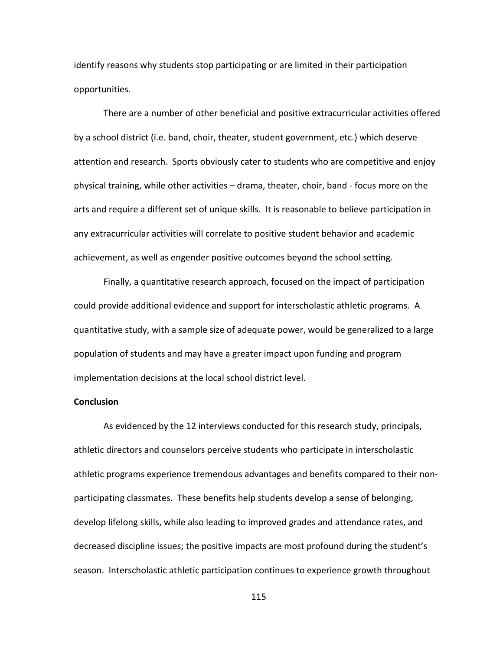identify reasons why students stop participating or are limited in their participation opportunities.

There are a number of other beneficial and positive extracurricular activities offered by a school district (i.e. band, choir, theater, student government, etc.) which deserve attention and research. Sports obviously cater to students who are competitive and enjoy physical training, while other activities – drama, theater, choir, band - focus more on the arts and require a different set of unique skills. It is reasonable to believe participation in any extracurricular activities will correlate to positive student behavior and academic achievement, as well as engender positive outcomes beyond the school setting.

Finally, a quantitative research approach, focused on the impact of participation could provide additional evidence and support for interscholastic athletic programs. A quantitative study, with a sample size of adequate power, would be generalized to a large population of students and may have a greater impact upon funding and program implementation decisions at the local school district level.

#### **Conclusion**

As evidenced by the 12 interviews conducted for this research study, principals, athletic directors and counselors perceive students who participate in interscholastic athletic programs experience tremendous advantages and benefits compared to their nonparticipating classmates. These benefits help students develop a sense of belonging, develop lifelong skills, while also leading to improved grades and attendance rates, and decreased discipline issues; the positive impacts are most profound during the student's season. Interscholastic athletic participation continues to experience growth throughout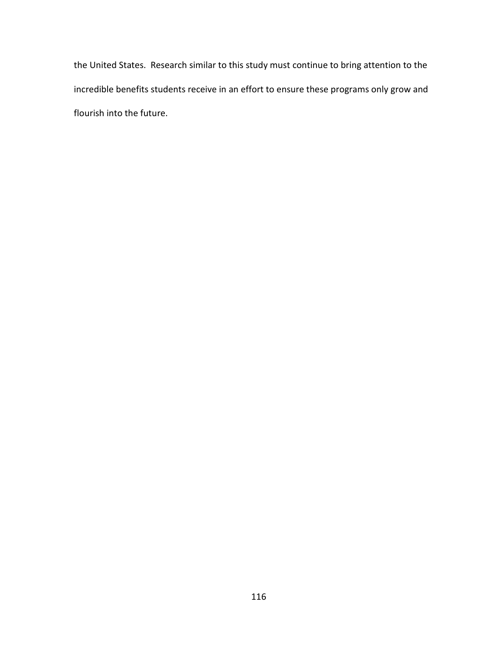the United States. Research similar to this study must continue to bring attention to the incredible benefits students receive in an effort to ensure these programs only grow and flourish into the future.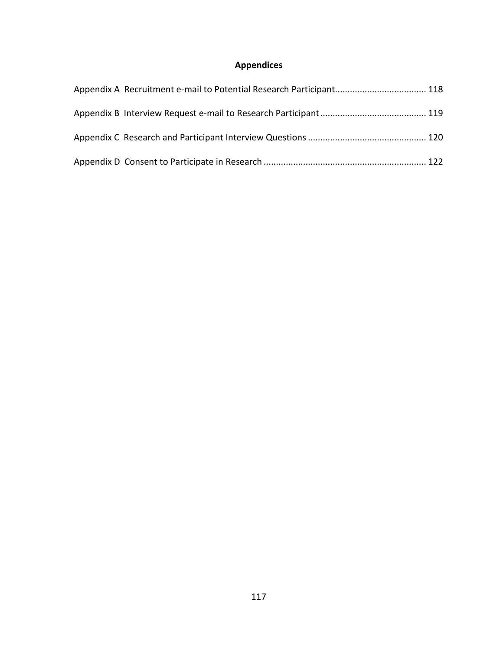# **Appendices**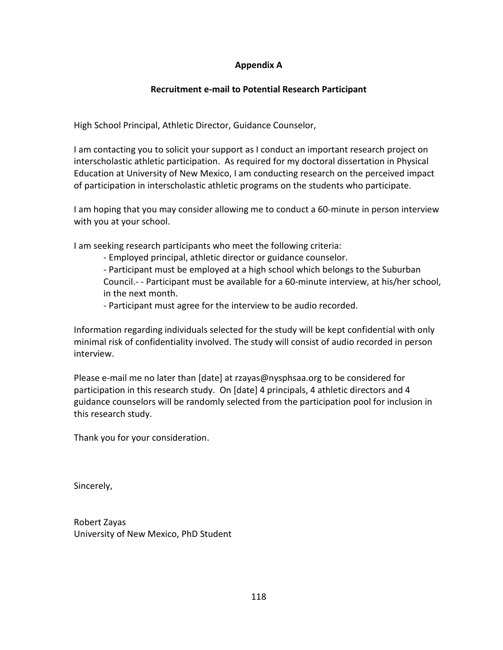# **Appendix A**

### **Recruitment e-mail to Potential Research Participant**

<span id="page-130-0"></span>High School Principal, Athletic Director, Guidance Counselor,

I am contacting you to solicit your support as I conduct an important research project on interscholastic athletic participation. As required for my doctoral dissertation in Physical Education at University of New Mexico, I am conducting research on the perceived impact of participation in interscholastic athletic programs on the students who participate.

I am hoping that you may consider allowing me to conduct a 60-minute in person interview with you at your school.

I am seeking research participants who meet the following criteria:

- Employed principal, athletic director or guidance counselor.

- Participant must be employed at a high school which belongs to the Suburban Council.- - Participant must be available for a 60-minute interview, at his/her school, in the next month.

- Participant must agree for the interview to be audio recorded.

Information regarding individuals selected for the study will be kept confidential with only minimal risk of confidentiality involved. The study will consist of audio recorded in person interview.

Please e-mail me no later than [date] at rzayas@nysphsaa.org to be considered for participation in this research study. On [date] 4 principals, 4 athletic directors and 4 guidance counselors will be randomly selected from the participation pool for inclusion in this research study.

Thank you for your consideration.

Sincerely,

Robert Zayas University of New Mexico, PhD Student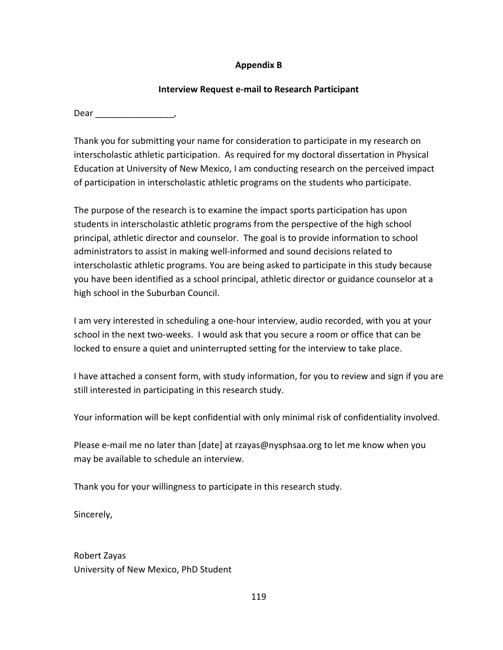# **Appendix B**

### **Interview Request e-mail to Research Participant**

<span id="page-131-0"></span>Dear \_\_\_\_\_\_\_\_\_\_\_\_\_\_\_\_,

Thank you for submitting your name for consideration to participate in my research on interscholastic athletic participation. As required for my doctoral dissertation in Physical Education at University of New Mexico, I am conducting research on the perceived impact of participation in interscholastic athletic programs on the students who participate.

The purpose of the research is to examine the impact sports participation has upon students in interscholastic athletic programs from the perspective of the high school principal, athletic director and counselor. The goal is to provide information to school administrators to assist in making well-informed and sound decisions related to interscholastic athletic programs. You are being asked to participate in this study because you have been identified as a school principal, athletic director or guidance counselor at a high school in the Suburban Council.

I am very interested in scheduling a one-hour interview, audio recorded, with you at your school in the next two-weeks. I would ask that you secure a room or office that can be locked to ensure a quiet and uninterrupted setting for the interview to take place.

I have attached a consent form, with study information, for you to review and sign if you are still interested in participating in this research study.

Your information will be kept confidential with only minimal risk of confidentiality involved.

Please e-mail me no later than [date] at rzayas@nysphsaa.org to let me know when you may be available to schedule an interview.

Thank you for your willingness to participate in this research study.

Sincerely,

Robert Zayas University of New Mexico, PhD Student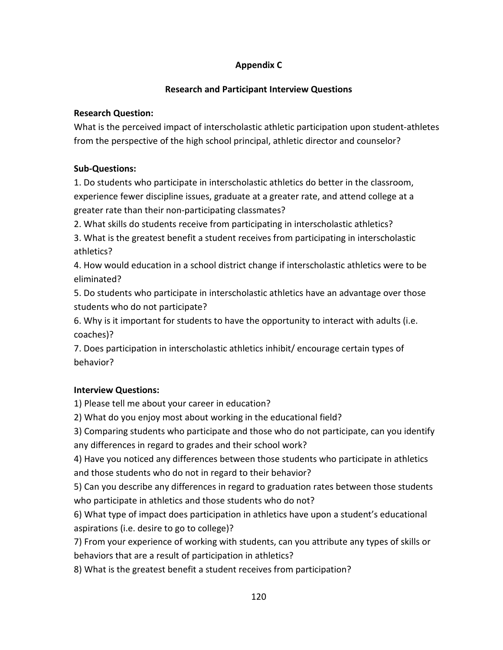# **Appendix C**

# **Research and Participant Interview Questions**

# <span id="page-132-0"></span>**Research Question:**

What is the perceived impact of interscholastic athletic participation upon student-athletes from the perspective of the high school principal, athletic director and counselor?

# **Sub-Questions:**

1. Do students who participate in interscholastic athletics do better in the classroom, experience fewer discipline issues, graduate at a greater rate, and attend college at a greater rate than their non-participating classmates?

2. What skills do students receive from participating in interscholastic athletics?

3. What is the greatest benefit a student receives from participating in interscholastic athletics?

4. How would education in a school district change if interscholastic athletics were to be eliminated?

5. Do students who participate in interscholastic athletics have an advantage over those students who do not participate?

6. Why is it important for students to have the opportunity to interact with adults (i.e. coaches)?

7. Does participation in interscholastic athletics inhibit/ encourage certain types of behavior?

# **Interview Questions:**

1) Please tell me about your career in education?

2) What do you enjoy most about working in the educational field?

3) Comparing students who participate and those who do not participate, can you identify any differences in regard to grades and their school work?

4) Have you noticed any differences between those students who participate in athletics and those students who do not in regard to their behavior?

5) Can you describe any differences in regard to graduation rates between those students who participate in athletics and those students who do not?

6) What type of impact does participation in athletics have upon a student's educational aspirations (i.e. desire to go to college)?

7) From your experience of working with students, can you attribute any types of skills or behaviors that are a result of participation in athletics?

8) What is the greatest benefit a student receives from participation?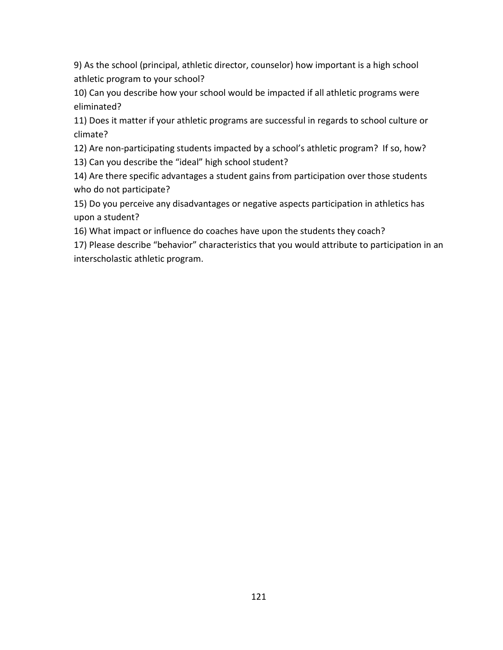9) As the school (principal, athletic director, counselor) how important is a high school athletic program to your school?

10) Can you describe how your school would be impacted if all athletic programs were eliminated?

11) Does it matter if your athletic programs are successful in regards to school culture or climate?

12) Are non-participating students impacted by a school's athletic program? If so, how?

13) Can you describe the "ideal" high school student?

14) Are there specific advantages a student gains from participation over those students who do not participate?

15) Do you perceive any disadvantages or negative aspects participation in athletics has upon a student?

16) What impact or influence do coaches have upon the students they coach?

17) Please describe "behavior" characteristics that you would attribute to participation in an interscholastic athletic program.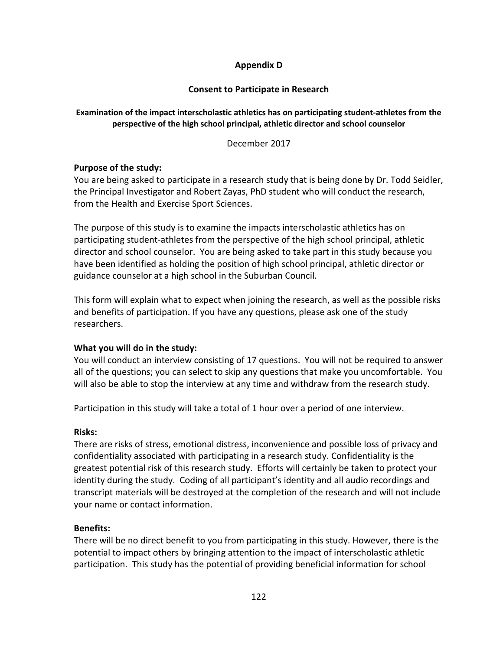# **Appendix D**

## **Consent to Participate in Research**

# <span id="page-134-0"></span>**Examination of the impact interscholastic athletics has on participating student-athletes from the perspective of the high school principal, athletic director and school counselor**

December 2017

# **Purpose of the study:**

You are being asked to participate in a research study that is being done by Dr. Todd Seidler, the Principal Investigator and Robert Zayas, PhD student who will conduct the research, from the Health and Exercise Sport Sciences.

The purpose of this study is to examine the impacts interscholastic athletics has on participating student-athletes from the perspective of the high school principal, athletic director and school counselor. You are being asked to take part in this study because you have been identified as holding the position of high school principal, athletic director or guidance counselor at a high school in the Suburban Council.

This form will explain what to expect when joining the research, as well as the possible risks and benefits of participation. If you have any questions, please ask one of the study researchers.

# **What you will do in the study:**

You will conduct an interview consisting of 17 questions. You will not be required to answer all of the questions; you can select to skip any questions that make you uncomfortable. You will also be able to stop the interview at any time and withdraw from the research study.

Participation in this study will take a total of 1 hour over a period of one interview.

# **Risks:**

There are risks of stress, emotional distress, inconvenience and possible loss of privacy and confidentiality associated with participating in a research study. Confidentiality is the greatest potential risk of this research study. Efforts will certainly be taken to protect your identity during the study. Coding of all participant's identity and all audio recordings and transcript materials will be destroyed at the completion of the research and will not include your name or contact information.

### **Benefits:**

There will be no direct benefit to you from participating in this study. However, there is the potential to impact others by bringing attention to the impact of interscholastic athletic participation. This study has the potential of providing beneficial information for school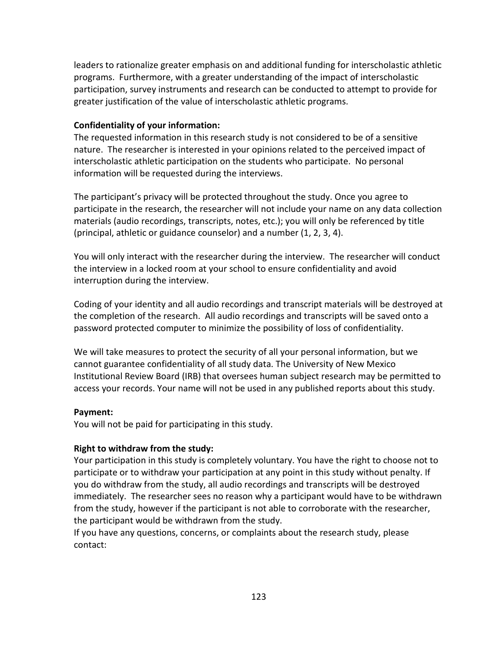leaders to rationalize greater emphasis on and additional funding for interscholastic athletic programs. Furthermore, with a greater understanding of the impact of interscholastic participation, survey instruments and research can be conducted to attempt to provide for greater justification of the value of interscholastic athletic programs.

### **Confidentiality of your information:**

The requested information in this research study is not considered to be of a sensitive nature. The researcher is interested in your opinions related to the perceived impact of interscholastic athletic participation on the students who participate. No personal information will be requested during the interviews.

The participant's privacy will be protected throughout the study. Once you agree to participate in the research, the researcher will not include your name on any data collection materials (audio recordings, transcripts, notes, etc.); you will only be referenced by title (principal, athletic or guidance counselor) and a number (1, 2, 3, 4).

You will only interact with the researcher during the interview. The researcher will conduct the interview in a locked room at your school to ensure confidentiality and avoid interruption during the interview.

Coding of your identity and all audio recordings and transcript materials will be destroyed at the completion of the research. All audio recordings and transcripts will be saved onto a password protected computer to minimize the possibility of loss of confidentiality.

We will take measures to protect the security of all your personal information, but we cannot guarantee confidentiality of all study data. The University of New Mexico Institutional Review Board (IRB) that oversees human subject research may be permitted to access your records. Your name will not be used in any published reports about this study.

### **Payment:**

You will not be paid for participating in this study.

### **Right to withdraw from the study:**

Your participation in this study is completely voluntary. You have the right to choose not to participate or to withdraw your participation at any point in this study without penalty. If you do withdraw from the study, all audio recordings and transcripts will be destroyed immediately. The researcher sees no reason why a participant would have to be withdrawn from the study, however if the participant is not able to corroborate with the researcher, the participant would be withdrawn from the study.

If you have any questions, concerns, or complaints about the research study, please contact: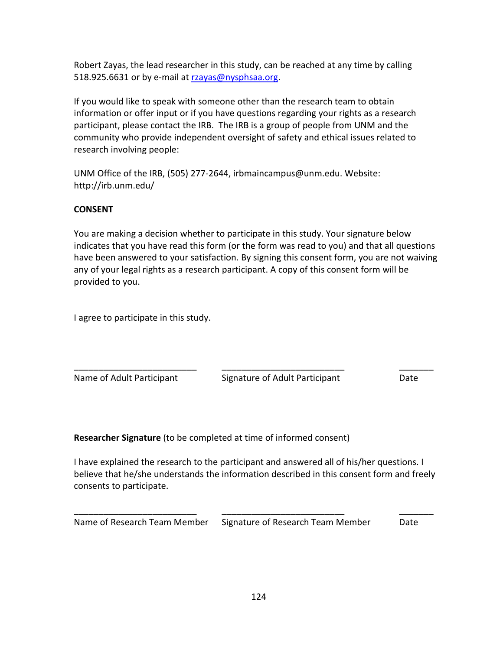Robert Zayas, the lead researcher in this study, can be reached at any time by calling 518.925.6631 or by e-mail at [rzayas@nysphsaa.org.](mailto:rzayas@nysphsaa.org)

If you would like to speak with someone other than the research team to obtain information or offer input or if you have questions regarding your rights as a research participant, please contact the IRB. The IRB is a group of people from UNM and the community who provide independent oversight of safety and ethical issues related to research involving people:

UNM Office of the IRB, (505) 277-2644, irbmaincampus@unm.edu. Website: http://irb.unm.edu/

# **CONSENT**

You are making a decision whether to participate in this study. Your signature below indicates that you have read this form (or the form was read to you) and that all questions have been answered to your satisfaction. By signing this consent form, you are not waiving any of your legal rights as a research participant. A copy of this consent form will be provided to you.

I agree to participate in this study.

Name of Adult Participant Signature of Adult Participant Date

**Researcher Signature** (to be completed at time of informed consent)

I have explained the research to the participant and answered all of his/her questions. I believe that he/she understands the information described in this consent form and freely consents to participate.

\_\_\_\_\_\_\_\_\_\_\_\_\_\_\_\_\_\_\_\_\_\_\_\_\_ \_\_\_\_\_\_\_\_\_\_\_\_\_\_\_\_\_\_\_\_\_\_\_\_\_ \_\_\_\_\_\_\_

Name of Research Team Member Signature of Research Team Member Date

\_\_\_\_\_\_\_\_\_\_\_\_\_\_\_\_\_\_\_\_\_\_\_\_\_ \_\_\_\_\_\_\_\_\_\_\_\_\_\_\_\_\_\_\_\_\_\_\_\_\_ \_\_\_\_\_\_\_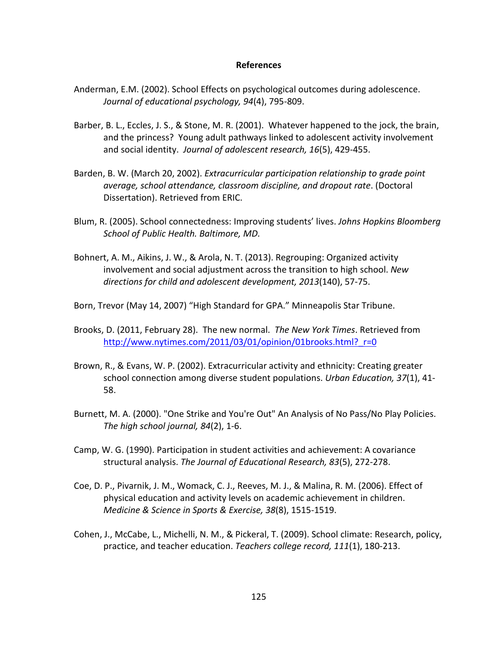#### **References**

- Anderman, E.M. (2002). School Effects on psychological outcomes during adolescence. *Journal of educational psychology, 94*(4), 795-809.
- Barber, B. L., Eccles, J. S., & Stone, M. R. (2001). Whatever happened to the jock, the brain, and the princess? Young adult pathways linked to adolescent activity involvement and social identity. *Journal of adolescent research, 16*(5), 429-455.
- Barden, B. W. (March 20, 2002). *Extracurricular participation relationship to grade point average, school attendance, classroom discipline, and dropout rate*. (Doctoral Dissertation). Retrieved from ERIC.
- Blum, R. (2005). School connectedness: Improving students' lives. *Johns Hopkins Bloomberg School of Public Health. Baltimore, MD.*
- Bohnert, A. M., Aikins, J. W., & Arola, N. T. (2013). Regrouping: Organized activity involvement and social adjustment across the transition to high school. *New directions for child and adolescent development, 2013*(140), 57-75.
- Born, Trevor (May 14, 2007) "High Standard for GPA." Minneapolis Star Tribune.
- Brooks, D. (2011, February 28). The new normal. *The New York Times*. Retrieved from http://www.nytimes.com/2011/03/01/opinion/01brooks.html? r=0
- Brown, R., & Evans, W. P. (2002). Extracurricular activity and ethnicity: Creating greater school connection among diverse student populations. *Urban Education, 37*(1), 41- 58.
- Burnett, M. A. (2000). "One Strike and You're Out" An Analysis of No Pass/No Play Policies. *The high school journal, 84*(2), 1-6.
- Camp, W. G. (1990). Participation in student activities and achievement: A covariance structural analysis. *The Journal of Educational Research, 83*(5), 272-278.
- Coe, D. P., Pivarnik, J. M., Womack, C. J., Reeves, M. J., & Malina, R. M. (2006). Effect of physical education and activity levels on academic achievement in children. *Medicine & Science in Sports & Exercise, 38*(8), 1515-1519.
- Cohen, J., McCabe, L., Michelli, N. M., & Pickeral, T. (2009). School climate: Research, policy, practice, and teacher education. *Teachers college record, 111*(1), 180-213.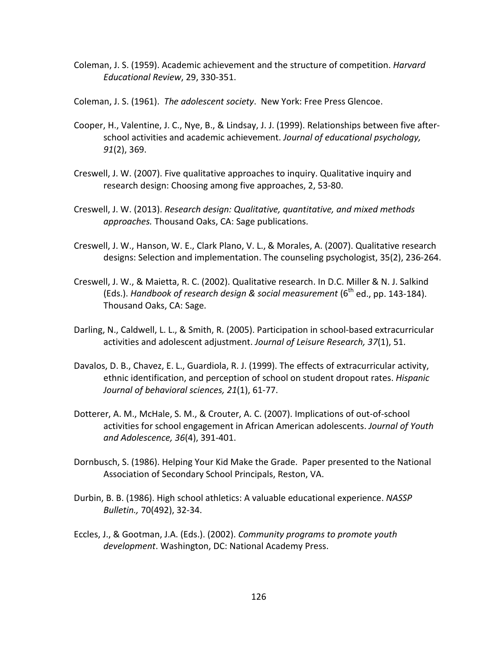- Coleman, J. S. (1959). Academic achievement and the structure of competition. *Harvard Educational Review*, 29, 330-351.
- Coleman, J. S. (1961). *The adolescent society*. New York: Free Press Glencoe.
- Cooper, H., Valentine, J. C., Nye, B., & Lindsay, J. J. (1999). Relationships between five afterschool activities and academic achievement. *Journal of educational psychology, 91*(2), 369.
- Creswell, J. W. (2007). Five qualitative approaches to inquiry. Qualitative inquiry and research design: Choosing among five approaches, 2, 53-80.
- Creswell, J. W. (2013). *Research design: Qualitative, quantitative, and mixed methods approaches.* Thousand Oaks, CA: Sage publications.
- Creswell, J. W., Hanson, W. E., Clark Plano, V. L., & Morales, A. (2007). Qualitative research designs: Selection and implementation. The counseling psychologist, 35(2), 236-264.
- Creswell, J. W., & Maietta, R. C. (2002). Qualitative research. In D.C. Miller & N. J. Salkind (Eds.). *Handbook of research design & social measurement* (6<sup>th</sup> ed., pp. 143-184). Thousand Oaks, CA: Sage.
- Darling, N., Caldwell, L. L., & Smith, R. (2005). Participation in school-based extracurricular activities and adolescent adjustment. *Journal of Leisure Research, 37*(1), 51.
- Davalos, D. B., Chavez, E. L., Guardiola, R. J. (1999). The effects of extracurricular activity, ethnic identification, and perception of school on student dropout rates. *Hispanic Journal of behavioral sciences, 21*(1), 61-77.
- Dotterer, A. M., McHale, S. M., & Crouter, A. C. (2007). Implications of out-of-school activities for school engagement in African American adolescents. *Journal of Youth and Adolescence, 36*(4), 391-401.
- Dornbusch, S. (1986). Helping Your Kid Make the Grade. Paper presented to the National Association of Secondary School Principals, Reston, VA.
- Durbin, B. B. (1986). High school athletics: A valuable educational experience. *NASSP Bulletin.,* 70(492), 32-34.
- Eccles, J., & Gootman, J.A. (Eds.). (2002). *Community programs to promote youth development*. Washington, DC: National Academy Press.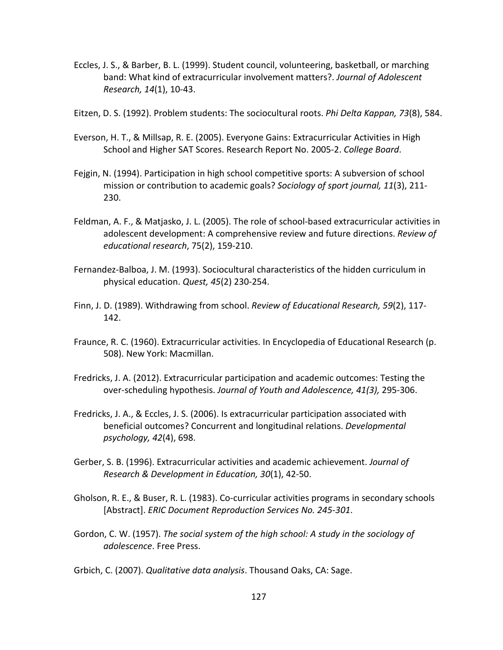- Eccles, J. S., & Barber, B. L. (1999). Student council, volunteering, basketball, or marching band: What kind of extracurricular involvement matters?. *Journal of Adolescent Research, 14*(1), 10-43.
- Eitzen, D. S. (1992). Problem students: The sociocultural roots. *Phi Delta Kappan, 73*(8), 584.
- Everson, H. T., & Millsap, R. E. (2005). Everyone Gains: Extracurricular Activities in High School and Higher SAT Scores. Research Report No. 2005-2. *College Board*.
- Fejgin, N. (1994). Participation in high school competitive sports: A subversion of school mission or contribution to academic goals? *Sociology of sport journal, 11*(3), 211- 230.
- Feldman, A. F., & Matjasko, J. L. (2005). The role of school-based extracurricular activities in adolescent development: A comprehensive review and future directions. *Review of educational research*, 75(2), 159-210.
- Fernandez-Balboa, J. M. (1993). Sociocultural characteristics of the hidden curriculum in physical education. *Quest, 45*(2) 230-254.
- Finn, J. D. (1989). Withdrawing from school. *Review of Educational Research, 59*(2), 117- 142.
- Fraunce, R. C. (1960). Extracurricular activities. In Encyclopedia of Educational Research (p. 508). New York: Macmillan.
- Fredricks, J. A. (2012). Extracurricular participation and academic outcomes: Testing the over-scheduling hypothesis. *Journal of Youth and Adolescence, 41(3),* 295-306.
- Fredricks, J. A., & Eccles, J. S. (2006). Is extracurricular participation associated with beneficial outcomes? Concurrent and longitudinal relations. *Developmental psychology, 42*(4), 698.
- Gerber, S. B. (1996). Extracurricular activities and academic achievement. *Journal of Research & Development in Education, 30*(1), 42-50.
- Gholson, R. E., & Buser, R. L. (1983). Co-curricular activities programs in secondary schools [Abstract]. *ERIC Document Reproduction Services No. 245-301*.
- Gordon, C. W. (1957). *The social system of the high school: A study in the sociology of adolescence*. Free Press.
- Grbich, C. (2007). *Qualitative data analysis*. Thousand Oaks, CA: Sage.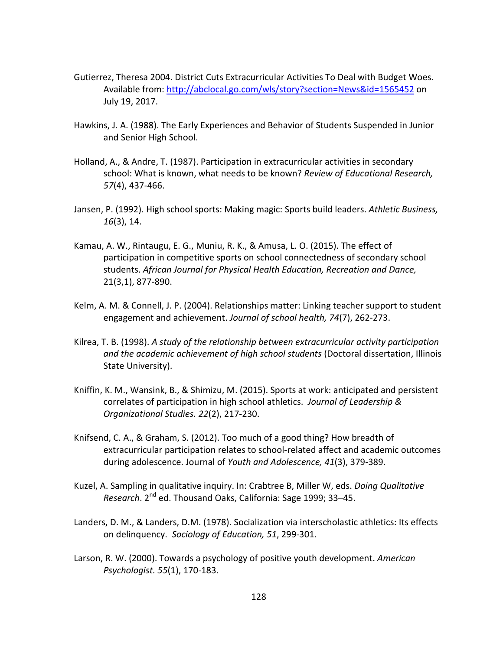- Gutierrez, Theresa 2004. District Cuts Extracurricular Activities To Deal with Budget Woes. Available from:<http://abclocal.go.com/wls/story?section=News&id=1565452> on July 19, 2017.
- Hawkins, J. A. (1988). The Early Experiences and Behavior of Students Suspended in Junior and Senior High School.
- Holland, A., & Andre, T. (1987). Participation in extracurricular activities in secondary school: What is known, what needs to be known? *Review of Educational Research, 57*(4), 437-466.
- Jansen, P. (1992). High school sports: Making magic: Sports build leaders. *Athletic Business, 16*(3), 14.
- Kamau, A. W., Rintaugu, E. G., Muniu, R. K., & Amusa, L. O. (2015). The effect of participation in competitive sports on school connectedness of secondary school students. *African Journal for Physical Health Education, Recreation and Dance,* 21(3,1), 877-890.
- Kelm, A. M. & Connell, J. P. (2004). Relationships matter: Linking teacher support to student engagement and achievement. *Journal of school health, 74*(7), 262-273.
- Kilrea, T. B. (1998). *A study of the relationship between extracurricular activity participation and the academic achievement of high school students* (Doctoral dissertation, Illinois State University).
- Kniffin, K. M., Wansink, B., & Shimizu, M. (2015). Sports at work: anticipated and persistent correlates of participation in high school athletics. *Journal of Leadership & Organizational Studies. 22*(2), 217-230.
- Knifsend, C. A., & Graham, S. (2012). Too much of a good thing? How breadth of extracurricular participation relates to school-related affect and academic outcomes during adolescence. Journal of *Youth and Adolescence, 41*(3), 379-389.
- Kuzel, A. Sampling in qualitative inquiry. In: Crabtree B, Miller W, eds. *Doing Qualitative Research*. 2nd ed. Thousand Oaks, California: Sage 1999; 33–45.
- Landers, D. M., & Landers, D.M. (1978). Socialization via interscholastic athletics: Its effects on delinquency. *Sociology of Education, 51*, 299-301.
- Larson, R. W. (2000). Towards a psychology of positive youth development. *American Psychologist. 55*(1), 170-183.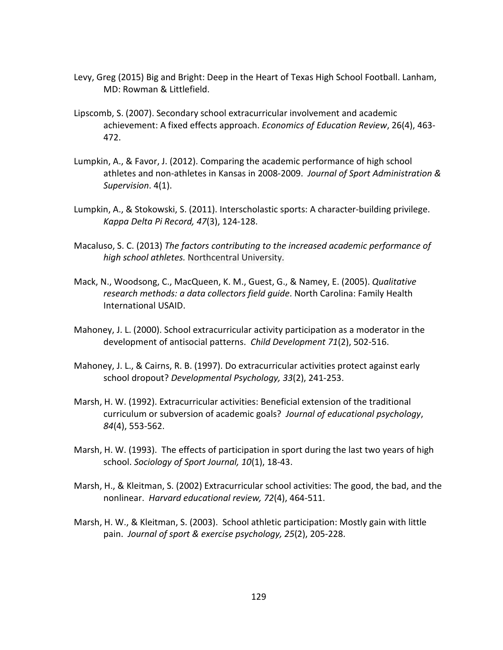- Levy, Greg (2015) Big and Bright: Deep in the Heart of Texas High School Football. Lanham, MD: Rowman & Littlefield.
- Lipscomb, S. (2007). Secondary school extracurricular involvement and academic achievement: A fixed effects approach. *Economics of Education Review*, 26(4), 463- 472.
- Lumpkin, A., & Favor, J. (2012). Comparing the academic performance of high school athletes and non-athletes in Kansas in 2008-2009. *Journal of Sport Administration & Supervision*. 4(1).
- Lumpkin, A., & Stokowski, S. (2011). Interscholastic sports: A character-building privilege. *Kappa Delta Pi Record, 47*(3), 124-128.
- Macaluso, S. C. (2013) *The factors contributing to the increased academic performance of high school athletes.* Northcentral University.
- Mack, N., Woodsong, C., MacQueen, K. M., Guest, G., & Namey, E. (2005). *Qualitative research methods: a data collectors field guide*. North Carolina: Family Health International USAID.
- Mahoney, J. L. (2000). School extracurricular activity participation as a moderator in the development of antisocial patterns. *Child Development 71*(2), 502-516.
- Mahoney, J. L., & Cairns, R. B. (1997). Do extracurricular activities protect against early school dropout? *Developmental Psychology, 33*(2), 241-253.
- Marsh, H. W. (1992). Extracurricular activities: Beneficial extension of the traditional curriculum or subversion of academic goals? *Journal of educational psychology*, *84*(4), 553-562.
- Marsh, H. W. (1993). The effects of participation in sport during the last two years of high school. *Sociology of Sport Journal, 10*(1), 18-43.
- Marsh, H., & Kleitman, S. (2002) Extracurricular school activities: The good, the bad, and the nonlinear. *Harvard educational review, 72*(4), 464-511.
- Marsh, H. W., & Kleitman, S. (2003). School athletic participation: Mostly gain with little pain. *Journal of sport & exercise psychology, 25*(2), 205-228.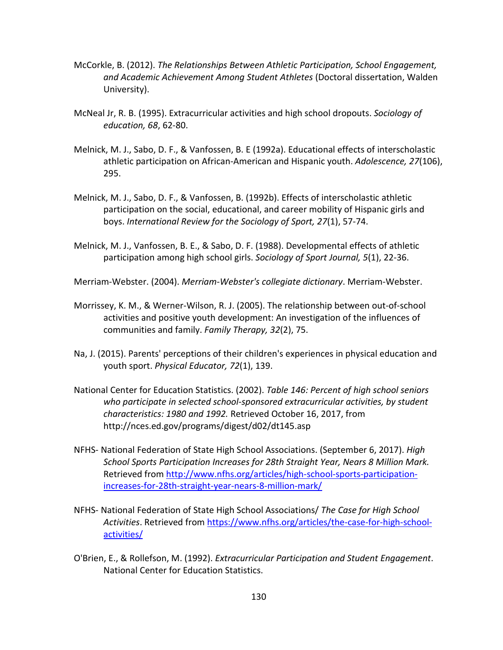- McCorkle, B. (2012). *The Relationships Between Athletic Participation, School Engagement, and Academic Achievement Among Student Athletes* (Doctoral dissertation, Walden University).
- McNeal Jr, R. B. (1995). Extracurricular activities and high school dropouts. *Sociology of education, 68*, 62-80.
- Melnick, M. J., Sabo, D. F., & Vanfossen, B. E (1992a). Educational effects of interscholastic athletic participation on African-American and Hispanic youth. *Adolescence, 27*(106), 295.
- Melnick, M. J., Sabo, D. F., & Vanfossen, B. (1992b). Effects of interscholastic athletic participation on the social, educational, and career mobility of Hispanic girls and boys. *International Review for the Sociology of Sport, 27*(1), 57-74.
- Melnick, M. J., Vanfossen, B. E., & Sabo, D. F. (1988). Developmental effects of athletic participation among high school girls. *Sociology of Sport Journal, 5*(1), 22-36.

Merriam-Webster. (2004). *Merriam-Webster's collegiate dictionary*. Merriam-Webster.

- Morrissey, K. M., & Werner-Wilson, R. J. (2005). The relationship between out-of-school activities and positive youth development: An investigation of the influences of communities and family. *Family Therapy, 32*(2), 75.
- Na, J. (2015). Parents' perceptions of their children's experiences in physical education and youth sport. *Physical Educator, 72*(1), 139.
- National Center for Education Statistics. (2002). *Table 146: Percent of high school seniors who participate in selected school-sponsored extracurricular activities, by student characteristics: 1980 and 1992.* Retrieved October 16, 2017, from http://nces.ed.gov/programs/digest/d02/dt145.asp
- NFHS- National Federation of State High School Associations. (September 6, 2017). *High School Sports Participation Increases for 28th Straight Year, Nears 8 Million Mark.*  Retrieved from [http://www.nfhs.org/articles/high-school-sports-participation](http://www.nfhs.org/articles/high-school-sports-participation-increases-for-28th-straight-year-nears-8-million-mark/)[increases-for-28th-straight-year-nears-8-million-mark/](http://www.nfhs.org/articles/high-school-sports-participation-increases-for-28th-straight-year-nears-8-million-mark/)
- NFHS- National Federation of State High School Associations/ *The Case for High School Activities*. Retrieved from [https://www.nfhs.org/articles/the-case-for-high-school](https://www.nfhs.org/articles/the-case-for-high-school-activities/)[activities/](https://www.nfhs.org/articles/the-case-for-high-school-activities/)
- O'Brien, E., & Rollefson, M. (1992). *Extracurricular Participation and Student Engagement*. National Center for Education Statistics.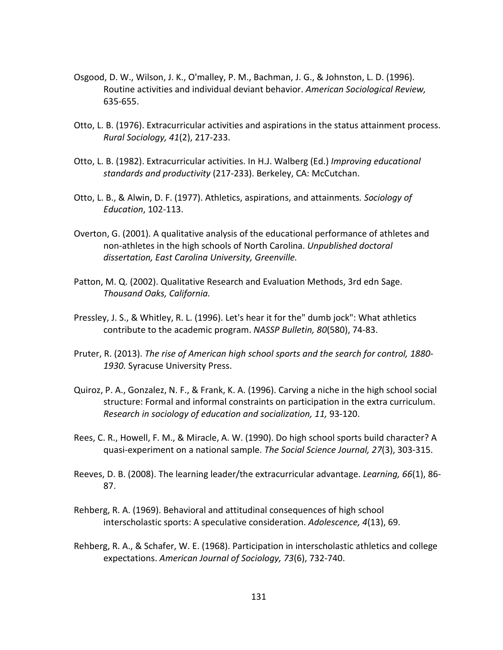- Osgood, D. W., Wilson, J. K., O'malley, P. M., Bachman, J. G., & Johnston, L. D. (1996). Routine activities and individual deviant behavior. *American Sociological Review,* 635-655.
- Otto, L. B. (1976). Extracurricular activities and aspirations in the status attainment process. *Rural Sociology, 41*(2), 217-233.
- Otto, L. B. (1982). Extracurricular activities. In H.J. Walberg (Ed.) *Improving educational standards and productivity* (217-233). Berkeley, CA: McCutchan.
- Otto, L. B., & Alwin, D. F. (1977). Athletics, aspirations, and attainments*. Sociology of Education*, 102-113.
- Overton, G. (2001). A qualitative analysis of the educational performance of athletes and non-athletes in the high schools of North Carolina. *Unpublished doctoral dissertation, East Carolina University, Greenville.*
- Patton, M. Q. (2002). Qualitative Research and Evaluation Methods, 3rd edn Sage. *Thousand Oaks, California.*
- Pressley, J. S., & Whitley, R. L. (1996). Let's hear it for the" dumb jock": What athletics contribute to the academic program. *NASSP Bulletin, 80*(580), 74-83.
- Pruter, R. (2013). *The rise of American high school sports and the search for control, 1880- 1930.* Syracuse University Press.
- Quiroz, P. A., Gonzalez, N. F., & Frank, K. A. (1996). Carving a niche in the high school social structure: Formal and informal constraints on participation in the extra curriculum. *Research in sociology of education and socialization, 11,* 93-120.
- Rees, C. R., Howell, F. M., & Miracle, A. W. (1990). Do high school sports build character? A quasi-experiment on a national sample. *The Social Science Journal, 27*(3), 303-315.
- Reeves, D. B. (2008). The learning leader/the extracurricular advantage. *Learning, 66*(1), 86- 87.
- Rehberg, R. A. (1969). Behavioral and attitudinal consequences of high school interscholastic sports: A speculative consideration. *Adolescence, 4*(13), 69.
- Rehberg, R. A., & Schafer, W. E. (1968). Participation in interscholastic athletics and college expectations. *American Journal of Sociology, 73*(6), 732-740.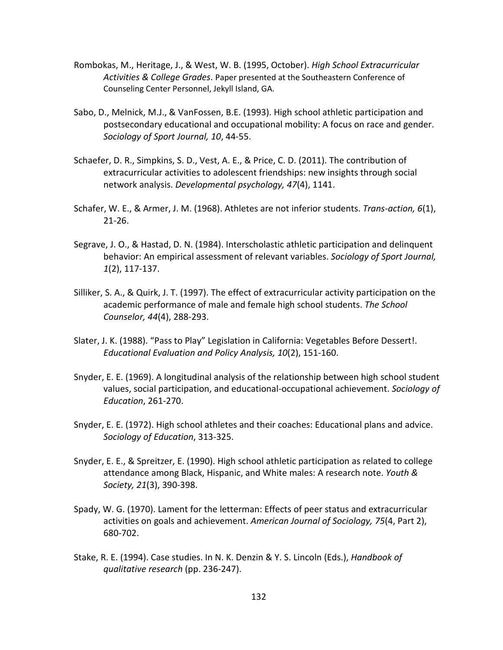- Rombokas, M., Heritage, J., & West, W. B. (1995, October). *High School Extracurricular Activities & College Grades*. Paper presented at the Southeastern Conference of Counseling Center Personnel, Jekyll Island, GA.
- Sabo, D., Melnick, M.J., & VanFossen, B.E. (1993). High school athletic participation and postsecondary educational and occupational mobility: A focus on race and gender. *Sociology of Sport Journal, 10*, 44-55.
- Schaefer, D. R., Simpkins, S. D., Vest, A. E., & Price, C. D. (2011). The contribution of extracurricular activities to adolescent friendships: new insights through social network analysis. *Developmental psychology, 47*(4), 1141.
- Schafer, W. E., & Armer, J. M. (1968). Athletes are not inferior students. *Trans-action, 6*(1), 21-26.
- Segrave, J. O., & Hastad, D. N. (1984). Interscholastic athletic participation and delinquent behavior: An empirical assessment of relevant variables. *Sociology of Sport Journal, 1*(2), 117-137.
- Silliker, S. A., & Quirk, J. T. (1997). The effect of extracurricular activity participation on the academic performance of male and female high school students. *The School Counselor, 44*(4), 288-293.
- Slater, J. K. (1988). "Pass to Play" Legislation in California: Vegetables Before Dessert!. *Educational Evaluation and Policy Analysis, 10*(2), 151-160.
- Snyder, E. E. (1969). A longitudinal analysis of the relationship between high school student values, social participation, and educational-occupational achievement. *Sociology of Education*, 261-270.
- Snyder, E. E. (1972). High school athletes and their coaches: Educational plans and advice. *Sociology of Education*, 313-325.
- Snyder, E. E., & Spreitzer, E. (1990). High school athletic participation as related to college attendance among Black, Hispanic, and White males: A research note. *Youth & Society, 21*(3), 390-398.
- Spady, W. G. (1970). Lament for the letterman: Effects of peer status and extracurricular activities on goals and achievement. *American Journal of Sociology, 75*(4, Part 2), 680-702.
- Stake, R. E. (1994). Case studies. In N. K. Denzin & Y. S. Lincoln (Eds.), *Handbook of qualitative research* (pp. 236-247).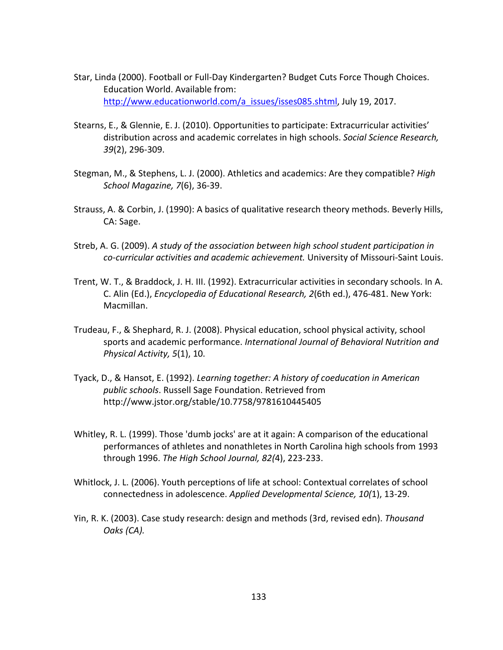- Star, Linda (2000). Football or Full-Day Kindergarten? Budget Cuts Force Though Choices. Education World. Available from: [http://www.educationworld.com/a\\_issues/isses085.shtml,](http://www.educationworld.com/a_issues/isses085.shtml) July 19, 2017.
- Stearns, E., & Glennie, E. J. (2010). Opportunities to participate: Extracurricular activities' distribution across and academic correlates in high schools. *Social Science Research, 39*(2), 296-309.
- Stegman, M., & Stephens, L. J. (2000). Athletics and academics: Are they compatible? *High School Magazine, 7*(6), 36-39.
- Strauss, A. & Corbin, J. (1990): A basics of qualitative research theory methods. Beverly Hills, CA: Sage.
- Streb, A. G. (2009). *A study of the association between high school student participation in co-curricular activities and academic achievement.* University of Missouri-Saint Louis.
- Trent, W. T., & Braddock, J. H. III. (1992). Extracurricular activities in secondary schools. In A. C. Alin (Ed.), *Encyclopedia of Educational Research, 2*(6th ed.), 476-481. New York: Macmillan.
- Trudeau, F., & Shephard, R. J. (2008). Physical education, school physical activity, school sports and academic performance. *International Journal of Behavioral Nutrition and Physical Activity, 5*(1), 10.
- Tyack, D., & Hansot, E. (1992). *Learning together: A history of coeducation in American public schools*. Russell Sage Foundation. Retrieved from http://www.jstor.org/stable/10.7758/9781610445405
- Whitley, R. L. (1999). Those 'dumb jocks' are at it again: A comparison of the educational performances of athletes and nonathletes in North Carolina high schools from 1993 through 1996. *The High School Journal, 82(*4), 223-233.
- Whitlock, J. L. (2006). Youth perceptions of life at school: Contextual correlates of school connectedness in adolescence. *Applied Developmental Science, 10(*1), 13-29.
- Yin, R. K. (2003). Case study research: design and methods (3rd, revised edn). *Thousand Oaks (CA).*